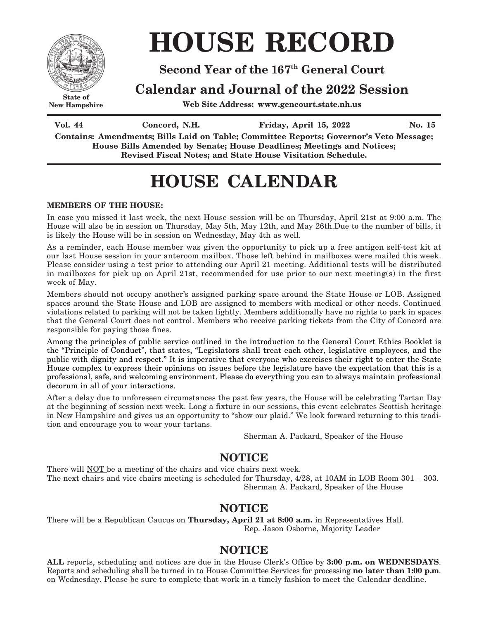

**New Hampshire**

# **HOUSE RECORD**

### **Second Year of the 167th General Court**

### **Calendar and Journal of the 2022 Session**

**Web Site Address: www.gencourt.state.nh.us**

**Vol.** 44 **Concord, N.H. Friday, April 15, 2022** No. 15

**Contains: Amendments; Bills Laid on Table; Committee Reports; Governor's Veto Message; House Bills Amended by Senate; House Deadlines; Meetings and Notices; Revised Fiscal Notes; and State House Visitation Schedule.**

## **HOUSE CALENDAR**

#### **MEMBERS OF THE HOUSE:**

In case you missed it last week, the next House session will be on Thursday, April 21st at 9:00 a.m. The House will also be in session on Thursday, May 5th, May 12th, and May 26th.Due to the number of bills, it is likely the House will be in session on Wednesday, May 4th as well.

As a reminder, each House member was given the opportunity to pick up a free antigen self-test kit at our last House session in your anteroom mailbox. Those left behind in mailboxes were mailed this week. Please consider using a test prior to attending our April 21 meeting. Additional tests will be distributed in mailboxes for pick up on April 21st, recommended for use prior to our next meeting(s) in the first week of May.

Members should not occupy another's assigned parking space around the State House or LOB. Assigned spaces around the State House and LOB are assigned to members with medical or other needs. Continued violations related to parking will not be taken lightly. Members additionally have no rights to park in spaces that the General Court does not control. Members who receive parking tickets from the City of Concord are responsible for paying those fines.

Among the principles of public service outlined in the introduction to the General Court Ethics Booklet is the "Principle of Conduct", that states, "Legislators shall treat each other, legislative employees, and the public with dignity and respect." It is imperative that everyone who exercises their right to enter the State House complex to express their opinions on issues before the legislature have the expectation that this is a professional, safe, and welcoming environment. Please do everything you can to always maintain professional decorum in all of your interactions.

After a delay due to unforeseen circumstances the past few years, the House will be celebrating Tartan Day at the beginning of session next week. Long a fixture in our sessions, this event celebrates Scottish heritage in New Hampshire and gives us an opportunity to "show our plaid." We look forward returning to this tradition and encourage you to wear your tartans.

Sherman A. Packard, Speaker of the House

### **NOTICE**

There will NOT be a meeting of the chairs and vice chairs next week. The next chairs and vice chairs meeting is scheduled for Thursday, 4/28, at 10AM in LOB Room 301 – 303. Sherman A. Packard, Speaker of the House

### **NOTICE**

There will be a Republican Caucus on **Thursday, April 21 at 8:00 a.m.** in Representatives Hall. Rep. Jason Osborne, Majority Leader

### **NOTICE**

**ALL** reports, scheduling and notices are due in the House Clerk's Office by **3:00 p.m. on WEDNESDAYS**. Reports and scheduling shall be turned in to House Committee Services for processing **no later than 1:00 p.m**. on Wednesday. Please be sure to complete that work in a timely fashion to meet the Calendar deadline.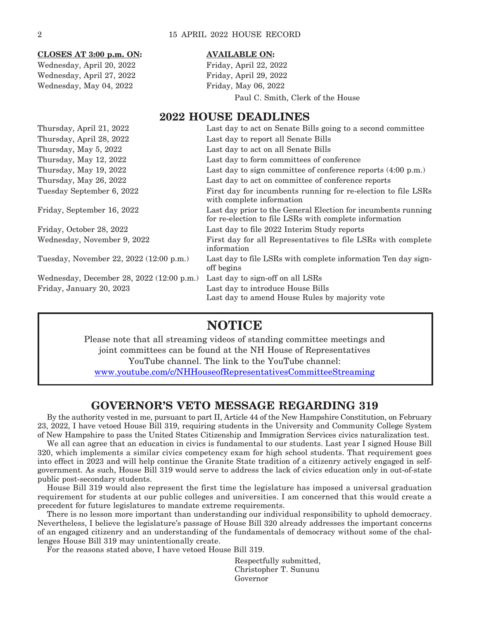| CLOSES AT 3:00 p.m. ON:   |
|---------------------------|
| Wednesday, April 20, 2022 |
| Wednesday, April 27, 2022 |
| Wednesday, May 04, 2022   |
|                           |

#### **CLOSES AT 3:00 p.m. ON: AVAILABLE ON:**

Friday, April 22, 2022 Friday, April 29, 2022 Friday, May 06, 2022 Paul C. Smith, Clerk of the House

### **2022 HOUSE DEADLINES**

| Thursday, April 21, 2022                  | Last day to act on Senate Bills going to a second committee                                                             |
|-------------------------------------------|-------------------------------------------------------------------------------------------------------------------------|
| Thursday, April 28, 2022                  | Last day to report all Senate Bills                                                                                     |
| Thursday, May 5, 2022                     | Last day to act on all Senate Bills                                                                                     |
| Thursday, May 12, 2022                    | Last day to form committees of conference                                                                               |
| Thursday, May 19, 2022                    | Last day to sign committee of conference reports (4:00 p.m.)                                                            |
| Thursday, May 26, 2022                    | Last day to act on committee of conference reports                                                                      |
| Tuesday September 6, 2022                 | First day for incumbents running for re-election to file LSRs<br>with complete information                              |
| Friday, September 16, 2022                | Last day prior to the General Election for incumbents running<br>for re-election to file LSRs with complete information |
| Friday, October 28, 2022                  | Last day to file 2022 Interim Study reports                                                                             |
| Wednesday, November 9, 2022               | First day for all Representatives to file LSRs with complete<br>information                                             |
| Tuesday, November 22, 2022 (12:00 p.m.)   | Last day to file LSRs with complete information Ten day sign-<br>off begins                                             |
| Wednesday, December 28, 2022 (12:00 p.m.) | Last day to sign-off on all LSRs                                                                                        |
| Friday, January 20, 2023                  | Last day to introduce House Bills<br>Last day to amend House Rules by majority vote                                     |

### **NOTICE**

Please note that all streaming videos of standing committee meetings and joint committees can be found at the NH House of Representatives YouTube channel. The link to the YouTube channel: [www.youtube.com/c/NHHouseofRepresentativesCommitteeStreaming](file:///C:\00-Legistlative%20Stuff\DAILIES--HOUSE\www.youtube.com\c\NHHouseofRepresentativesCommitteeStreaming)

### **GOVERNOR'S VETO MESSAGE REGARDING 319**

By the authority vested in me, pursuant to part II, Article 44 of the New Hampshire Constitution, on February 23, 2022, I have vetoed House Bill 319, requiring students in the University and Community College System of New Hampshire to pass the United States Citizenship and Immigration Services civics naturalization test.

We all can agree that an education in civics is fundamental to our students. Last year I signed House Bill 320, which implements a similar civics competency exam for high school students. That requirement goes into effect in 2023 and will help continue the Granite State tradition of a citizenry actively engaged in selfgovernment. As such, House Bill 319 would serve to address the lack of civics education only in out-of-state public post-secondary students.

House Bill 319 would also represent the first time the legislature has imposed a universal graduation requirement for students at our public colleges and universities. I am concerned that this would create a precedent for future legislatures to mandate extreme requirements.

There is no lesson more important than understanding our individual responsibility to uphold democracy. Nevertheless, I believe the legislature's passage of House Bill 320 already addresses the important concerns of an engaged citizenry and an understanding of the fundamentals of democracy without some of the challenges House Bill 319 may unintentionally create.

For the reasons stated above, I have vetoed House Bill 319.

 Respectfully submitted, Christopher T. Sununu Governor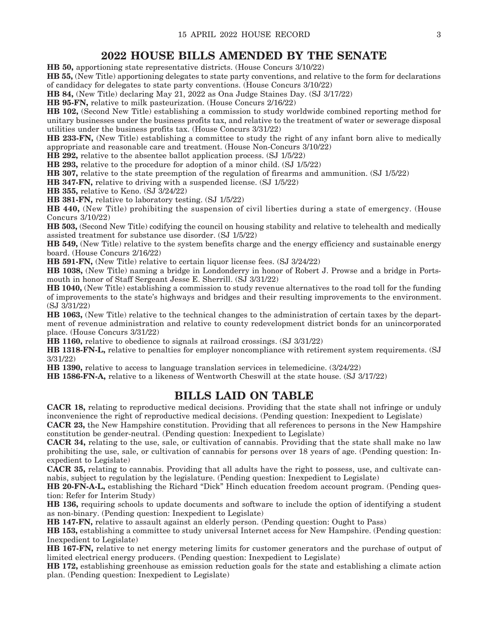### **2022 HOUSE BILLS AMENDED BY THE SENATE**

**HB 50,** apportioning state representative districts. (House Concurs 3/10/22)

**HB 55,** (New Title) apportioning delegates to state party conventions, and relative to the form for declarations of candidacy for delegates to state party conventions. (House Concurs 3/10/22)

**HB 84,** (New Title) declaring May 21, 2022 as Ona Judge Staines Day. (SJ 3/17/22)

**HB 95-FN,** relative to milk pasteurization. (House Concurs 2/16/22)

**HB 102,** (Second New Title) establishing a commission to study worldwide combined reporting method for unitary businesses under the business profits tax, and relative to the treatment of water or sewerage disposal utilities under the business profits tax. (House Concurs 3/31/22)

**HB 233-FN,** (New Title) establishing a committee to study the right of any infant born alive to medically appropriate and reasonable care and treatment. (House Non-Concurs 3/10/22)

**HB 292,** relative to the absentee ballot application process. (SJ 1/5/22)

**HB 293,** relative to the procedure for adoption of a minor child. (SJ 1/5/22)

**HB 307,** relative to the state preemption of the regulation of firearms and ammunition. (SJ 1/5/22)

**HB 347-FN,** relative to driving with a suspended license. (SJ 1/5/22)

**HB 355,** relative to Keno. (SJ 3/24/22)

**HB 381-FN,** relative to laboratory testing. (SJ 1/5/22)

**HB 440,** (New Title) prohibiting the suspension of civil liberties during a state of emergency. (House Concurs 3/10/22)

**HB 503,** (Second New Title) codifying the council on housing stability and relative to telehealth and medically assisted treatment for substance use disorder. (SJ 1/5/22)

**HB 549,** (New Title) relative to the system benefits charge and the energy efficiency and sustainable energy board. (House Concurs 2/16/22)

**HB 591-FN,** (New Title) relative to certain liquor license fees. (SJ 3/24/22)

**HB 1038,** (New Title) naming a bridge in Londonderry in honor of Robert J. Prowse and a bridge in Portsmouth in honor of Staff Sergeant Jesse E. Sherrill. (SJ 3/31/22)

**HB 1040,** (New Title) establishing a commission to study revenue alternatives to the road toll for the funding of improvements to the state's highways and bridges and their resulting improvements to the environment. (SJ 3/31/22)

**HB 1063,** (New Title) relative to the technical changes to the administration of certain taxes by the department of revenue administration and relative to county redevelopment district bonds for an unincorporated place. (House Concurs 3/31/22)

**HB 1160,** relative to obedience to signals at railroad crossings. (SJ 3/31/22)

**HB 1318-FN-L,** relative to penalties for employer noncompliance with retirement system requirements. (SJ 3/31/22)

**HB 1390,** relative to access to language translation services in telemedicine. (3/24/22)

**HB 1586-FN-A,** relative to a likeness of Wentworth Cheswill at the state house. (SJ 3/17/22)

### **BILLS LAID ON TABLE**

**CACR 18,** relating to reproductive medical decisions. Providing that the state shall not infringe or unduly inconvenience the right of reproductive medical decisions. (Pending question: Inexpedient to Legislate)

**CACR 23,** the New Hampshire constitution. Providing that all references to persons in the New Hampshire constitution be gender-neutral. (Pending question: Inexpedient to Legislate)

**CACR 34,** relating to the use, sale, or cultivation of cannabis. Providing that the state shall make no law prohibiting the use, sale, or cultivation of cannabis for persons over 18 years of age. (Pending question: Inexpedient to Legislate)

**CACR 35,** relating to cannabis. Providing that all adults have the right to possess, use, and cultivate cannabis, subject to regulation by the legislature. (Pending question: Inexpedient to Legislate)

**HB 20-FN-A-L,** establishing the Richard "Dick" Hinch education freedom account program. (Pending question: Refer for Interim Study)

**HB 136,** requiring schools to update documents and software to include the option of identifying a student as non-binary. (Pending question: Inexpedient to Legislate)

**HB 147-FN,** relative to assault against an elderly person. (Pending question: Ought to Pass)

**HB 153,** establishing a committee to study universal Internet access for New Hampshire. (Pending question: Inexpedient to Legislate)

**HB 167-FN,** relative to net energy metering limits for customer generators and the purchase of output of limited electrical energy producers. (Pending question: Inexpedient to Legislate)

**HB 172,** establishing greenhouse as emission reduction goals for the state and establishing a climate action plan. (Pending question: Inexpedient to Legislate)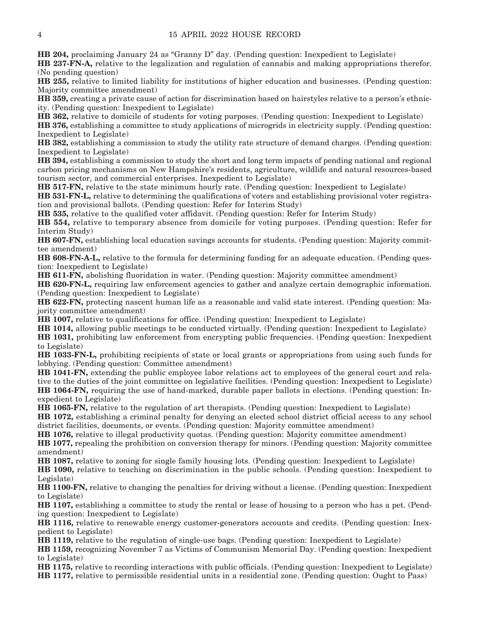**HB 204,** proclaiming January 24 as "Granny D" day. (Pending question: Inexpedient to Legislate)

**HB 237-FN-A,** relative to the legalization and regulation of cannabis and making appropriations therefor. (No pending question)

**HB 255,** relative to limited liability for institutions of higher education and businesses. (Pending question: Majority committee amendment)

**HB 359,** creating a private cause of action for discrimination based on hairstyles relative to a person's ethnicity. (Pending question: Inexpedient to Legislate)

**HB 362,** relative to domicile of students for voting purposes. (Pending question: Inexpedient to Legislate)

**HB 376,** establishing a committee to study applications of microgrids in electricity supply. (Pending question: Inexpedient to Legislate)

**HB 382,** establishing a commission to study the utility rate structure of demand charges. (Pending question: Inexpedient to Legislate)

**HB 394,** establishing a commission to study the short and long term impacts of pending national and regional carbon pricing mechanisms on New Hampshire's residents, agriculture, wildlife and natural resources-based tourism sector, and commercial enterprises. Inexpedient to Legislate)

**HB 517-FN,** relative to the state minimum hourly rate. (Pending question: Inexpedient to Legislate)

**HB 531-FN-L,** relative to determining the qualifications of voters and establishing provisional voter registration and provisional ballots. (Pending question: Refer for Interim Study)

**HB 535,** relative to the qualified voter affidavit. (Pending question: Refer for Interim Study)

**HB 554,** relative to temporary absence from domicile for voting purposes. (Pending question: Refer for Interim Study)

**HB 607-FN,** establishing local education savings accounts for students. (Pending question: Majority committee amendment)

**HB 608-FN-A-L,** relative to the formula for determining funding for an adequate education. (Pending question: Inexpedient to Legislate)

**HB 611-FN,** abolishing fluoridation in water. (Pending question: Majority committee amendment)

**HB 620-FN-L,** requiring law enforcement agencies to gather and analyze certain demographic information. (Pending question: Inexpedient to Legislate)

**HB 622-FN,** protecting nascent human life as a reasonable and valid state interest. (Pending question: Majority committee amendment)

**HB 1007,** relative to qualifications for office. (Pending question: Inexpedient to Legislate)

**HB 1014,** allowing public meetings to be conducted virtually. (Pending question: Inexpedient to Legislate)

**HB 1031,** prohibiting law enforcement from encrypting public frequencies. (Pending question: Inexpedient to Legislate)

**HB 1033-FN-L,** prohibiting recipients of state or local grants or appropriations from using such funds for lobbying. (Pending question: Committee amendment)

**HB 1041-FN,** extending the public employee labor relations act to employees of the general court and relative to the duties of the joint committee on legislative facilities. (Pending question: Inexpedient to Legislate) **HB 1064-FN,** requiring the use of hand-marked, durable paper ballots in elections. (Pending question: Inexpedient to Legislate)

**HB 1065-FN,** relative to the regulation of art therapists. (Pending question: Inexpedient to Legislate)

**HB 1072,** establishing a criminal penalty for denying an elected school district official access to any school district facilities, documents, or events. (Pending question: Majority committee amendment)

**HB 1076,** relative to illegal productivity quotas. (Pending question: Majority committee amendment)

**HB 1077,** repealing the prohibition on conversion therapy for minors. (Pending question: Majority committee amendment)

**HB 1087,** relative to zoning for single family housing lots. (Pending question: Inexpedient to Legislate)

**HB 1090,** relative to teaching on discrimination in the public schools. (Pending question: Inexpedient to Legislate)

**HB 1100-FN,** relative to changing the penalties for driving without a license. (Pending question: Inexpedient to Legislate)

**HB 1107,** establishing a committee to study the rental or lease of housing to a person who has a pet. (Pending question: Inexpedient to Legislate)

**HB 1116,** relative to renewable energy customer-generators accounts and credits. (Pending question: Inexpedient to Legislate)

**HB 1119,** relative to the regulation of single-use bags. (Pending question: Inexpedient to Legislate)

**HB 1159,** recognizing November 7 as Victims of Communism Memorial Day. (Pending question: Inexpedient to Legislate)

**HB 1175,** relative to recording interactions with public officials. (Pending question: Inexpedient to Legislate) **HB 1177,** relative to permissible residential units in a residential zone. (Pending question: Ought to Pass)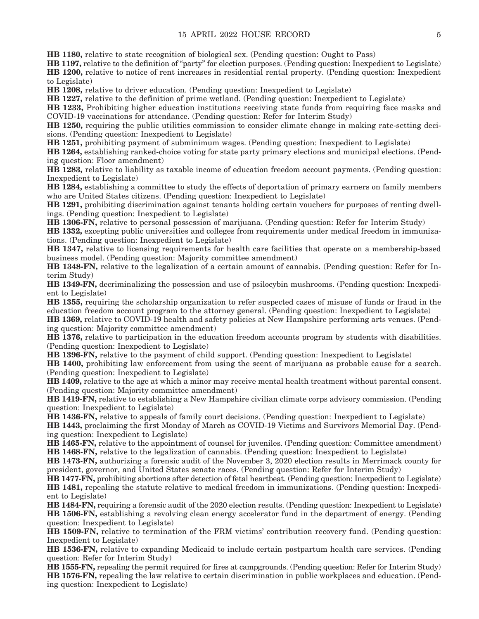**HB 1180,** relative to state recognition of biological sex. (Pending question: Ought to Pass)

**HB 1197,** relative to the definition of "party" for election purposes. (Pending question: Inexpedient to Legislate) **HB 1200,** relative to notice of rent increases in residential rental property. (Pending question: Inexpedient to Legislate)

**HB 1208,** relative to driver education. (Pending question: Inexpedient to Legislate)

**HB 1227,** relative to the definition of prime wetland. (Pending question: Inexpedient to Legislate)

**HB 1233,** Prohibiting higher education institutions receiving state funds from requiring face masks and COVID-19 vaccinations for attendance. (Pending question: Refer for Interim Study)

**HB 1250,** requiring the public utilities commission to consider climate change in making rate-setting decisions. (Pending question: Inexpedient to Legislate)

**HB 1251,** prohibiting payment of subminimum wages. (Pending question: Inexpedient to Legislate)

**HB 1264,** establishing ranked-choice voting for state party primary elections and municipal elections. (Pending question: Floor amendment)

**HB 1283,** relative to liability as taxable income of education freedom account payments. (Pending question: Inexpedient to Legislate)

**HB 1284,** establishing a committee to study the effects of deportation of primary earners on family members who are United States citizens. (Pending question: Inexpedient to Legislate)

**HB 1291,** prohibiting discrimination against tenants holding certain vouchers for purposes of renting dwellings. (Pending question: Inexpedient to Legislate)

**HB 1306-FN,** relative to personal possession of marijuana. (Pending question: Refer for Interim Study)

**HB 1332,** excepting public universities and colleges from requirements under medical freedom in immunizations. (Pending question: Inexpedient to Legislate)

**HB 1347,** relative to licensing requirements for health care facilities that operate on a membership-based business model. (Pending question: Majority committee amendment)

**HB 1348-FN,** relative to the legalization of a certain amount of cannabis. (Pending question: Refer for Interim Study)

**HB 1349-FN,** decriminalizing the possession and use of psilocybin mushrooms. (Pending question: Inexpedient to Legislate)

**HB 1355,** requiring the scholarship organization to refer suspected cases of misuse of funds or fraud in the education freedom account program to the attorney general. (Pending question: Inexpedient to Legislate)

**HB 1369,** relative to COVID-19 health and safety policies at New Hampshire performing arts venues. (Pending question: Majority committee amendment)

**HB 1376,** relative to participation in the education freedom accounts program by students with disabilities. (Pending question: Inexpedient to Legislate)

**HB 1396-FN,** relative to the payment of child support. (Pending question: Inexpedient to Legislate)

**HB 1400,** prohibiting law enforcement from using the scent of marijuana as probable cause for a search. (Pending question: Inexpedient to Legislate)

**HB 1409,** relative to the age at which a minor may receive mental health treatment without parental consent. (Pending question: Majority committee amendment)

**HB 1419-FN,** relative to establishing a New Hampshire civilian climate corps advisory commission. (Pending question: Inexpedient to Legislate)

**HB 1436-FN,** relative to appeals of family court decisions. (Pending question: Inexpedient to Legislate)

**HB 1443,** proclaiming the first Monday of March as COVID-19 Victims and Survivors Memorial Day. (Pending question: Inexpedient to Legislate)

**HB 1465-FN,** relative to the appointment of counsel for juveniles. (Pending question: Committee amendment) **HB 1468-FN,** relative to the legalization of cannabis. (Pending question: Inexpedient to Legislate)

**HB 1473-FN,** authorizing a forensic audit of the November 3, 2020 election results in Merrimack county for president, governor, and United States senate races. (Pending question: Refer for Interim Study)

**HB 1477-FN,** prohibiting abortions after detection of fetal heartbeat. (Pending question: Inexpedient to Legislate) **HB 1481,** repealing the statute relative to medical freedom in immunizations. (Pending question: Inexpedient to Legislate)

**HB 1484-FN,** requiring a forensic audit of the 2020 election results. (Pending question: Inexpedient to Legislate) **HB 1506-FN,** establishing a revolving clean energy accelerator fund in the department of energy. (Pending question: Inexpedient to Legislate)

**HB 1509-FN,** relative to termination of the FRM victims' contribution recovery fund. (Pending question: Inexpedient to Legislate)

**HB 1536-FN,** relative to expanding Medicaid to include certain postpartum health care services. (Pending question: Refer for Interim Study)

**HB 1555-FN,** repealing the permit required for fires at campgrounds. (Pending question: Refer for Interim Study) **HB 1576-FN,** repealing the law relative to certain discrimination in public workplaces and education. (Pending question: Inexpedient to Legislate)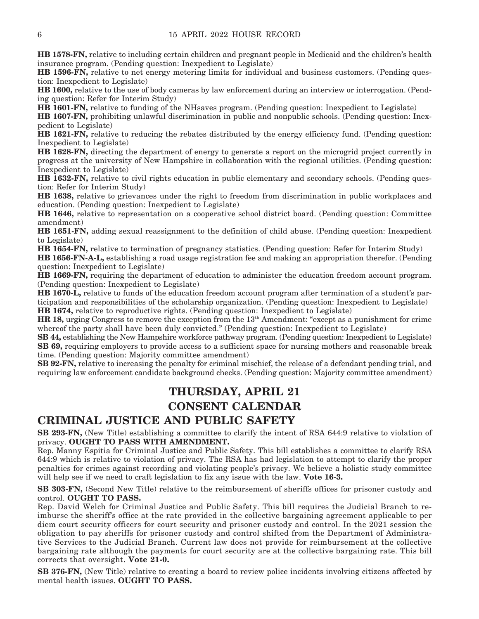**HB 1578-FN,** relative to including certain children and pregnant people in Medicaid and the children's health insurance program. (Pending question: Inexpedient to Legislate)

**HB 1596-FN,** relative to net energy metering limits for individual and business customers. (Pending question: Inexpedient to Legislate)

**HB 1600,** relative to the use of body cameras by law enforcement during an interview or interrogation. (Pending question: Refer for Interim Study)

**HB 1601-FN,** relative to funding of the NHsaves program. (Pending question: Inexpedient to Legislate)

**HB 1607-FN,** prohibiting unlawful discrimination in public and nonpublic schools. (Pending question: Inexpedient to Legislate)

**HB 1621-FN,** relative to reducing the rebates distributed by the energy efficiency fund. (Pending question: Inexpedient to Legislate)

**HB 1628-FN,** directing the department of energy to generate a report on the microgrid project currently in progress at the university of New Hampshire in collaboration with the regional utilities. (Pending question: Inexpedient to Legislate)

**HB 1632-FN,** relative to civil rights education in public elementary and secondary schools. (Pending question: Refer for Interim Study)

**HB 1638,** relative to grievances under the right to freedom from discrimination in public workplaces and education. (Pending question: Inexpedient to Legislate)

**HB 1646,** relative to representation on a cooperative school district board. (Pending question: Committee amendment)

**HB 1651-FN,** adding sexual reassignment to the definition of child abuse. (Pending question: Inexpedient to Legislate)

**HB 1654-FN,** relative to termination of pregnancy statistics. (Pending question: Refer for Interim Study)

**HB 1656-FN-A-L,** establishing a road usage registration fee and making an appropriation therefor. (Pending question: Inexpedient to Legislate)

**HB 1669-FN,** requiring the department of education to administer the education freedom account program. (Pending question: Inexpedient to Legislate)

**HB 1670-L,** relative to funds of the education freedom account program after termination of a student's participation and responsibilities of the scholarship organization. (Pending question: Inexpedient to Legislate) **HB 1674,** relative to reproductive rights. (Pending question: Inexpedient to Legislate)

**HR 18,** urging Congress to remove the exception from the 13th Amendment: "except as a punishment for crime whereof the party shall have been duly convicted." (Pending question: Inexpedient to Legislate)

**SB 44,** establishing the New Hampshire workforce pathway program. (Pending question: Inexpedient to Legislate) **SB 69,** requiring employers to provide access to a sufficient space for nursing mothers and reasonable break time. (Pending question: Majority committee amendment)

**SB 92-FN,** relative to increasing the penalty for criminal mischief, the release of a defendant pending trial, and requiring law enforcement candidate background checks. (Pending question: Majority committee amendment)

### **THURSDAY, APRIL 21 CONSENT CALENDAR**

#### **CRIMINAL JUSTICE AND PUBLIC SAFETY**

**SB 293-FN,** (New Title) establishing a committee to clarify the intent of RSA 644:9 relative to violation of privacy. **OUGHT TO PASS WITH AMENDMENT.**

Rep. Manny Espitia for Criminal Justice and Public Safety. This bill establishes a committee to clarify RSA 644:9 which is relative to violation of privacy. The RSA has had legislation to attempt to clarify the proper penalties for crimes against recording and violating people's privacy. We believe a holistic study committee will help see if we need to craft legislation to fix any issue with the law. **Vote 16-3.**

**SB 303-FN,** (Second New Title) relative to the reimbursement of sheriffs offices for prisoner custody and control. **OUGHT TO PASS.**

Rep. David Welch for Criminal Justice and Public Safety. This bill requires the Judicial Branch to reimburse the sheriff's office at the rate provided in the collective bargaining agreement applicable to per diem court security officers for court security and prisoner custody and control. In the 2021 session the obligation to pay sheriffs for prisoner custody and control shifted from the Department of Administrative Services to the Judicial Branch. Current law does not provide for reimbursement at the collective bargaining rate although the payments for court security are at the collective bargaining rate. This bill corrects that oversight. **Vote 21-0.**

**SB 376-FN,** (New Title) relative to creating a board to review police incidents involving citizens affected by mental health issues. **OUGHT TO PASS.**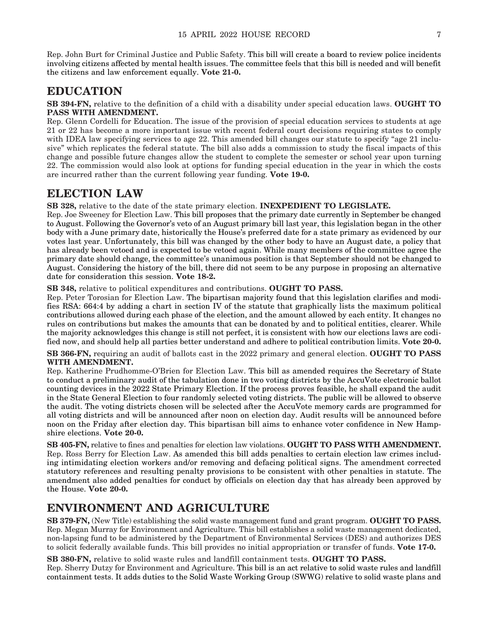Rep. John Burt for Criminal Justice and Public Safety. This bill will create a board to review police incidents involving citizens affected by mental health issues. The committee feels that this bill is needed and will benefit the citizens and law enforcement equally. **Vote 21-0.**

### **EDUCATION**

**SB 394-FN,** relative to the definition of a child with a disability under special education laws. **OUGHT TO PASS WITH AMENDMENT.**

Rep. Glenn Cordelli for Education. The issue of the provision of special education services to students at age 21 or 22 has become a more important issue with recent federal court decisions requiring states to comply with IDEA law specifying services to age 22. This amended bill changes our statute to specify "age 21 inclusive" which replicates the federal statute. The bill also adds a commission to study the fiscal impacts of this change and possible future changes allow the student to complete the semester or school year upon turning 22. The commission would also look at options for funding special education in the year in which the costs are incurred rather than the current following year funding. **Vote 19-0.**

### **ELECTION LAW**

**SB 328,** relative to the date of the state primary election. **INEXPEDIENT TO LEGISLATE.**

Rep. Joe Sweeney for Election Law. This bill proposes that the primary date currently in September be changed to August. Following the Governor's veto of an August primary bill last year, this legislation began in the other body with a June primary date, historically the House's preferred date for a state primary as evidenced by our votes last year. Unfortunately, this bill was changed by the other body to have an August date, a policy that has already been vetoed and is expected to be vetoed again. While many members of the committee agree the primary date should change, the committee's unanimous position is that September should not be changed to August. Considering the history of the bill, there did not seem to be any purpose in proposing an alternative date for consideration this session. **Vote 18-2.**

**SB 348,** relative to political expenditures and contributions. **OUGHT TO PASS.**

Rep. Peter Torosian for Election Law. The bipartisan majority found that this legislation clarifies and modifies RSA: 664:4 by adding a chart in section IV of the statute that graphically lists the maximum political contributions allowed during each phase of the election, and the amount allowed by each entity. It changes no rules on contributions but makes the amounts that can be donated by and to political entities, clearer. While the majority acknowledges this change is still not perfect, it is consistent with how our elections laws are codified now, and should help all parties better understand and adhere to political contribution limits. **Vote 20-0.**

**SB 366-FN,** requiring an audit of ballots cast in the 2022 primary and general election. **OUGHT TO PASS WITH AMENDMENT.**

Rep. Katherine Prudhomme-O'Brien for Election Law. This bill as amended requires the Secretary of State to conduct a preliminary audit of the tabulation done in two voting districts by the AccuVote electronic ballot counting devices in the 2022 State Primary Election. If the process proves feasible, he shall expand the audit in the State General Election to four randomly selected voting districts. The public will be allowed to observe the audit. The voting districts chosen will be selected after the AccuVote memory cards are programmed for all voting districts and will be announced after noon on election day. Audit results will be announced before noon on the Friday after election day. This bipartisan bill aims to enhance voter confidence in New Hampshire elections. **Vote 20-0.**

**SB 405-FN,** relative to fines and penalties for election law violations. **OUGHT TO PASS WITH AMENDMENT.** Rep. Ross Berry for Election Law. As amended this bill adds penalties to certain election law crimes including intimidating election workers and/or removing and defacing political signs. The amendment corrected statutory references and resulting penalty provisions to be consistent with other penalties in statute. The amendment also added penalties for conduct by officials on election day that has already been approved by the House. **Vote 20-0.**

### **ENVIRONMENT AND AGRICULTURE**

**SB 379-FN,** (New Title) establishing the solid waste management fund and grant program. **OUGHT TO PASS.** Rep. Megan Murray for Environment and Agriculture. This bill establishes a solid waste management dedicated, non-lapsing fund to be administered by the Department of Environmental Services (DES) and authorizes DES to solicit federally available funds. This bill provides no initial appropriation or transfer of funds. **Vote 17-0.**

**SB 380-FN,** relative to solid waste rules and landfill containment tests. **OUGHT TO PASS.** Rep. Sherry Dutzy for Environment and Agriculture. This bill is an act relative to solid waste rules and landfill containment tests. It adds duties to the Solid Waste Working Group (SWWG) relative to solid waste plans and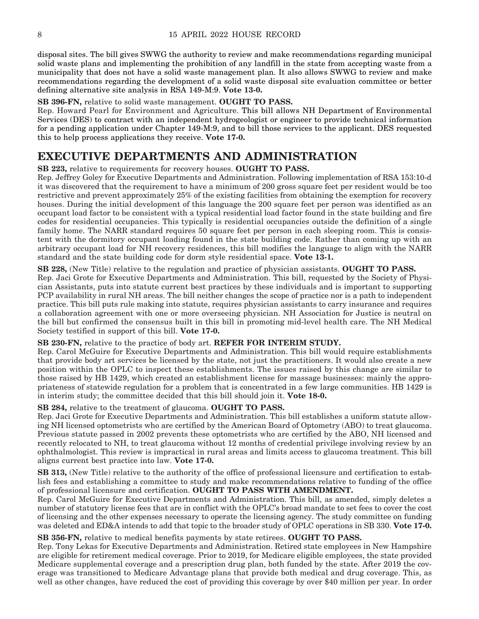disposal sites. The bill gives SWWG the authority to review and make recommendations regarding municipal solid waste plans and implementing the prohibition of any landfill in the state from accepting waste from a municipality that does not have a solid waste management plan. It also allows SWWG to review and make recommendations regarding the development of a solid waste disposal site evaluation committee or better defining alternative site analysis in RSA 149-M:9. **Vote 13-0.**

#### **SB 396-FN,** relative to solid waste management. **OUGHT TO PASS.**

Rep. Howard Pearl for Environment and Agriculture. This bill allows NH Department of Environmental Services (DES) to contract with an independent hydrogeologist or engineer to provide technical information for a pending application under Chapter 149-M:9, and to bill those services to the applicant. DES requested this to help process applications they receive. **Vote 17-0.**

### **EXECUTIVE DEPARTMENTS AND ADMINISTRATION**

**SB 223,** relative to requirements for recovery houses. **OUGHT TO PASS.**

Rep. Jeffrey Goley for Executive Departments and Administration. Following implementation of RSA 153:10-d it was discovered that the requirement to have a minimum of 200 gross square feet per resident would be too restrictive and prevent approximately 25% of the existing facilities from obtaining the exemption for recovery houses. During the initial development of this language the 200 square feet per person was identified as an occupant load factor to be consistent with a typical residential load factor found in the state building and fire codes for residential occupancies. This typically is residential occupancies outside the definition of a single family home. The NARR standard requires 50 square feet per person in each sleeping room. This is consistent with the dormitory occupant loading found in the state building code. Rather than coming up with an arbitrary occupant load for NH recovery residences, this bill modifies the language to align with the NARR standard and the state building code for dorm style residential space. **Vote 13-1.**

#### **SB 228,** (New Title) relative to the regulation and practice of physician assistants. **OUGHT TO PASS.**

Rep. Jaci Grote for Executive Departments and Administration. This bill, requested by the Society of Physician Assistants, puts into statute current best practices by these individuals and is important to supporting PCP availability in rural NH areas. The bill neither changes the scope of practice nor is a path to independent practice. This bill puts rule making into statute, requires physician assistants to carry insurance and requires a collaboration agreement with one or more overseeing physician. NH Association for Justice is neutral on the bill but confirmed the consensus built in this bill in promoting mid-level health care. The NH Medical Society testified in support of this bill. **Vote 17-0.**

**SB 230-FN,** relative to the practice of body art. **REFER FOR INTERIM STUDY.**

Rep. Carol McGuire for Executive Departments and Administration. This bill would require establishments that provide body art services be licensed by the state, not just the practitioners. It would also create a new position within the OPLC to inspect these establishments. The issues raised by this change are similar to those raised by HB 1429, which created an establishment license for massage businesses: mainly the appropriateness of statewide regulation for a problem that is concentrated in a few large communities. HB 1429 is in interim study; the committee decided that this bill should join it. **Vote 18-0.**

#### **SB 284,** relative to the treatment of glaucoma. **OUGHT TO PASS.**

Rep. Jaci Grote for Executive Departments and Administration. This bill establishes a uniform statute allowing NH licensed optometrists who are certified by the American Board of Optometry (ABO) to treat glaucoma. Previous statute passed in 2002 prevents these optometrists who are certified by the ABO, NH licensed and recently relocated to NH, to treat glaucoma without 12 months of credential privilege involving review by an ophthalmologist. This review is impractical in rural areas and limits access to glaucoma treatment. This bill aligns current best practice into law. **Vote 17-0.**

**SB 313,** (New Title) relative to the authority of the office of professional licensure and certification to establish fees and establishing a committee to study and make recommendations relative to funding of the office of professional licensure and certification. **OUGHT TO PASS WITH AMENDMENT.**

Rep. Carol McGuire for Executive Departments and Administration. This bill, as amended, simply deletes a number of statutory license fees that are in conflict with the OPLC's broad mandate to set fees to cover the cost of licensing and the other expenses necessary to operate the licensing agency. The study committee on funding was deleted and ED&A intends to add that topic to the broader study of OPLC operations in SB 330. **Vote 17-0.**

#### **SB 356-FN,** relative to medical benefits payments by state retirees. **OUGHT TO PASS.**

Rep. Tony Lekas for Executive Departments and Administration. Retired state employees in New Hampshire are eligible for retirement medical coverage. Prior to 2019, for Medicare eligible employees, the state provided Medicare supplemental coverage and a prescription drug plan, both funded by the state. After 2019 the coverage was transitioned to Medicare Advantage plans that provide both medical and drug coverage. This, as well as other changes, have reduced the cost of providing this coverage by over \$40 million per year. In order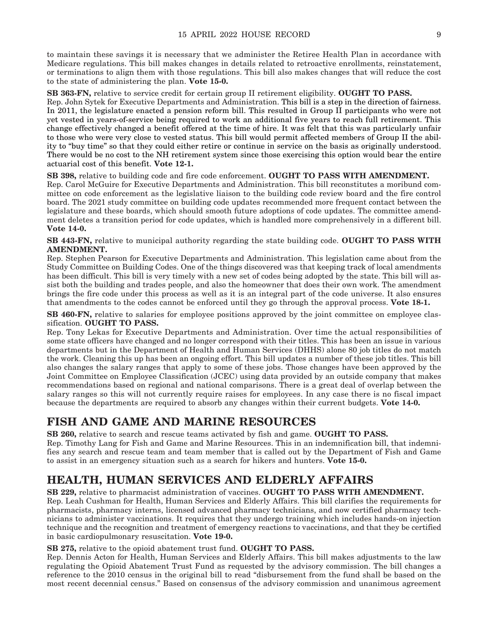to maintain these savings it is necessary that we administer the Retiree Health Plan in accordance with Medicare regulations. This bill makes changes in details related to retroactive enrollments, reinstatement, or terminations to align them with those regulations. This bill also makes changes that will reduce the cost to the state of administering the plan. **Vote 15-0.**

**SB 363-FN,** relative to service credit for certain group II retirement eligibility. **OUGHT TO PASS.**

Rep. John Sytek for Executive Departments and Administration. This bill is a step in the direction of fairness. In 2011, the legislature enacted a pension reform bill. This resulted in Group II participants who were not yet vested in years-of-service being required to work an additional five years to reach full retirement. This change effectively changed a benefit offered at the time of hire. It was felt that this was particularly unfair to those who were very close to vested status. This bill would permit affected members of Group II the ability to "buy time" so that they could either retire or continue in service on the basis as originally understood. There would be no cost to the NH retirement system since those exercising this option would bear the entire actuarial cost of this benefit. **Vote 12-1.**

**SB 398,** relative to building code and fire code enforcement. **OUGHT TO PASS WITH AMENDMENT.** Rep. Carol McGuire for Executive Departments and Administration. This bill reconstitutes a moribund committee on code enforcement as the legislative liaison to the building code review board and the fire control board. The 2021 study committee on building code updates recommended more frequent contact between the legislature and these boards, which should smooth future adoptions of code updates. The committee amendment deletes a transition period for code updates, which is handled more comprehensively in a different bill. **Vote 14-0.**

**SB 443-FN,** relative to municipal authority regarding the state building code. **OUGHT TO PASS WITH AMENDMENT.**

Rep. Stephen Pearson for Executive Departments and Administration. This legislation came about from the Study Committee on Building Codes. One of the things discovered was that keeping track of local amendments has been difficult. This bill is very timely with a new set of codes being adopted by the state. This bill will assist both the building and trades people, and also the homeowner that does their own work. The amendment brings the fire code under this process as well as it is an integral part of the code universe. It also ensures that amendments to the codes cannot be enforced until they go through the approval process. **Vote 18-1.**

**SB 460-FN,** relative to salaries for employee positions approved by the joint committee on employee classification. **OUGHT TO PASS.**

Rep. Tony Lekas for Executive Departments and Administration. Over time the actual responsibilities of some state officers have changed and no longer correspond with their titles. This has been an issue in various departments but in the Department of Health and Human Services (DHHS) alone 80 job titles do not match the work. Cleaning this up has been an ongoing effort. This bill updates a number of these job titles. This bill also changes the salary ranges that apply to some of these jobs. Those changes have been approved by the Joint Committee on Employee Classification (JCEC) using data provided by an outside company that makes recommendations based on regional and national comparisons. There is a great deal of overlap between the salary ranges so this will not currently require raises for employees. In any case there is no fiscal impact because the departments are required to absorb any changes within their current budgets. **Vote 14-0.**

### **FISH AND GAME AND MARINE RESOURCES**

**SB 260,** relative to search and rescue teams activated by fish and game. **OUGHT TO PASS.**

Rep. Timothy Lang for Fish and Game and Marine Resources. This in an indemnification bill, that indemnifies any search and rescue team and team member that is called out by the Department of Fish and Game to assist in an emergency situation such as a search for hikers and hunters. **Vote 15-0.**

### **HEALTH, HUMAN SERVICES AND ELDERLY AFFAIRS**

**SB 229,** relative to pharmacist administration of vaccines. **OUGHT TO PASS WITH AMENDMENT.**

Rep. Leah Cushman for Health, Human Services and Elderly Affairs. This bill clarifies the requirements for pharmacists, pharmacy interns, licensed advanced pharmacy technicians, and now certified pharmacy technicians to administer vaccinations. It requires that they undergo training which includes hands-on injection technique and the recognition and treatment of emergency reactions to vaccinations, and that they be certified in basic cardiopulmonary resuscitation. **Vote 19-0.**

#### **SB 275,** relative to the opioid abatement trust fund. **OUGHT TO PASS.**

Rep. Dennis Acton for Health, Human Services and Elderly Affairs. This bill makes adjustments to the law regulating the Opioid Abatement Trust Fund as requested by the advisory commission. The bill changes a reference to the 2010 census in the original bill to read "disbursement from the fund shall be based on the most recent decennial census." Based on consensus of the advisory commission and unanimous agreement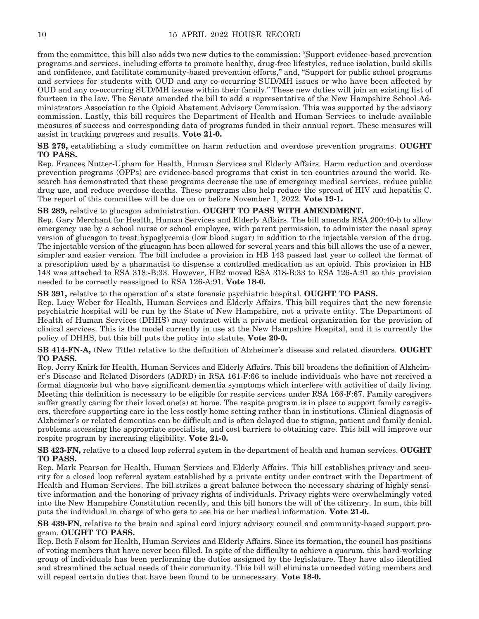from the committee, this bill also adds two new duties to the commission: "Support evidence-based prevention programs and services, including efforts to promote healthy, drug-free lifestyles, reduce isolation, build skills and confidence, and facilitate community-based prevention efforts," and, "Support for public school programs and services for students with OUD and any co-occurring SUD/MH issues or who have been affected by OUD and any co-occurring SUD/MH issues within their family." These new duties will join an existing list of fourteen in the law. The Senate amended the bill to add a representative of the New Hampshire School Administrators Association to the Opioid Abatement Advisory Commission. This was supported by the advisory commission. Lastly, this bill requires the Department of Health and Human Services to include available measures of success and corresponding data of programs funded in their annual report. These measures will assist in tracking progress and results. **Vote 21-0.**

**SB 279,** establishing a study committee on harm reduction and overdose prevention programs. **OUGHT TO PASS.**

Rep. Frances Nutter-Upham for Health, Human Services and Elderly Affairs. Harm reduction and overdose prevention programs (OPPs) are evidence-based programs that exist in ten countries around the world. Research has demonstrated that these programs decrease the use of emergency medical services, reduce public drug use, and reduce overdose deaths. These programs also help reduce the spread of HIV and hepatitis C. The report of this committee will be due on or before November 1, 2022. **Vote 19-1.**

**SB 289,** relative to glucagon administration. **OUGHT TO PASS WITH AMENDMENT.**

Rep. Gary Merchant for Health, Human Services and Elderly Affairs. The bill amends RSA 200:40-b to allow emergency use by a school nurse or school employee, with parent permission, to administer the nasal spray version of glucagon to treat hypoglycemia (low blood sugar) in addition to the injectable version of the drug. The injectable version of the glucagon has been allowed for several years and this bill allows the use of a newer, simpler and easier version. The bill includes a provision in HB 143 passed last year to collect the format of a prescription used by a pharmacist to dispense a controlled medication as an opioid. This provision in HB 143 was attached to RSA 318:-B:33. However, HB2 moved RSA 318-B:33 to RSA 126-A:91 so this provision needed to be correctly reassigned to RSA 126-A:91. **Vote 18-0.**

**SB 391,** relative to the operation of a state forensic psychiatric hospital. **OUGHT TO PASS.**

Rep. Lucy Weber for Health, Human Services and Elderly Affairs. This bill requires that the new forensic psychiatric hospital will be run by the State of New Hampshire, not a private entity. The Department of Health of Human Services (DHHS) may contract with a private medical organization for the provision of clinical services. This is the model currently in use at the New Hampshire Hospital, and it is currently the policy of DHHS, but this bill puts the policy into statute. **Vote 20-0.**

**SB 414-FN-A,** (New Title) relative to the definition of Alzheimer's disease and related disorders. **OUGHT TO PASS.**

Rep. Jerry Knirk for Health, Human Services and Elderly Affairs. This bill broadens the definition of Alzheimer's Disease and Related Disorders (ADRD) in RSA 161-F:66 to include individuals who have not received a formal diagnosis but who have significant dementia symptoms which interfere with activities of daily living. Meeting this definition is necessary to be eligible for respite services under RSA 166-F:67. Family caregivers suffer greatly caring for their loved one(s) at home. The respite program is in place to support family caregivers, therefore supporting care in the less costly home setting rather than in institutions. Clinical diagnosis of Alzheimer's or related dementias can be difficult and is often delayed due to stigma, patient and family denial, problems accessing the appropriate specialists, and cost barriers to obtaining care. This bill will improve our respite program by increasing eligibility. **Vote 21-0.**

**SB 423-FN,** relative to a closed loop referral system in the department of health and human services. **OUGHT TO PASS.**

Rep. Mark Pearson for Health, Human Services and Elderly Affairs. This bill establishes privacy and security for a closed loop referral system established by a private entity under contract with the Department of Health and Human Services. The bill strikes a great balance between the necessary sharing of highly sensitive information and the honoring of privacy rights of individuals. Privacy rights were overwhelmingly voted into the New Hampshire Constitution recently, and this bill honors the will of the citizenry. In sum, this bill puts the individual in charge of who gets to see his or her medical information. **Vote 21-0.**

**SB 439-FN,** relative to the brain and spinal cord injury advisory council and community-based support program. **OUGHT TO PASS.**

Rep. Beth Folsom for Health, Human Services and Elderly Affairs. Since its formation, the council has positions of voting members that have never been filled. In spite of the difficulty to achieve a quorum, this hard-working group of individuals has been performing the duties assigned by the legislature. They have also identified and streamlined the actual needs of their community. This bill will eliminate unneeded voting members and will repeal certain duties that have been found to be unnecessary. **Vote 18-0.**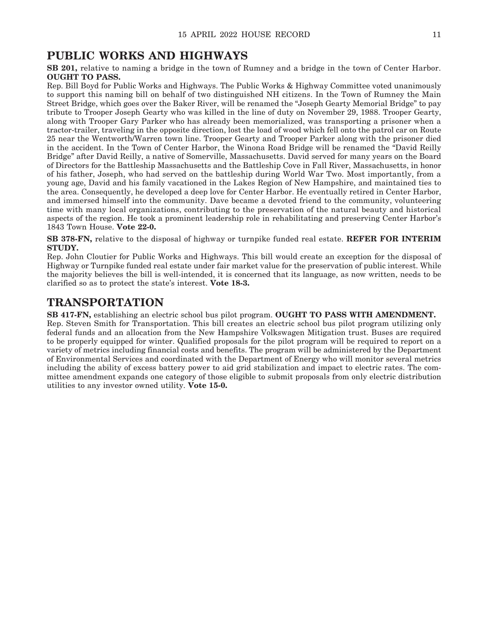### **PUBLIC WORKS AND HIGHWAYS**

**SB 201,** relative to naming a bridge in the town of Rumney and a bridge in the town of Center Harbor. **OUGHT TO PASS.**

Rep. Bill Boyd for Public Works and Highways. The Public Works & Highway Committee voted unanimously to support this naming bill on behalf of two distinguished NH citizens. In the Town of Rumney the Main Street Bridge, which goes over the Baker River, will be renamed the "Joseph Gearty Memorial Bridge" to pay tribute to Trooper Joseph Gearty who was killed in the line of duty on November 29, 1988. Trooper Gearty, along with Trooper Gary Parker who has already been memorialized, was transporting a prisoner when a tractor-trailer, traveling in the opposite direction, lost the load of wood which fell onto the patrol car on Route 25 near the Wentworth/Warren town line. Trooper Gearty and Trooper Parker along with the prisoner died in the accident. In the Town of Center Harbor, the Winona Road Bridge will be renamed the "David Reilly Bridge" after David Reilly, a native of Somerville, Massachusetts. David served for many years on the Board of Directors for the Battleship Massachusetts and the Battleship Cove in Fall River, Massachusetts, in honor of his father, Joseph, who had served on the battleship during World War Two. Most importantly, from a young age, David and his family vacationed in the Lakes Region of New Hampshire, and maintained ties to the area. Consequently, he developed a deep love for Center Harbor. He eventually retired in Center Harbor, and immersed himself into the community. Dave became a devoted friend to the community, volunteering time with many local organizations, contributing to the preservation of the natural beauty and historical aspects of the region. He took a prominent leadership role in rehabilitating and preserving Center Harbor's 1843 Town House. **Vote 22-0.**

**SB 378-FN,** relative to the disposal of highway or turnpike funded real estate. **REFER FOR INTERIM STUDY.**

Rep. John Cloutier for Public Works and Highways. This bill would create an exception for the disposal of Highway or Turnpike funded real estate under fair market value for the preservation of public interest. While the majority believes the bill is well-intended, it is concerned that its language, as now written, needs to be clarified so as to protect the state's interest. **Vote 18-3.**

### **TRANSPORTATION**

**SB 417-FN,** establishing an electric school bus pilot program. **OUGHT TO PASS WITH AMENDMENT.** Rep. Steven Smith for Transportation. This bill creates an electric school bus pilot program utilizing only federal funds and an allocation from the New Hampshire Volkswagen Mitigation trust. Buses are required to be properly equipped for winter. Qualified proposals for the pilot program will be required to report on a variety of metrics including financial costs and benefits. The program will be administered by the Department of Environmental Services and coordinated with the Department of Energy who will monitor several metrics including the ability of excess battery power to aid grid stabilization and impact to electric rates. The committee amendment expands one category of those eligible to submit proposals from only electric distribution utilities to any investor owned utility. **Vote 15-0.**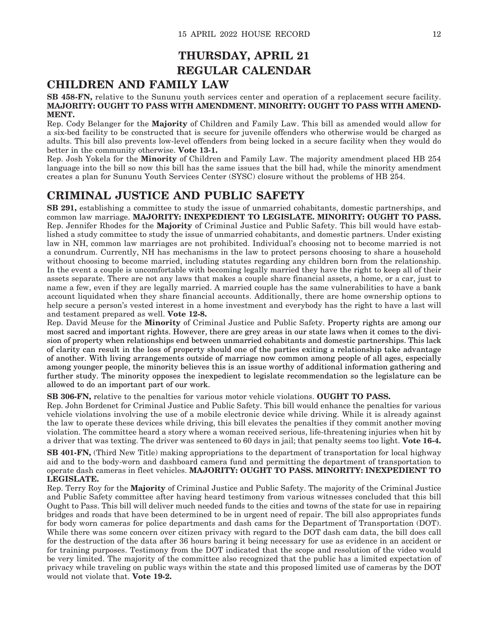### **THURSDAY, APRIL 21 REGULAR CALENDAR**

### **CHILDREN AND FAMILY LAW**

#### **SB 458-FN,** relative to the Sununu youth services center and operation of a replacement secure facility. **MAJORITY: OUGHT TO PASS WITH AMENDMENT. MINORITY: OUGHT TO PASS WITH AMEND-MENT.**

Rep. Cody Belanger for the **Majority** of Children and Family Law. This bill as amended would allow for a six-bed facility to be constructed that is secure for juvenile offenders who otherwise would be charged as adults. This bill also prevents low-level offenders from being locked in a secure facility when they would do better in the community otherwise. **Vote 13-1.**

Rep. Josh Yokela for the **Minority** of Children and Family Law. The majority amendment placed HB 254 language into the bill so now this bill has the same issues that the bill had, while the minority amendment creates a plan for Sununu Youth Services Center (SYSC) closure without the problems of HB 254.

### **CRIMINAL JUSTICE AND PUBLIC SAFETY**

**SB 291,** establishing a committee to study the issue of unmarried cohabitants, domestic partnerships, and common law marriage. **MAJORITY: INEXPEDIENT TO LEGISLATE. MINORITY: OUGHT TO PASS.** Rep. Jennifer Rhodes for the **Majority** of Criminal Justice and Public Safety. This bill would have established a study committee to study the issue of unmarried cohabitants, and domestic partners. Under existing law in NH, common law marriages are not prohibited. Individual's choosing not to become married is not a conundrum. Currently, NH has mechanisms in the law to protect persons choosing to share a household without choosing to become married, including statutes regarding any children born from the relationship. In the event a couple is uncomfortable with becoming legally married they have the right to keep all of their assets separate. There are not any laws that makes a couple share financial assets, a home, or a car, just to name a few, even if they are legally married. A married couple has the same vulnerabilities to have a bank account liquidated when they share financial accounts. Additionally, there are home ownership options to help secure a person's vested interest in a home investment and everybody has the right to have a last will and testament prepared as well. **Vote 12-8.**

Rep. David Meuse for the **Minority** of Criminal Justice and Public Safety. Property rights are among our most sacred and important rights. However, there are grey areas in our state laws when it comes to the division of property when relationships end between unmarried cohabitants and domestic partnerships. This lack of clarity can result in the loss of property should one of the parties exiting a relationship take advantage of another. With living arrangements outside of marriage now common among people of all ages, especially among younger people, the minority believes this is an issue worthy of additional information gathering and further study. The minority opposes the inexpedient to legislate recommendation so the legislature can be allowed to do an important part of our work.

**SB 306-FN,** relative to the penalties for various motor vehicle violations. **OUGHT TO PASS.**

Rep. John Bordenet for Criminal Justice and Public Safety. This bill would enhance the penalties for various vehicle violations involving the use of a mobile electronic device while driving. While it is already against the law to operate these devices while driving, this bill elevates the penalties if they commit another moving violation. The committee heard a story where a woman received serious, life-threatening injuries when hit by a driver that was texting. The driver was sentenced to 60 days in jail; that penalty seems too light. **Vote 16-4.**

**SB 401-FN,** (Third New Title) making appropriations to the department of transportation for local highway aid and to the body-worn and dashboard camera fund and permitting the department of transportation to operate dash cameras in fleet vehicles. **MAJORITY: OUGHT TO PASS. MINORITY: INEXPEDIENT TO LEGISLATE.**

Rep. Terry Roy for the **Majority** of Criminal Justice and Public Safety. The majority of the Criminal Justice and Public Safety committee after having heard testimony from various witnesses concluded that this bill Ought to Pass. This bill will deliver much needed funds to the cities and towns of the state for use in repairing bridges and roads that have been determined to be in urgent need of repair. The bill also appropriates funds for body worn cameras for police departments and dash cams for the Department of Transportation (DOT). While there was some concern over citizen privacy with regard to the DOT dash cam data, the bill does call for the destruction of the data after 36 hours baring it being necessary for use as evidence in an accident or for training purposes. Testimony from the DOT indicated that the scope and resolution of the video would be very limited. The majority of the committee also recognized that the public has a limited expectation of privacy while traveling on public ways within the state and this proposed limited use of cameras by the DOT would not violate that. **Vote 19-2.**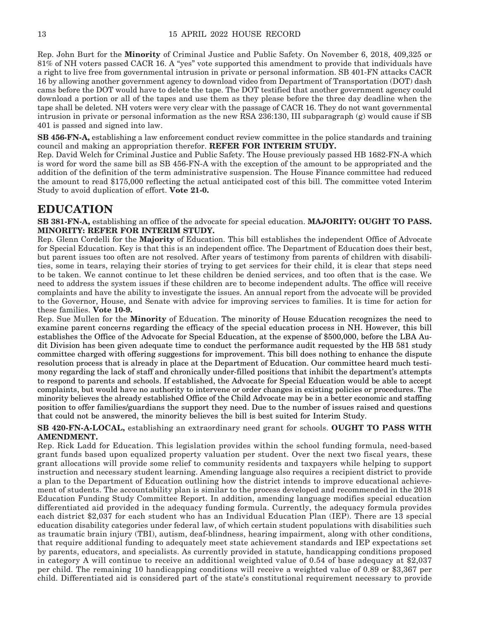Rep. John Burt for the **Minority** of Criminal Justice and Public Safety. On November 6, 2018, 409,325 or 81% of NH voters passed CACR 16. A "yes" vote supported this amendment to provide that individuals have a right to live free from governmental intrusion in private or personal information. SB 401-FN attacks CACR 16 by allowing another government agency to download video from Department of Transportation (DOT) dash cams before the DOT would have to delete the tape. The DOT testified that another government agency could download a portion or all of the tapes and use them as they please before the three day deadline when the tape shall be deleted. NH voters were very clear with the passage of CACR 16. They do not want governmental intrusion in private or personal information as the new RSA 236:130, III subparagraph (g) would cause if SB 401 is passed and signed into law.

**SB 456-FN-A,** establishing a law enforcement conduct review committee in the police standards and training council and making an appropriation therefor. **REFER FOR INTERIM STUDY.**

Rep. David Welch for Criminal Justice and Public Safety. The House previously passed HB 1682-FN-A which is word for word the same bill as SB 456-FN-A with the exception of the amount to be appropriated and the addition of the definition of the term administrative suspension. The House Finance committee had reduced the amount to read \$175,000 reflecting the actual anticipated cost of this bill. The committee voted Interim Study to avoid duplication of effort. **Vote 21-0.**

### **EDUCATION**

**SB 381-FN-A,** establishing an office of the advocate for special education. **MAJORITY: OUGHT TO PASS. MINORITY: REFER FOR INTERIM STUDY.**

Rep. Glenn Cordelli for the **Majority** of Education. This bill establishes the independent Office of Advocate for Special Education. Key is that this is an independent office. The Department of Education does their best, but parent issues too often are not resolved. After years of testimony from parents of children with disabilities, some in tears, relaying their stories of trying to get services for their child, it is clear that steps need to be taken. We cannot continue to let these children be denied services, and too often that is the case. We need to address the system issues if these children are to become independent adults. The office will receive complaints and have the ability to investigate the issues. An annual report from the advocate will be provided to the Governor, House, and Senate with advice for improving services to families. It is time for action for these families. **Vote 10-9.**

Rep. Sue Mullen for the **Minority** of Education. The minority of House Education recognizes the need to examine parent concerns regarding the efficacy of the special education process in NH. However, this bill establishes the Office of the Advocate for Special Education, at the expense of \$500,000, before the LBA Audit Division has been given adequate time to conduct the performance audit requested by the HB 581 study committee charged with offering suggestions for improvement. This bill does nothing to enhance the dispute resolution process that is already in place at the Department of Education. Our committee heard much testimony regarding the lack of staff and chronically under-filled positions that inhibit the department's attempts to respond to parents and schools. If established, the Advocate for Special Education would be able to accept complaints, but would have no authority to intervene or order changes in existing policies or procedures. The minority believes the already established Office of the Child Advocate may be in a better economic and staffing position to offer families/guardians the support they need. Due to the number of issues raised and questions that could not be answered, the minority believes the bill is best suited for Interim Study.

**SB 420-FN-A-LOCAL,** establishing an extraordinary need grant for schools. **OUGHT TO PASS WITH AMENDMENT.**

Rep. Rick Ladd for Education. This legislation provides within the school funding formula, need-based grant funds based upon equalized property valuation per student. Over the next two fiscal years, these grant allocations will provide some relief to community residents and taxpayers while helping to support instruction and necessary student learning. Amending language also requires a recipient district to provide a plan to the Department of Education outlining how the district intends to improve educational achievement of students. The accountability plan is similar to the process developed and recommended in the 2018 Education Funding Study Committee Report. In addition, amending language modifies special education differentiated aid provided in the adequacy funding formula. Currently, the adequacy formula provides each district \$2,037 for each student who has an Individual Education Plan (IEP). There are 13 special education disability categories under federal law, of which certain student populations with disabilities such as traumatic brain injury (TBI), autism, deaf-blindness, hearing impairment, along with other conditions, that require additional funding to adequately meet state achievement standards and IEP expectations set by parents, educators, and specialists. As currently provided in statute, handicapping conditions proposed in category A will continue to receive an additional weighted value of 0.54 of base adequacy at \$2,037 per child. The remaining 10 handicapping conditions will receive a weighted value of 0.89 or \$3,367 per child. Differentiated aid is considered part of the state's constitutional requirement necessary to provide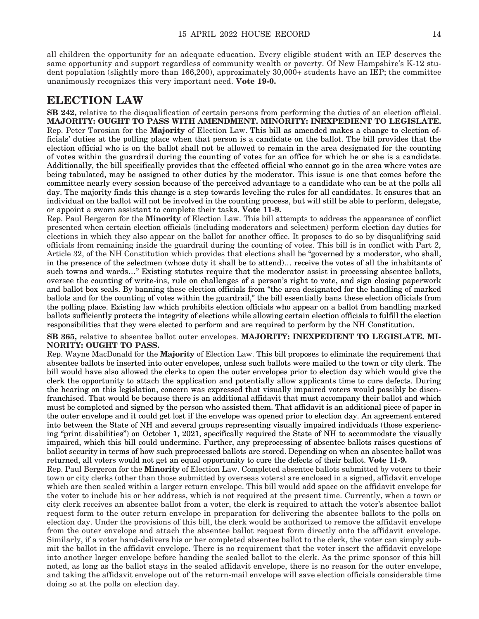all children the opportunity for an adequate education. Every eligible student with an IEP deserves the same opportunity and support regardless of community wealth or poverty. Of New Hampshire's K-12 student population (slightly more than 166,200), approximately 30,000+ students have an IEP; the committee unanimously recognizes this very important need. **Vote 19-0.**

### **ELECTION LAW**

**SB 242,** relative to the disqualification of certain persons from performing the duties of an election official. **MAJORITY: OUGHT TO PASS WITH AMENDMENT. MINORITY: INEXPEDIENT TO LEGISLATE.** Rep. Peter Torosian for the **Majority** of Election Law. This bill as amended makes a change to election officials' duties at the polling place when that person is a candidate on the ballot. The bill provides that the election official who is on the ballot shall not be allowed to remain in the area designated for the counting of votes within the guardrail during the counting of votes for an office for which he or she is a candidate. Additionally, the bill specifically provides that the effected official who cannot go in the area where votes are being tabulated, may be assigned to other duties by the moderator. This issue is one that comes before the committee nearly every session because of the perceived advantage to a candidate who can be at the polls all day. The majority finds this change is a step towards leveling the rules for all candidates. It ensures that an individual on the ballot will not be involved in the counting process, but will still be able to perform, delegate, or appoint a sworn assistant to complete their tasks. **Vote 11-9.**

Rep. Paul Bergeron for the **Minority** of Election Law. This bill attempts to address the appearance of conflict presented when certain election officials (including moderators and selectmen) perform election day duties for elections in which they also appear on the ballot for another office. It proposes to do so by disqualifying said officials from remaining inside the guardrail during the counting of votes. This bill is in conflict with Part 2, Article 32, of the NH Constitution which provides that elections shall be "governed by a moderator, who shall, in the presence of the selectmen (whose duty it shall be to attend)… receive the votes of all the inhabitants of such towns and wards…" Existing statutes require that the moderator assist in processing absentee ballots, oversee the counting of write-ins, rule on challenges of a person's right to vote, and sign closing paperwork and ballot box seals. By banning these election officials from "the area designated for the handling of marked ballots and for the counting of votes within the guardrail," the bill essentially bans these election officials from the polling place. Existing law which prohibits election officials who appear on a ballot from handling marked ballots sufficiently protects the integrity of elections while allowing certain election officials to fulfill the election responsibilities that they were elected to perform and are required to perform by the NH Constitution.

**SB 365,** relative to absentee ballot outer envelopes. **MAJORITY: INEXPEDIENT TO LEGISLATE. MI-NORITY: OUGHT TO PASS.**

Rep. Wayne MacDonald for the **Majority** of Election Law. This bill proposes to eliminate the requirement that absentee ballots be inserted into outer envelopes, unless such ballots were mailed to the town or city clerk. The bill would have also allowed the clerks to open the outer envelopes prior to election day which would give the clerk the opportunity to attach the application and potentially allow applicants time to cure defects. During the hearing on this legislation, concern was expressed that visually impaired voters would possibly be disenfranchised. That would be because there is an additional affidavit that must accompany their ballot and which must be completed and signed by the person who assisted them. That affidavit is an additional piece of paper in the outer envelope and it could get lost if the envelope was opened prior to election day. An agreement entered into between the State of NH and several groups representing visually impaired individuals (those experiencing "print disabilities") on October 1, 2021, specifically required the State of NH to accommodate the visually impaired, which this bill could undermine. Further, any preprocessing of absentee ballots raises questions of ballot security in terms of how such preprocessed ballots are stored. Depending on when an absentee ballot was returned, all voters would not get an equal opportunity to cure the defects of their ballot. **Vote 11-9.**

Rep. Paul Bergeron for the **Minority** of Election Law. Completed absentee ballots submitted by voters to their town or city clerks (other than those submitted by overseas voters) are enclosed in a signed, affidavit envelope which are then sealed within a larger return envelope. This bill would add space on the affidavit envelope for the voter to include his or her address, which is not required at the present time. Currently, when a town or city clerk receives an absentee ballot from a voter, the clerk is required to attach the voter's absentee ballot request form to the outer return envelope in preparation for delivering the absentee ballots to the polls on election day. Under the provisions of this bill, the clerk would be authorized to remove the affidavit envelope from the outer envelope and attach the absentee ballot request form directly onto the affidavit envelope. Similarly, if a voter hand-delivers his or her completed absentee ballot to the clerk, the voter can simply submit the ballot in the affidavit envelope. There is no requirement that the voter insert the affidavit envelope into another larger envelope before handing the sealed ballot to the clerk. As the prime sponsor of this bill noted, as long as the ballot stays in the sealed affidavit envelope, there is no reason for the outer envelope, and taking the affidavit envelope out of the return-mail envelope will save election officials considerable time doing so at the polls on election day.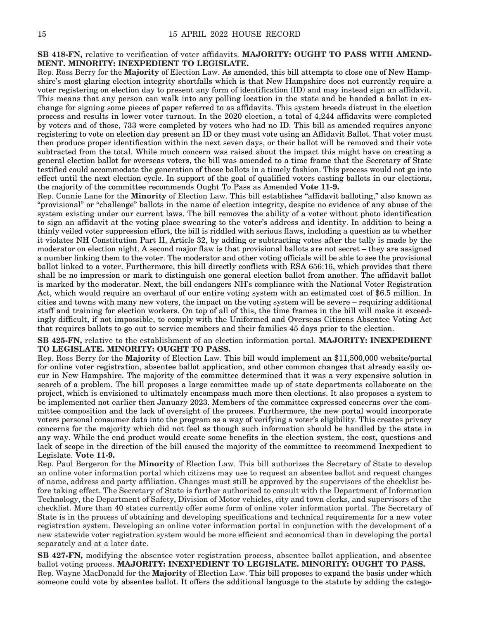**SB 418-FN,** relative to verification of voter affidavits. **MAJORITY: OUGHT TO PASS WITH AMEND-MENT. MINORITY: INEXPEDIENT TO LEGISLATE.**

Rep. Ross Berry for the **Majority** of Election Law. As amended, this bill attempts to close one of New Hampshire's most glaring election integrity shortfalls which is that New Hampshire does not currently require a voter registering on election day to present any form of identification (ID) and may instead sign an affidavit. This means that any person can walk into any polling location in the state and be handed a ballot in exchange for signing some pieces of paper referred to as affidavits. This system breeds distrust in the election process and results in lower voter turnout. In the 2020 election, a total of 4,244 affidavits were completed by voters and of those, 733 were completed by voters who had no ID. This bill as amended requires anyone registering to vote on election day present an ID or they must vote using an Affidavit Ballot. That voter must then produce proper identification within the next seven days, or their ballot will be removed and their vote subtracted from the total. While much concern was raised about the impact this might have on creating a general election ballot for overseas voters, the bill was amended to a time frame that the Secretary of State testified could accommodate the generation of those ballots in a timely fashion. This process would not go into effect until the next election cycle. In support of the goal of qualified voters casting ballots in our elections, the majority of the committee recommends Ought To Pass as Amended **Vote 11-9.**

Rep. Connie Lane for the **Minority** of Election Law. This bill establishes "affidavit balloting," also known as "provisional" or "challenge" ballots in the name of election integrity, despite no evidence of any abuse of the system existing under our current laws. The bill removes the ability of a voter without photo identification to sign an affidavit at the voting place swearing to the voter's address and identity. In addition to being a thinly veiled voter suppression effort, the bill is riddled with serious flaws, including a question as to whether it violates NH Constitution Part II, Article 32, by adding or subtracting votes after the tally is made by the moderator on election night. A second major flaw is that provisional ballots are not secret – they are assigned a number linking them to the voter. The moderator and other voting officials will be able to see the provisional ballot linked to a voter. Furthermore, this bill directly conflicts with RSA 656:16, which provides that there shall be no impression or mark to distinguish one general election ballot from another. The affidavit ballot is marked by the moderator. Next, the bill endangers NH's compliance with the National Voter Registration Act, which would require an overhaul of our entire voting system with an estimated cost of \$6.5 million. In cities and towns with many new voters, the impact on the voting system will be severe – requiring additional staff and training for election workers. On top of all of this, the time frames in the bill will make it exceedingly difficult, if not impossible, to comply with the Uniformed and Overseas Citizens Absentee Voting Act that requires ballots to go out to service members and their families 45 days prior to the election.

**SB 425-FN,** relative to the establishment of an election information portal. **MAJORITY: INEXPEDIENT TO LEGISLATE. MINORITY: OUGHT TO PASS.**

Rep. Ross Berry for the **Majority** of Election Law. This bill would implement an \$11,500,000 website/portal for online voter registration, absentee ballot application, and other common changes that already easily occur in New Hampshire. The majority of the committee determined that it was a very expensive solution in search of a problem. The bill proposes a large committee made up of state departments collaborate on the project, which is envisioned to ultimately encompass much more then elections. It also proposes a system to be implemented not earlier then January 2023. Members of the committee expressed concerns over the committee composition and the lack of oversight of the process. Furthermore, the new portal would incorporate voters personal consumer data into the program as a way of verifying a voter's eligibility. This creates privacy concerns for the majority which did not feel as though such information should be handled by the state in any way. While the end product would create some benefits in the election system, the cost, questions and lack of scope in the direction of the bill caused the majority of the committee to recommend Inexpedient to Legislate. **Vote 11-9.**

Rep. Paul Bergeron for the **Minority** of Election Law. This bill authorizes the Secretary of State to develop an online voter information portal which citizens may use to request an absentee ballot and request changes of name, address and party affiliation. Changes must still be approved by the supervisors of the checklist before taking effect. The Secretary of State is further authorized to consult with the Department of Information Technology, the Department of Safety, Division of Motor vehicles, city and town clerks, and supervisors of the checklist. More than 40 states currently offer some form of online voter information portal. The Secretary of State is in the process of obtaining and developing specifications and technical requirements for a new voter registration system. Developing an online voter information portal in conjunction with the development of a new statewide voter registration system would be more efficient and economical than in developing the portal separately and at a later date.

**SB 427-FN,** modifying the absentee voter registration process, absentee ballot application, and absentee ballot voting process. **MAJORITY: INEXPEDIENT TO LEGISLATE. MINORITY: OUGHT TO PASS.** Rep. Wayne MacDonald for the **Majority** of Election Law. This bill proposes to expand the basis under which someone could vote by absentee ballot. It offers the additional language to the statute by adding the catego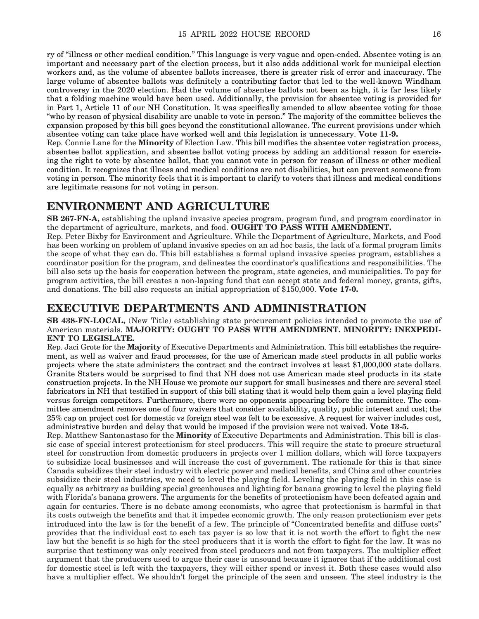ry of "illness or other medical condition." This language is very vague and open-ended. Absentee voting is an important and necessary part of the election process, but it also adds additional work for municipal election workers and, as the volume of absentee ballots increases, there is greater risk of error and inaccuracy. The large volume of absentee ballots was definitely a contributing factor that led to the well-known Windham controversy in the 2020 election. Had the volume of absentee ballots not been as high, it is far less likely that a folding machine would have been used. Additionally, the provision for absentee voting is provided for in Part 1, Article 11 of our NH Constitution. It was specifically amended to allow absentee voting for those "who by reason of physical disability are unable to vote in person." The majority of the committee believes the expansion proposed by this bill goes beyond the constitutional allowance. The current provisions under which absentee voting can take place have worked well and this legislation is unnecessary. **Vote 11-9.**

Rep. Connie Lane for the **Minority** of Election Law. This bill modifies the absentee voter registration process, absentee ballot application, and absentee ballot voting process by adding an additional reason for exercising the right to vote by absentee ballot, that you cannot vote in person for reason of illness or other medical condition. It recognizes that illness and medical conditions are not disabilities, but can prevent someone from voting in person. The minority feels that it is important to clarify to voters that illness and medical conditions are legitimate reasons for not voting in person.

### **ENVIRONMENT AND AGRICULTURE**

**SB 267-FN-A,** establishing the upland invasive species program, program fund, and program coordinator in the department of agriculture, markets, and food. **OUGHT TO PASS WITH AMENDMENT.**

Rep. Peter Bixby for Environment and Agriculture. While the Department of Agriculture, Markets, and Food has been working on problem of upland invasive species on an ad hoc basis, the lack of a formal program limits the scope of what they can do. This bill establishes a formal upland invasive species program, establishes a coordinator position for the program, and delineates the coordinator's qualifications and responsibilities. The bill also sets up the basis for cooperation between the program, state agencies, and municipalities. To pay for program activities, the bill creates a non-lapsing fund that can accept state and federal money, grants, gifts, and donations. The bill also requests an initial appropriation of \$150,000. **Vote 17-0.**

### **EXECUTIVE DEPARTMENTS AND ADMINISTRATION**

#### **SB 438-FN-LOCAL,** (New Title) establishing state procurement policies intended to promote the use of American materials. **MAJORITY: OUGHT TO PASS WITH AMENDMENT. MINORITY: INEXPEDI-ENT TO LEGISLATE.**

Rep. Jaci Grote for the **Majority** of Executive Departments and Administration. This bill establishes the requirement, as well as waiver and fraud processes, for the use of American made steel products in all public works projects where the state administers the contract and the contract involves at least \$1,000,000 state dollars. Granite Staters would be surprised to find that NH does not use American made steel products in its state construction projects. In the NH House we promote our support for small businesses and there are several steel fabricators in NH that testified in support of this bill stating that it would help them gain a level playing field versus foreign competitors. Furthermore, there were no opponents appearing before the committee. The committee amendment removes one of four waivers that consider availability, quality, public interest and cost; the 25% cap on project cost for domestic vs foreign steel was felt to be excessive. A request for waiver includes cost, administrative burden and delay that would be imposed if the provision were not waived. **Vote 13-5.**

Rep. Matthew Santonastaso for the **Minority** of Executive Departments and Administration. This bill is classic case of special interest protectionism for steel producers. This will require the state to procure structural steel for construction from domestic producers in projects over 1 million dollars, which will force taxpayers to subsidize local businesses and will increase the cost of government. The rationale for this is that since Canada subsidizes their steel industry with electric power and medical benefits, and China and other countries subsidize their steel industries, we need to level the playing field. Leveling the playing field in this case is equally as arbitrary as building special greenhouses and lighting for banana growing to level the playing field with Florida's banana growers. The arguments for the benefits of protectionism have been defeated again and again for centuries. There is no debate among economists, who agree that protectionism is harmful in that its costs outweigh the benefits and that it impedes economic growth. The only reason protectionism ever gets introduced into the law is for the benefit of a few. The principle of "Concentrated benefits and diffuse costs" provides that the individual cost to each tax payer is so low that it is not worth the effort to fight the new law but the benefit is so high for the steel producers that it is worth the effort to fight for the law. It was no surprise that testimony was only received from steel producers and not from taxpayers. The multiplier effect argument that the producers used to argue their case is unsound because it ignores that if the additional cost for domestic steel is left with the taxpayers, they will either spend or invest it. Both these cases would also have a multiplier effect. We shouldn't forget the principle of the seen and unseen. The steel industry is the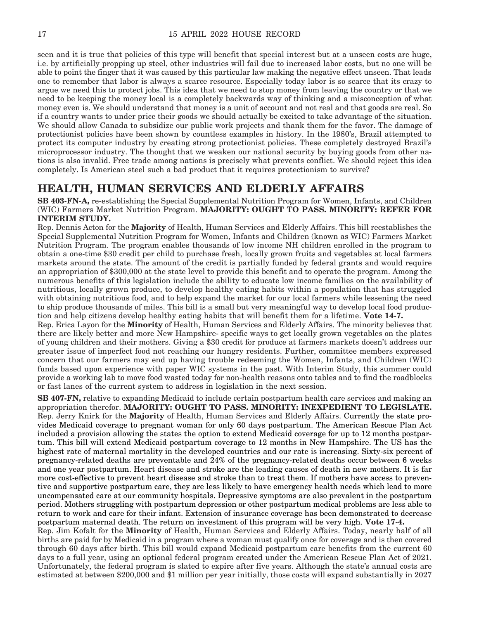seen and it is true that policies of this type will benefit that special interest but at a unseen costs are huge, i.e. by artificially propping up steel, other industries will fail due to increased labor costs, but no one will be able to point the finger that it was caused by this particular law making the negative effect unseen. That leads one to remember that labor is always a scarce resource. Especially today labor is so scarce that its crazy to argue we need this to protect jobs. This idea that we need to stop money from leaving the country or that we need to be keeping the money local is a completely backwards way of thinking and a misconception of what money even is. We should understand that money is a unit of account and not real and that goods are real. So if a country wants to under price their goods we should actually be excited to take advantage of the situation. We should allow Canada to subsidize our public work projects and thank them for the favor. The damage of protectionist policies have been shown by countless examples in history. In the 1980's, Brazil attempted to protect its computer industry by creating strong protectionist policies. These completely destroyed Brazil's microprocessor industry. The thought that we weaken our national security by buying goods from other nations is also invalid. Free trade among nations is precisely what prevents conflict. We should reject this idea completely. Is American steel such a bad product that it requires protectionism to survive?

### **HEALTH, HUMAN SERVICES AND ELDERLY AFFAIRS**

**SB 403-FN-A,** re-establishing the Special Supplemental Nutrition Program for Women, Infants, and Children (WIC) Farmers Market Nutrition Program. **MAJORITY: OUGHT TO PASS. MINORITY: REFER FOR INTERIM STUDY.**

Rep. Dennis Acton for the **Majority** of Health, Human Services and Elderly Affairs. This bill reestablishes the Special Supplemental Nutrition Program for Women, Infants and Children (known as WIC) Farmers Market Nutrition Program. The program enables thousands of low income NH children enrolled in the program to obtain a one-time \$30 credit per child to purchase fresh, locally grown fruits and vegetables at local farmers markets around the state. The amount of the credit is partially funded by federal grants and would require an appropriation of \$300,000 at the state level to provide this benefit and to operate the program. Among the numerous benefits of this legislation include the ability to educate low income families on the availability of nutritious, locally grown produce, to develop healthy eating habits within a population that has struggled with obtaining nutritious food, and to help expand the market for our local farmers while lessening the need to ship produce thousands of miles. This bill is a small but very meaningful way to develop local food production and help citizens develop healthy eating habits that will benefit them for a lifetime. **Vote 14-7.**

Rep. Erica Layon for the **Minority** of Health, Human Services and Elderly Affairs. The minority believes that there are likely better and more New Hampshire- specific ways to get locally grown vegetables on the plates of young children and their mothers. Giving a \$30 credit for produce at farmers markets doesn't address our greater issue of imperfect food not reaching our hungry residents. Further, committee members expressed concern that our farmers may end up having trouble redeeming the Women, Infants, and Children (WIC) funds based upon experience with paper WIC systems in the past. With Interim Study, this summer could provide a working lab to move food wasted today for non-health reasons onto tables and to find the roadblocks or fast lanes of the current system to address in legislation in the next session.

**SB 407-FN,** relative to expanding Medicaid to include certain postpartum health care services and making an appropriation therefor. **MAJORITY: OUGHT TO PASS. MINORITY: INEXPEDIENT TO LEGISLATE.** Rep. Jerry Knirk for the **Majority** of Health, Human Services and Elderly Affairs. Currently the state provides Medicaid coverage to pregnant woman for only 60 days postpartum. The American Rescue Plan Act included a provision allowing the states the option to extend Medicaid coverage for up to 12 months postpartum. This bill will extend Medicaid postpartum coverage to 12 months in New Hampshire. The US has the highest rate of maternal mortality in the developed countries and our rate is increasing. Sixty-six percent of pregnancy-related deaths are preventable and 24% of the pregnancy-related deaths occur between 6 weeks and one year postpartum. Heart disease and stroke are the leading causes of death in new mothers. It is far more cost-effective to prevent heart disease and stroke than to treat them. If mothers have access to preventive and supportive postpartum care, they are less likely to have emergency health needs which lead to more uncompensated care at our community hospitals. Depressive symptoms are also prevalent in the postpartum period. Mothers struggling with postpartum depression or other postpartum medical problems are less able to return to work and care for their infant. Extension of insurance coverage has been demonstrated to decrease postpartum maternal death. The return on investment of this program will be very high. **Vote 17-4.**

Rep. Jim Kofalt for the **Minority** of Health, Human Services and Elderly Affairs. Today, nearly half of all births are paid for by Medicaid in a program where a woman must qualify once for coverage and is then covered through 60 days after birth. This bill would expand Medicaid postpartum care benefits from the current 60 days to a full year, using an optional federal program created under the American Rescue Plan Act of 2021. Unfortunately, the federal program is slated to expire after five years. Although the state's annual costs are estimated at between \$200,000 and \$1 million per year initially, those costs will expand substantially in 2027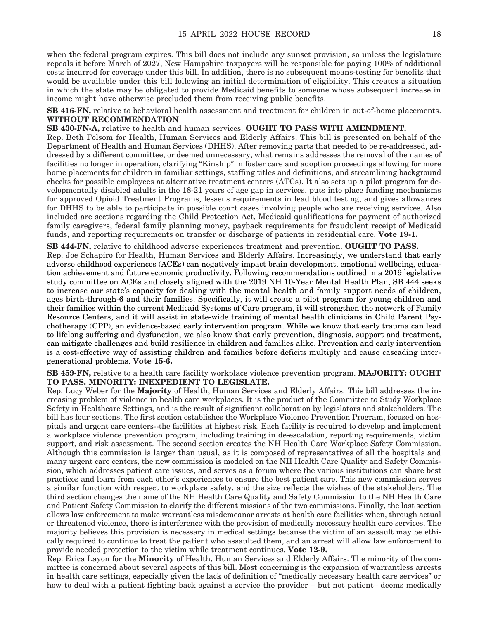when the federal program expires. This bill does not include any sunset provision, so unless the legislature repeals it before March of 2027, New Hampshire taxpayers will be responsible for paying 100% of additional costs incurred for coverage under this bill. In addition, there is no subsequent means-testing for benefits that would be available under this bill following an initial determination of eligibility. This creates a situation in which the state may be obligated to provide Medicaid benefits to someone whose subsequent increase in income might have otherwise precluded them from receiving public benefits.

**SB 416-FN,** relative to behavioral health assessment and treatment for children in out-of-home placements. **WITHOUT RECOMMENDATION**

**SB 430-FN-A,** relative to health and human services. **OUGHT TO PASS WITH AMENDMENT.** Rep. Beth Folsom for Health, Human Services and Elderly Affairs. This bill is presented on behalf of the Department of Health and Human Services (DHHS). After removing parts that needed to be re-addressed, addressed by a different committee, or deemed unnecessary, what remains addresses the removal of the names of facilities no longer in operation, clarifying "Kinship" in foster care and adoption proceedings allowing for more home placements for children in familiar settings, staffing titles and definitions, and streamlining background checks for possible employees at alternative treatment centers (ATCs). It also sets up a pilot program for developmentally disabled adults in the 18-21 years of age gap in services, puts into place funding mechanisms for approved Opioid Treatment Programs, lessens requirements in lead blood testing, and gives allowances for DHHS to be able to participate in possible court cases involving people who are receiving services. Also included are sections regarding the Child Protection Act, Medicaid qualifications for payment of authorized family caregivers, federal family planning money, payback requirements for fraudulent receipt of Medicaid funds, and reporting requirements on transfer or discharge of patients in residential care. **Vote 19-1.**

**SB 444-FN,** relative to childhood adverse experiences treatment and prevention. **OUGHT TO PASS.** Rep. Joe Schapiro for Health, Human Services and Elderly Affairs. Increasingly, we understand that early adverse childhood experiences (ACEs) can negatively impact brain development, emotional wellbeing, education achievement and future economic productivity. Following recommendations outlined in a 2019 legislative study committee on ACEs and closely aligned with the 2019 NH 10-Year Mental Health Plan, SB 444 seeks to increase our state's capacity for dealing with the mental health and family support needs of children, ages birth-through-6 and their families. Specifically, it will create a pilot program for young children and their families within the current Medicaid Systems of Care program, it will strengthen the network of Family Resource Centers, and it will assist in state-wide training of mental health clinicians in Child Parent Psychotherapy (CPP), an evidence-based early intervention program. While we know that early trauma can lead to lifelong suffering and dysfunction, we also know that early prevention, diagnosis, support and treatment, can mitigate challenges and build resilience in children and families alike. Prevention and early intervention is a cost-effective way of assisting children and families before deficits multiply and cause cascading intergenerational problems. **Vote 15-6.**

**SB 459-FN,** relative to a health care facility workplace violence prevention program. **MAJORITY: OUGHT TO PASS. MINORITY: INEXPEDIENT TO LEGISLATE.**

Rep. Lucy Weber for the **Majority** of Health, Human Services and Elderly Affairs. This bill addresses the increasing problem of violence in health care workplaces. It is the product of the Committee to Study Workplace Safety in Healthcare Settings, and is the result of significant collaboration by legislators and stakeholders. The bill has four sections. The first section establishes the Workplace Violence Prevention Program, focused on hospitals and urgent care centers--the facilities at highest risk. Each facility is required to develop and implement a workplace violence prevention program, including training in de-escalation, reporting requirements, victim support, and risk assessment. The second section creates the NH Health Care Workplace Safety Commission. Although this commission is larger than usual, as it is composed of representatives of all the hospitals and many urgent care centers, the new commission is modeled on the NH Health Care Quality and Safety Commission, which addresses patient care issues, and serves as a forum where the various institutions can share best practices and learn from each other's experiences to ensure the best patient care. This new commission serves a similar function with respect to workplace safety, and the size reflects the wishes of the stakeholders. The third section changes the name of the NH Health Care Quality and Safety Commission to the NH Health Care and Patient Safety Commission to clarify the different missions of the two commissions. Finally, the last section allows law enforcement to make warrantless misdemeanor arrests at health care facilities when, through actual or threatened violence, there is interference with the provision of medically necessary health care services. The majority believes this provision is necessary in medical settings because the victim of an assault may be ethically required to continue to treat the patient who assaulted them, and an arrest will allow law enforcement to provide needed protection to the victim while treatment continues. **Vote 12-9.**

Rep. Erica Layon for the **Minority** of Health, Human Services and Elderly Affairs. The minority of the committee is concerned about several aspects of this bill. Most concerning is the expansion of warrantless arrests in health care settings, especially given the lack of definition of "medically necessary health care services" or how to deal with a patient fighting back against a service the provider – but not patient– deems medically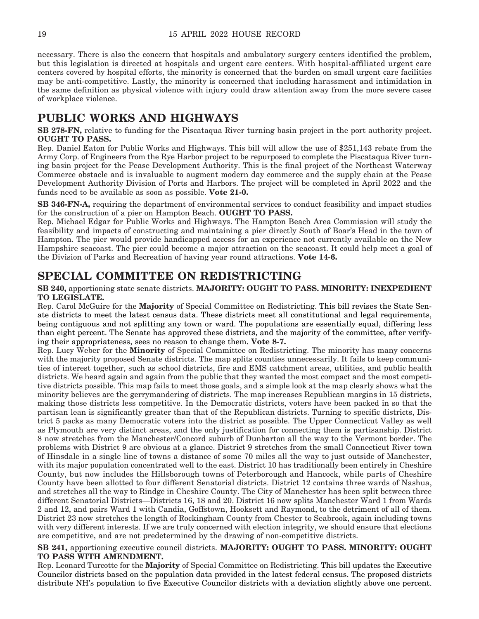necessary. There is also the concern that hospitals and ambulatory surgery centers identified the problem, but this legislation is directed at hospitals and urgent care centers. With hospital-affiliated urgent care centers covered by hospital efforts, the minority is concerned that the burden on small urgent care facilities may be anti-competitive. Lastly, the minority is concerned that including harassment and intimidation in the same definition as physical violence with injury could draw attention away from the more severe cases of workplace violence.

### **PUBLIC WORKS AND HIGHWAYS**

**SB 278-FN,** relative to funding for the Piscataqua River turning basin project in the port authority project. **OUGHT TO PASS.**

Rep. Daniel Eaton for Public Works and Highways. This bill will allow the use of \$251,143 rebate from the Army Corp. of Engineers from the Rye Harbor project to be repurposed to complete the Piscataqua River turning basin project for the Pease Development Authority. This is the final project of the Northeast Waterway Commerce obstacle and is invaluable to augment modern day commerce and the supply chain at the Pease Development Authority Division of Ports and Harbors. The project will be completed in April 2022 and the funds need to be available as soon as possible. **Vote 21-0.**

**SB 346-FN-A,** requiring the department of environmental services to conduct feasibility and impact studies for the construction of a pier on Hampton Beach. **OUGHT TO PASS.**

Rep. Michael Edgar for Public Works and Highways. The Hampton Beach Area Commission will study the feasibility and impacts of constructing and maintaining a pier directly South of Boar's Head in the town of Hampton. The pier would provide handicapped access for an experience not currently available on the New Hampshire seacoast. The pier could become a major attraction on the seacoast. It could help meet a goal of the Division of Parks and Recreation of having year round attractions. **Vote 14-6.**

### **SPECIAL COMMITTEE ON REDISTRICTING**

**SB 240,** apportioning state senate districts. **MAJORITY: OUGHT TO PASS. MINORITY: INEXPEDIENT TO LEGISLATE.**

Rep. Carol McGuire for the **Majority** of Special Committee on Redistricting. This bill revises the State Senate districts to meet the latest census data. These districts meet all constitutional and legal requirements, being contiguous and not splitting any town or ward. The populations are essentially equal, differing less than eight percent. The Senate has approved these districts, and the majority of the committee, after verifying their appropriateness, sees no reason to change them. **Vote 8-7.**

Rep. Lucy Weber for the **Minority** of Special Committee on Redistricting. The minority has many concerns with the majority proposed Senate districts. The map splits counties unnecessarily. It fails to keep communities of interest together, such as school districts, fire and EMS catchment areas, utilities, and public health districts. We heard again and again from the public that they wanted the most compact and the most competitive districts possible. This map fails to meet those goals, and a simple look at the map clearly shows what the minority believes are the gerrymandering of districts. The map increases Republican margins in 15 districts, making those districts less competitive. In the Democratic districts, voters have been packed in so that the partisan lean is significantly greater than that of the Republican districts. Turning to specific districts, District 5 packs as many Democratic voters into the district as possible. The Upper Connecticut Valley as well as Plymouth are very distinct areas, and the only justification for connecting them is partisanship. District 8 now stretches from the Manchester/Concord suburb of Dunbarton all the way to the Vermont border. The problems with District 9 are obvious at a glance. District 9 stretches from the small Connecticut River town of Hinsdale in a single line of towns a distance of some 70 miles all the way to just outside of Manchester, with its major population concentrated well to the east. District 10 has traditionally been entirely in Cheshire County, but now includes the Hillsborough towns of Peterborough and Hancock, while parts of Cheshire County have been allotted to four different Senatorial districts. District 12 contains three wards of Nashua, and stretches all the way to Rindge in Cheshire County. The City of Manchester has been split between three different Senatorial Districts—Districts 16, 18 and 20. District 16 now splits Manchester Ward 1 from Wards 2 and 12, and pairs Ward 1 with Candia, Goffstown, Hooksett and Raymond, to the detriment of all of them. District 23 now stretches the length of Rockingham County from Chester to Seabrook, again including towns with very different interests. If we are truly concerned with election integrity, we should ensure that elections are competitive, and are not predetermined by the drawing of non-competitive districts.

#### **SB 241,** apportioning executive council districts. **MAJORITY: OUGHT TO PASS. MINORITY: OUGHT TO PASS WITH AMENDMENT.**

Rep. Leonard Turcotte for the **Majority** of Special Committee on Redistricting. This bill updates the Executive Councilor districts based on the population data provided in the latest federal census. The proposed districts distribute NH's population to five Executive Councilor districts with a deviation slightly above one percent.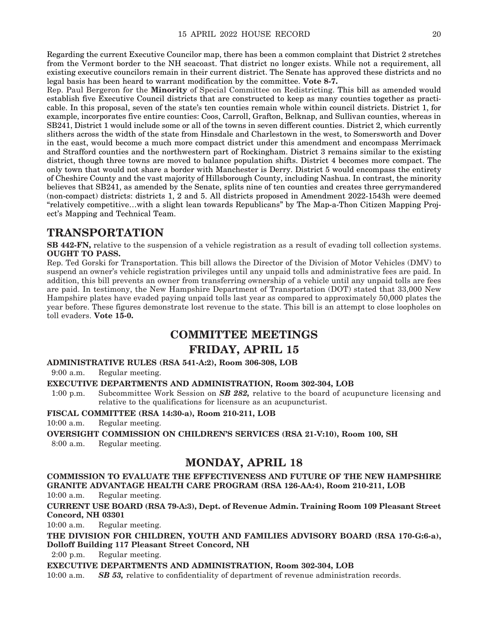Regarding the current Executive Councilor map, there has been a common complaint that District 2 stretches from the Vermont border to the NH seacoast. That district no longer exists. While not a requirement, all existing executive councilors remain in their current district. The Senate has approved these districts and no legal basis has been heard to warrant modification by the committee. **Vote 8-7.**

Rep. Paul Bergeron for the **Minority** of Special Committee on Redistricting. This bill as amended would establish five Executive Council districts that are constructed to keep as many counties together as practicable. In this proposal, seven of the state's ten counties remain whole within council districts. District 1, for example, incorporates five entire counties: Coos, Carroll, Grafton, Belknap, and Sullivan counties, whereas in SB241, District 1 would include some or all of the towns in seven different counties. District 2, which currently slithers across the width of the state from Hinsdale and Charlestown in the west, to Somersworth and Dover in the east, would become a much more compact district under this amendment and encompass Merrimack and Strafford counties and the northwestern part of Rockingham. District 3 remains similar to the existing district, though three towns are moved to balance population shifts. District 4 becomes more compact. The only town that would not share a border with Manchester is Derry. District 5 would encompass the entirety of Cheshire County and the vast majority of Hillsborough County, including Nashua. In contrast, the minority believes that SB241, as amended by the Senate, splits nine of ten counties and creates three gerrymandered (non-compact) districts: districts 1, 2 and 5. All districts proposed in Amendment 2022-1543h were deemed "relatively competitive…with a slight lean towards Republicans" by The Map-a-Thon Citizen Mapping Project's Mapping and Technical Team.

### **TRANSPORTATION**

**SB 442-FN,** relative to the suspension of a vehicle registration as a result of evading toll collection systems. **OUGHT TO PASS.**

Rep. Ted Gorski for Transportation. This bill allows the Director of the Division of Motor Vehicles (DMV) to suspend an owner's vehicle registration privileges until any unpaid tolls and administrative fees are paid. In addition, this bill prevents an owner from transferring ownership of a vehicle until any unpaid tolls are fees are paid. In testimony, the New Hampshire Department of Transportation (DOT) stated that 33,000 New Hampshire plates have evaded paying unpaid tolls last year as compared to approximately 50,000 plates the year before. These figures demonstrate lost revenue to the state. This bill is an attempt to close loopholes on toll evaders. **Vote 15-0.**

### **COMMITTEE MEETINGS FRIDAY, APRIL 15**

**ADMINISTRATIVE RULES (RSA 541-A:2), Room 306-308, LOB**

9:00 a.m. Regular meeting.

#### **EXECUTIVE DEPARTMENTS AND ADMINISTRATION, Room 302-304, LOB**

1:00 p.m. Subcommittee Work Session on *SB 282,* relative to the board of acupuncture licensing and relative to the qualifications for licensure as an acupuncturist.

#### **FISCAL COMMITTEE (RSA 14:30-a), Room 210-211, LOB**

10:00 a.m. Regular meeting.

**OVERSIGHT COMMISSION ON CHILDREN'S SERVICES (RSA 21-V:10), Room 100, SH**

8:00 a.m. Regular meeting.

### **MONDAY, APRIL 18**

**COMMISSION TO EVALUATE THE EFFECTIVENESS AND FUTURE OF THE NEW HAMPSHIRE GRANITE ADVANTAGE HEALTH CARE PROGRAM (RSA 126-AA:4), Room 210-211, LOB** 10:00 a.m. Regular meeting.

**CURRENT USE BOARD (RSA 79-A:3), Dept. of Revenue Admin. Training Room 109 Pleasant Street Concord, NH 03301**

10:00 a.m. Regular meeting.

**THE DIVISION FOR CHILDREN, YOUTH AND FAMILIES ADVISORY BOARD (RSA 170-G:6-a), Dolloff Building 117 Pleasant Street Concord, NH**

2:00 p.m. Regular meeting.

**EXECUTIVE DEPARTMENTS AND ADMINISTRATION, Room 302-304, LOB**

10:00 a.m. *SB 53,* relative to confidentiality of department of revenue administration records.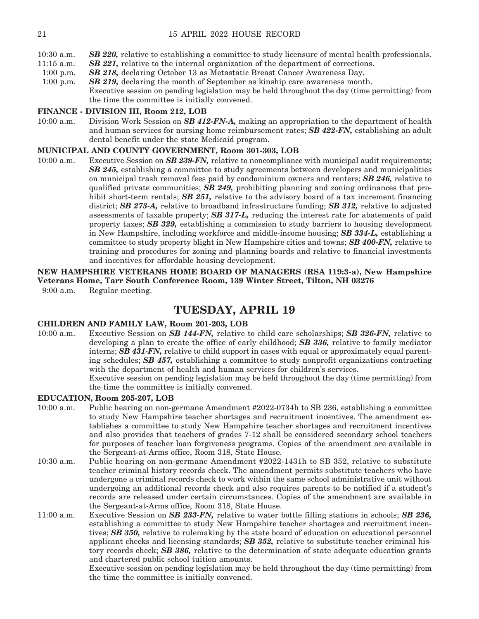- 11:15 a.m. *SB 221,* relative to the internal organization of the department of corrections.
- 1:00 p.m. *SB 218,* declaring October 13 as Metastatic Breast Cancer Awareness Day.
- 1:00 p.m. *SB 219,* declaring the month of September as kinship care awareness month. Executive session on pending legislation may be held throughout the day (time permitting) from the time the committee is initially convened.

#### **FINANCE - DIVISION III, Room 212, LOB**

10:00 a.m. Division Work Session on *SB 412-FN-A,* making an appropriation to the department of health and human services for nursing home reimbursement rates; *SB 422-FN,* establishing an adult dental benefit under the state Medicaid program.

#### **MUNICIPAL AND COUNTY GOVERNMENT, Room 301-303, LOB**

10:00 a.m. Executive Session on *SB 239-FN,* relative to noncompliance with municipal audit requirements; *SB 245,* establishing a committee to study agreements between developers and municipalities on municipal trash removal fees paid by condominium owners and renters; *SB 246,* relative to qualified private communities; *SB 249,* prohibiting planning and zoning ordinances that prohibit short-term rentals; *SB 251*, relative to the advisory board of a tax increment financing district; *SB 273-A,* relative to broadband infrastructure funding; *SB 312,* relative to adjusted assessments of taxable property; *SB 317-L,* reducing the interest rate for abatements of paid property taxes; *SB 329,* establishing a commission to study barriers to housing development in New Hampshire, including workforce and middle-income housing; *SB 334-L,* establishing a committee to study property blight in New Hampshire cities and towns; *SB 400-FN,* relative to training and procedures for zoning and planning boards and relative to financial investments and incentives for affordable housing development.

**NEW HAMPSHIRE VETERANS HOME BOARD OF MANAGERS (RSA 119:3-a), New Hampshire Veterans Home, Tarr South Conference Room, 139 Winter Street, Tilton, NH 03276** 9:00 a.m. Regular meeting.

### **TUESDAY, APRIL 19**

#### **CHILDREN AND FAMILY LAW, Room 201-203, LOB**

10:00 a.m. Executive Session on *SB 144-FN,* relative to child care scholarships; *SB 326-FN,* relative to developing a plan to create the office of early childhood; *SB 336,* relative to family mediator interns; *SB 431-FN,* relative to child support in cases with equal or approximately equal parenting schedules; *SB 457,* establishing a committee to study nonprofit organizations contracting with the department of health and human services for children's services.

 Executive session on pending legislation may be held throughout the day (time permitting) from the time the committee is initially convened.

#### **EDUCATION, Room 205-207, LOB**

- 10:00 a.m. Public hearing on non-germane Amendment #2022-0734h to SB 236, establishing a committee to study New Hampshire teacher shortages and recruitment incentives. The amendment establishes a committee to study New Hampshire teacher shortages and recruitment incentives and also provides that teachers of grades 7-12 shall be considered secondary school teachers for purposes of teacher loan forgiveness programs. Copies of the amendment are available in the Sergeant-at-Arms office, Room 318, State House.
- 10:30 a.m. Public hearing on non-germane Amendment #2022-1431h to SB 352, relative to substitute teacher criminal history records check. The amendment permits substitute teachers who have undergone a criminal records check to work within the same school administrative unit without undergoing an additional records check and also requires parents to be notified if a student's records are released under certain circumstances. Copies of the amendment are available in the Sergeant-at-Arms office, Room 318, State House.
- 11:00 a.m. Executive Session on *SB 233-FN,* relative to water bottle filling stations in schools; *SB 236,*  establishing a committee to study New Hampshire teacher shortages and recruitment incentives; *SB 350,* relative to rulemaking by the state board of education on educational personnel applicant checks and licensing standards; *SB 352,* relative to substitute teacher criminal history records check; *SB 386,* relative to the determination of state adequate education grants and chartered public school tuition amounts.

 Executive session on pending legislation may be held throughout the day (time permitting) from the time the committee is initially convened.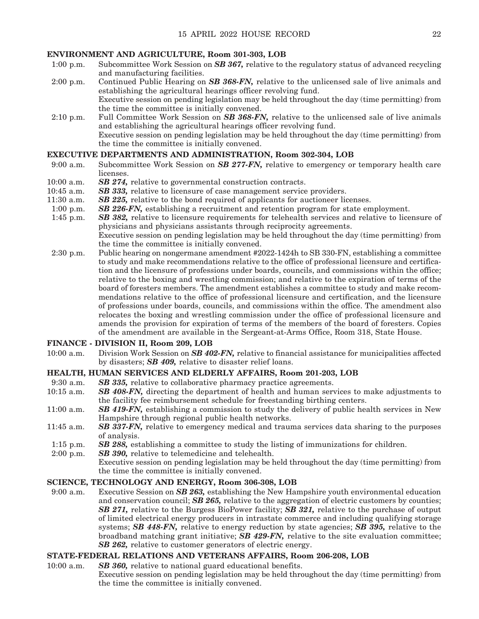#### **ENVIRONMENT AND AGRICULTURE, Room 301-303, LOB**

- 1:00 p.m. Subcommittee Work Session on *SB 367,* relative to the regulatory status of advanced recycling and manufacturing facilities.
- 2:00 p.m. Continued Public Hearing on *SB 368-FN,* relative to the unlicensed sale of live animals and establishing the agricultural hearings officer revolving fund. Executive session on pending legislation may be held throughout the day (time permitting) from the time the committee is initially convened.
- 2:10 p.m. Full Committee Work Session on *SB 368-FN,* relative to the unlicensed sale of live animals and establishing the agricultural hearings officer revolving fund. Executive session on pending legislation may be held throughout the day (time permitting) from the time the committee is initially convened.

#### **EXECUTIVE DEPARTMENTS AND ADMINISTRATION, Room 302-304, LOB**

- 9:00 a.m. Subcommittee Work Session on *SB 277-FN,* relative to emergency or temporary health care licenses.
- 10:00 a.m. *SB 274,* relative to governmental construction contracts.
- 10:45 a.m. *SB 333,* relative to licensure of case management service providers.
- 11:30 a.m. *SB 225,* relative to the bond required of applicants for auctioneer licenses.
- 1:00 p.m. *SB 226-FN,* establishing a recruitment and retention program for state employment.
- 1:45 p.m. *SB 382,* relative to licensure requirements for telehealth services and relative to licensure of physicians and physicians assistants through reciprocity agreements. Executive session on pending legislation may be held throughout the day (time permitting) from the time the committee is initially convened.
- 2:30 p.m. Public hearing on nongermane amendment #2022-1424h to SB 330-FN, establishing a committee to study and make recommendations relative to the office of professional licensure and certification and the licensure of professions under boards, councils, and commissions within the office; relative to the boxing and wrestling commission; and relative to the expiration of terms of the board of foresters members. The amendment establishes a committee to study and make recommendations relative to the office of professional licensure and certification, and the licensure of professions under boards, councils, and commissions within the office. The amendment also relocates the boxing and wrestling commission under the office of professional licensure and amends the provision for expiration of terms of the members of the board of foresters. Copies of the amendment are available in the Sergeant-at-Arms Office, Room 318, State House.

#### **FINANCE - DIVISION II, Room 209, LOB**

10:00 a.m. Division Work Session on *SB 402-FN,* relative to financial assistance for municipalities affected by disasters; *SB 409,* relative to disaster relief loans.

#### **HEALTH, HUMAN SERVICES AND ELDERLY AFFAIRS, Room 201-203, LOB**

- 9:30 a.m. *SB 335,* relative to collaborative pharmacy practice agreements.
- 10:15 a.m. *SB 408-FN,* directing the department of health and human services to make adjustments to the facility fee reimbursement schedule for freestanding birthing centers.
- 11:00 a.m. *SB 419-FN,* establishing a commission to study the delivery of public health services in New Hampshire through regional public health networks.
- 11:45 a.m. *SB 337-FN,* relative to emergency medical and trauma services data sharing to the purposes of analysis.
- 1:15 p.m. *SB 288,* establishing a committee to study the listing of immunizations for children.
- 2:00 p.m. *SB 390,* relative to telemedicine and telehealth.
	- Executive session on pending legislation may be held throughout the day (time permitting) from the time the committee is initially convened.

#### **SCIENCE, TECHNOLOGY AND ENERGY, Room 306-308, LOB**

9:00 a.m. Executive Session on *SB 263,* establishing the New Hampshire youth environmental education and conservation council; *SB 265,* relative to the aggregation of electric customers by counties; *SB 271,* relative to the Burgess BioPower facility; *SB 321,* relative to the purchase of output of limited electrical energy producers in intrastate commerce and including qualifying storage systems; *SB 448-FN,* relative to energy reduction by state agencies; *SB 395,* relative to the broadband matching grant initiative; *SB 429-FN,* relative to the site evaluation committee; *SB 262,* relative to customer generators of electric energy.

#### **STATE-FEDERAL RELATIONS AND VETERANS AFFAIRS, Room 206-208, LOB**

10:00 a.m. *SB 360,* relative to national guard educational benefits. Executive session on pending legislation may be held throughout the day (time permitting) from the time the committee is initially convened.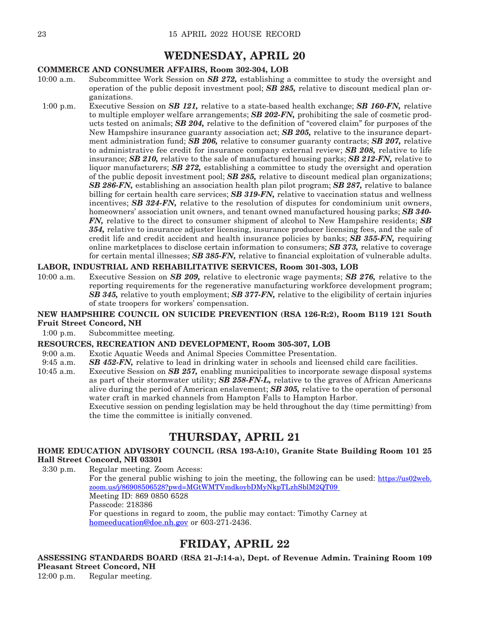### **WEDNESDAY, APRIL 20**

#### **COMMERCE AND CONSUMER AFFAIRS, Room 302-304, LOB**

- 10:00 a.m. Subcommittee Work Session on *SB 272,* establishing a committee to study the oversight and operation of the public deposit investment pool; *SB 285,* relative to discount medical plan organizations.
- 1:00 p.m. Executive Session on *SB 121,* relative to a state-based health exchange; *SB 160-FN,* relative to multiple employer welfare arrangements; *SB 202-FN,* prohibiting the sale of cosmetic products tested on animals; *SB 204,* relative to the definition of "covered claim" for purposes of the New Hampshire insurance guaranty association act; *SB 205,* relative to the insurance department administration fund; *SB 206,* relative to consumer guaranty contracts; *SB 207,* relative to administrative fee credit for insurance company external review; *SB 208,* relative to life insurance; *SB 210,* relative to the sale of manufactured housing parks; *SB 212-FN,* relative to liquor manufacturers; *SB 272,* establishing a committee to study the oversight and operation of the public deposit investment pool; *SB 285,* relative to discount medical plan organizations; *SB 286-FN,* establishing an association health plan pilot program; *SB 287,* relative to balance billing for certain health care services; *SB 319-FN,* relative to vaccination status and wellness incentives; *SB 324-FN,* relative to the resolution of disputes for condominium unit owners, homeowners' association unit owners, and tenant owned manufactured housing parks; *SB 340- FN,* relative to the direct to consumer shipment of alcohol to New Hampshire residents; *SB 354,* relative to insurance adjuster licensing, insurance producer licensing fees, and the sale of credit life and credit accident and health insurance policies by banks; *SB 355-FN,* requiring online marketplaces to disclose certain information to consumers; *SB 373,* relative to coverage for certain mental illnesses; *SB 385-FN,* relative to financial exploitation of vulnerable adults.

#### **LABOR, INDUSTRIAL AND REHABILITATIVE SERVICES, Room 301-303, LOB**

10:00 a.m. Executive Session on *SB 209,* relative to electronic wage payments; *SB 276,* relative to the reporting requirements for the regenerative manufacturing workforce development program; *SB 345,* relative to youth employment; *SB 377-FN,* relative to the eligibility of certain injuries of state troopers for workers' compensation.

#### **NEW HAMPSHIRE COUNCIL ON SUICIDE PREVENTION (RSA 126-R:2), Room B119 121 South Fruit Street Concord, NH**

1:00 p.m. Subcommittee meeting.

#### **RESOURCES, RECREATION AND DEVELOPMENT, Room 305-307, LOB**

- 9:00 a.m. Exotic Aquatic Weeds and Animal Species Committee Presentation.<br>9:45 a.m. **SB 452-FN**, relative to lead in drinking water in schools and license
- **SB 452-FN,** relative to lead in drinking water in schools and licensed child care facilities.
- 10:45 a.m. Executive Session on *SB 257,* enabling municipalities to incorporate sewage disposal systems as part of their stormwater utility; *SB 258-FN-L,* relative to the graves of African Americans alive during the period of American enslavement; *SB 305,* relative to the operation of personal water craft in marked channels from Hampton Falls to Hampton Harbor. Executive session on pending legislation may be held throughout the day (time permitting) from

the time the committee is initially convened.

### **THURSDAY, APRIL 21**

#### **HOME EDUCATION ADVISORY COUNCIL (RSA 193-A:10), Granite State Building Room 101 25 Hall Street Concord, NH 03301**

3:30 p.m. Regular meeting. Zoom Access: For the general public wishing to join the meeting, the following can be used: [https://us02web.](https://us-east-2.protection.sophos.com?d=urldefense.com&u=aHR0cHM6Ly91cmxkZWZlbnNlLmNvbS92My9fX2h0dHBzOi91czAyd2ViLnpvb20udXMvai84NjkwODUwNjUyOD9wd2Q9TUd0V01UVm1ka295YkRNeU5rcFRMemhTYmxNMlFUMDlfXzshIU9haTZkdFRRVUxwOFN3IUF1ODlWSWtSS3dQZ245SE1lNUxpUC1jZmhWZ2N6bEVVMldlTENoMndocTJpQ3pTcFMxX0dhbnBYYTBKOWlmQmdBdjItNTRjJA==&i=NWRmN2M1OGRjNDMxOGEwZGMyZjVmYjJj&t=U2RMUUp6OEFucmxnMk1BREJVdjRSM2Vseks1ejFnR2hqS3pESVRVNUE1Yz0=&h=a82d8186005b4a6aa73ed075bfb8d906) [zoom.us/j/86908506528?pwd=MGtWMTVmdkoybDMyNkpTLzhSblM2QT09](https://us-east-2.protection.sophos.com?d=urldefense.com&u=aHR0cHM6Ly91cmxkZWZlbnNlLmNvbS92My9fX2h0dHBzOi91czAyd2ViLnpvb20udXMvai84NjkwODUwNjUyOD9wd2Q9TUd0V01UVm1ka295YkRNeU5rcFRMemhTYmxNMlFUMDlfXzshIU9haTZkdFRRVUxwOFN3IUF1ODlWSWtSS3dQZ245SE1lNUxpUC1jZmhWZ2N6bEVVMldlTENoMndocTJpQ3pTcFMxX0dhbnBYYTBKOWlmQmdBdjItNTRjJA==&i=NWRmN2M1OGRjNDMxOGEwZGMyZjVmYjJj&t=U2RMUUp6OEFucmxnMk1BREJVdjRSM2Vseks1ejFnR2hqS3pESVRVNUE1Yz0=&h=a82d8186005b4a6aa73ed075bfb8d906)  Meeting ID: 869 0850 6528 Passcode: 218386 For questions in regard to zoom, the public may contact: Timothy Carney at [homeeducation@doe.nh.gov](mailto:homeeducation@doe.nh.gov) or 603-271-2436.

### **FRIDAY, APRIL 22**

**ASSESSING STANDARDS BOARD (RSA 21-J:14-a), Dept. of Revenue Admin. Training Room 109 Pleasant Street Concord, NH**

12:00 p.m. Regular meeting.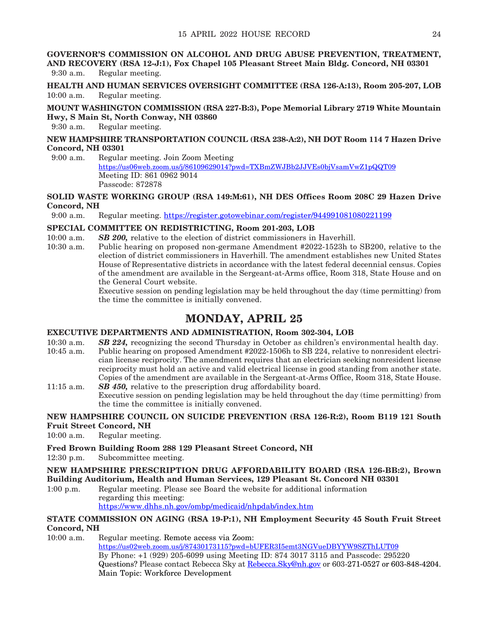**GOVERNOR'S COMMISSION ON ALCOHOL AND DRUG ABUSE PREVENTION, TREATMENT, AND RECOVERY (RSA 12-J:1), Fox Chapel 105 Pleasant Street Main Bldg. Concord, NH 03301** 9:30 a.m. Regular meeting.

**HEALTH AND HUMAN SERVICES OVERSIGHT COMMITTEE (RSA 126-A:13), Room 205-207, LOB** 10:00 a.m. Regular meeting.

**MOUNT WASHINGTON COMMISSION (RSA 227-B:3), Pope Memorial Library 2719 White Mountain Hwy, S Main St, North Conway, NH 03860**

9:30 a.m. Regular meeting.

#### **NEW HAMPSHIRE TRANSPORTATION COUNCIL (RSA 238-A:2), NH DOT Room 114 7 Hazen Drive Concord, NH 03301**

9:00 a.m. Regular meeting. Join Zoom Meeting <https://us06web.zoom.us/j/86109629014?pwd=TXBmZWJBb2JJVEs0bjVsamVwZ1pQQT09> Meeting ID: 861 0962 9014 Passcode: 872878

### **SOLID WASTE WORKING GROUP (RSA 149:M:61), NH DES Offices Room 208C 29 Hazen Drive Concord, NH**<br>9:00 a.m. **H**

Regular meeting. [https://register.gotowebinar.com/register/944991081080221199](https://us-east-2.protection.sophos.com?d=gotowebinar.com&u=aHR0cHM6Ly9yZWdpc3Rlci5nb3Rvd2ViaW5hci5jb20vcmVnaXN0ZXIvOTQ0OTkxMDgxMDgwMjIxMTk5&i=NWRmN2M1OGRjNDMxOGEwZGMyZjVmYjJj&t=dUR3eUROcC80V2pOekVxSzkzSnhlTnFsNG41dEkwMUZZR2NRMVdKNURiZz0=&h=06650db0e64c40959aabc41dc2d1356b)

#### **SPECIAL COMMITTEE ON REDISTRICTING, Room 201-203, LOB**

- 10:00 a.m. *SB 200,* relative to the election of district commissioners in Haverhill.<br>10:30 a.m. Public hearing on proposed non-germane Amendment #2022-1523h to
	- Public hearing on proposed non-germane Amendment #2022-1523h to SB200, relative to the election of district commissioners in Haverhill. The amendment establishes new United States House of Representative districts in accordance with the latest federal decennial census. Copies of the amendment are available in the Sergeant-at-Arms office, Room 318, State House and on the General Court website.

 Executive session on pending legislation may be held throughout the day (time permitting) from the time the committee is initially convened.

### **MONDAY, APRIL 25**

#### **EXECUTIVE DEPARTMENTS AND ADMINISTRATION, Room 302-304, LOB**

- 10:30 a.m. *SB 224,* recognizing the second Thursday in October as children's environmental health day.
- 10:45 a.m. Public hearing on proposed Amendment #2022-1506h to SB 224, relative to nonresident electrician license reciprocity. The amendment requires that an electrician seeking nonresident license reciprocity must hold an active and valid electrical license in good standing from another state. Copies of the amendment are available in the Sergeant-at-Arms Office, Room 318, State House. 11:15 a.m. *SB 450,* relative to the prescription drug affordability board.
- Executive session on pending legislation may be held throughout the day (time permitting) from the time the committee is initially convened.

#### **NEW HAMPSHIRE COUNCIL ON SUICIDE PREVENTION (RSA 126-R:2), Room B119 121 South Fruit Street Concord, NH**

10:00 a.m. Regular meeting.

#### **Fred Brown Building Room 288 129 Pleasant Street Concord, NH**

12:30 p.m. Subcommittee meeting.

#### **NEW HAMPSHIRE PRESCRIPTION DRUG AFFORDABILITY BOARD (RSA 126-BB:2), Brown Building Auditorium, Health and Human Services, 129 Pleasant St. Concord NH 03301**

1:00 p.m. Regular meeting. Please see Board the website for additional information regarding this meeting: https://www.dhhs.nh.gov/ombp/medicaid/nhpdab/index.htm

#### **STATE COMMISSION ON AGING (RSA 19-P:1), NH Employment Security 45 South Fruit Street Concord, NH**

10:00 a.m. Regular meeting. Remote access via Zoom: [https://us02web.zoom.us/j/87430173115?pwd=bUFER3I5emt3NGVueDBYYW9SZThLUT09](https://urldefense.com/v3/__https:/us02web.zoom.us/j/87430173115?pwd=bUFER3I5emt3NGVueDBYYW9SZThLUT09__;!!Oai6dtTQULp8Sw!HGvcGc6U-N52ymPltOOOqq8DjnzweecGJjFeWeQdKUeLqx33Fa5zW-gC0T3aM4t8kQOqNg$) By Phone: +1 (929) 205-6099 using Meeting ID: 874 3017 3115 and Passcode: 295220 Questions? Please contact Rebecca Sky at [Rebecca.Sky@nh.gov](mailto:Rebecca.Sky@nh.gov) or 603-271-0527 or 603-848-4204. Main Topic: Workforce Development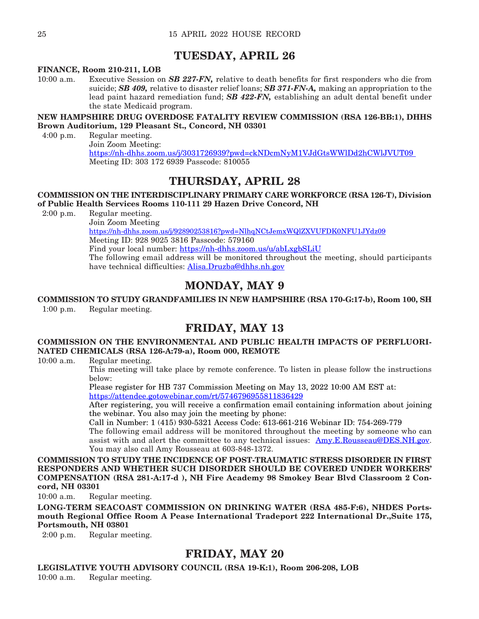### **TUESDAY, APRIL 26**

#### **FINANCE, Room 210-211, LOB**

10:00 a.m. Executive Session on *SB 227-FN,* relative to death benefits for first responders who die from suicide; *SB 409,* relative to disaster relief loans; *SB 371-FN-A,* making an appropriation to the lead paint hazard remediation fund; *SB 422-FN,* establishing an adult dental benefit under the state Medicaid program.

#### **NEW HAMPSHIRE DRUG OVERDOSE FATALITY REVIEW COMMISSION (RSA 126-BB:1), DHHS Brown Auditorium, 129 Pleasant St., Concord, NH 03301**

4:00 p.m. Regular meeting. Join Zoom Meeting: [https://nh-dhhs.zoom.us/j/3031726939?pwd=ckNDcmNyM1VJdGtsWWlDd2hCWlJVUT09](https://nh-dhhs.zoom.us/j/3031726939?pwd=ckNDcmNyM1VJdGtsWWlDd2hCWlJVUT09%20%20)  Meeting ID: 303 172 6939 Passcode: 810055

### **THURSDAY, APRIL 28**

#### **COMMISSION ON THE INTERDISCIPLINARY PRIMARY CARE WORKFORCE (RSA 126-T), Division of Public Health Services Rooms 110-111 29 Hazen Drive Concord, NH**

2:00 p.m. Regular meeting.

 Join Zoom Meeting <https://nh-dhhs.zoom.us/j/92890253816?pwd=NlhqNCtJemxWQlZXVUFDK0NFU1JYdz09> Meeting ID: 928 9025 3816 Passcode: 579160 Find your local number: <https://nh-dhhs.zoom.us/u/abLxgbSLiU> The following email address will be monitored throughout the meeting, should participants have technical difficulties: [Alisa.Druzba@dhhs.nh.gov](mailto:Alisa.Druzba@dhhs.nh.gov)

### **MONDAY, MAY 9**

#### **COMMISSION TO STUDY GRANDFAMILIES IN NEW HAMPSHIRE (RSA 170-G:17-b), Room 100, SH** 1:00 p.m. Regular meeting.

### **FRIDAY, MAY 13**

#### **COMMISSION ON THE ENVIRONMENTAL AND PUBLIC HEALTH IMPACTS OF PERFLUORI-NATED CHEMICALS (RSA 126-A:79-a), Room 000, REMOTE**

10:00 a.m. Regular meeting.

 This meeting will take place by remote conference. To listen in please follow the instructions below:

 Please register for HB 737 Commission Meeting on May 13, 2022 10:00 AM EST at: <https://attendee.gotowebinar.com/rt/5746796955811836429>

 After registering, you will receive a confirmation email containing information about joining the webinar. You also may join the meeting by phone:

Call in Number: 1 (415) 930-5321 Access Code: 613-661-216 Webinar ID: 754-269-779

 The following email address will be monitored throughout the meeting by someone who can assist with and alert the committee to any technical issues: [Amy.E.Rousseau@DES.NH.gov](mailto:Amy.E.Rousseau@DES.NH.gov). You may also call Amy Rousseau at 603-848-1372.

**COMMISSION TO STUDY THE INCIDENCE OF POST-TRAUMATIC STRESS DISORDER IN FIRST RESPONDERS AND WHETHER SUCH DISORDER SHOULD BE COVERED UNDER WORKERS' COMPENSATION (RSA 281-A:17-d ), NH Fire Academy 98 Smokey Bear Blvd Classroom 2 Concord, NH 03301**

10:00 a.m. Regular meeting.

**LONG-TERM SEACOAST COMMISSION ON DRINKING WATER (RSA 485-F:6), NHDES Portsmouth Regional Office Room A Pease International Tradeport 222 International Dr.,Suite 175, Portsmouth, NH 03801** 

2:00 p.m. Regular meeting.

### **FRIDAY, MAY 20**

**LEGISLATIVE YOUTH ADVISORY COUNCIL (RSA 19-K:1), Room 206-208, LOB**

10:00 a.m. Regular meeting.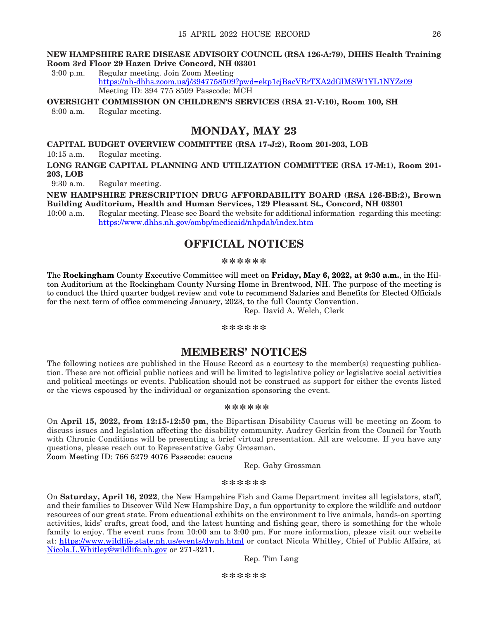#### **NEW HAMPSHIRE RARE DISEASE ADVISORY COUNCIL (RSA 126-A:79), DHHS Health Training Room 3rd Floor 29 Hazen Drive Concord, NH 03301**

3:00 p.m. Regular meeting. Join Zoom Meeting <https://nh-dhhs.zoom.us/j/3947758509?pwd=ekp1cjBacVRrTXA2dGlMSW1YL1NYZz09> Meeting ID: 394 775 8509 Passcode: MCH

**OVERSIGHT COMMISSION ON CHILDREN'S SERVICES (RSA 21-V:10), Room 100, SH** 8:00 a.m. Regular meeting.

### **MONDAY, MAY 23**

**CAPITAL BUDGET OVERVIEW COMMITTEE (RSA 17-J:2), Room 201-203, LOB**

10:15 a.m. Regular meeting.

**LONG RANGE CAPITAL PLANNING AND UTILIZATION COMMITTEE (RSA 17-M:1), Room 201- 203, LOB**

9:30 a.m. Regular meeting.

**NEW HAMPSHIRE PRESCRIPTION DRUG AFFORDABILITY BOARD (RSA 126-BB:2), Brown Building Auditorium, Health and Human Services, 129 Pleasant St., Concord, NH 03301** 

10:00 a.m. Regular meeting. Please see Board the website for additional information regarding this meeting: <https://www.dhhs.nh.gov/ombp/medicaid/nhpdab/index.htm>

### **OFFICIAL NOTICES**

#### **\*\*\*\*\*\***

The **Rockingham** County Executive Committee will meet on **Friday, May 6, 2022, at 9:30 a.m.**, in the Hilton Auditorium at the Rockingham County Nursing Home in Brentwood, NH. The purpose of the meeting is to conduct the third quarter budget review and vote to recommend Salaries and Benefits for Elected Officials for the next term of office commencing January, 2023, to the full County Convention.

Rep. David A. Welch, Clerk

#### **\*\*\*\*\*\***

### **MEMBERS' NOTICES**

The following notices are published in the House Record as a courtesy to the member(s) requesting publication. These are not official public notices and will be limited to legislative policy or legislative social activities and political meetings or events. Publication should not be construed as support for either the events listed or the views espoused by the individual or organization sponsoring the event.

#### **\*\*\*\*\*\***

On **April 15, 2022, from 12:15-12:50 pm**, the Bipartisan Disability Caucus will be meeting on Zoom to discuss issues and legislation affecting the disability community. Audrey Gerkin from the Council for Youth with Chronic Conditions will be presenting a brief virtual presentation. All are welcome. If you have any questions, please reach out to Representative Gaby Grossman.

Zoom Meeting ID: 766 5279 4076 Passcode: caucus

Rep. Gaby Grossman

#### **\*\*\*\*\*\***

On **Saturday, April 16, 2022**, the New Hampshire Fish and Game Department invites all legislators, staff, and their families to Discover Wild New Hampshire Day, a fun opportunity to explore the wildlife and outdoor resources of our great state. From educational exhibits on the environment to live animals, hands-on sporting activities, kids' crafts, great food, and the latest hunting and fishing gear, there is something for the whole family to enjoy. The event runs from 10:00 am to 3:00 pm. For more information, please visit our website at: <https://www.wildlife.state.nh.us/events/dwnh.html> or contact Nicola Whitley, Chief of Public Affairs, at [Nicola.L.Whitley@wildlife.nh.gov](mailto:Nicola.L.Whitley@wildlife.nh.gov) or 271-3211.

Rep. Tim Lang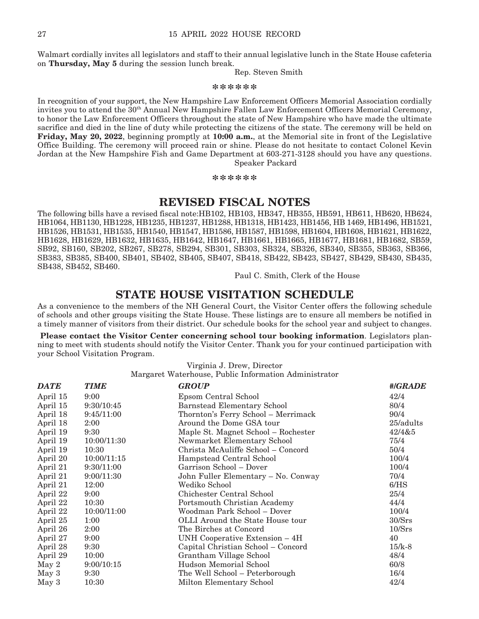Walmart cordially invites all legislators and staff to their annual legislative lunch in the State House cafeteria on **Thursday, May 5** during the session lunch break.

Rep. Steven Smith

**\*\*\*\*\*\***

In recognition of your support, the New Hampshire Law Enforcement Officers Memorial Association cordially invites you to attend the 30<sup>th</sup> Annual New Hampshire Fallen Law Enforcement Officers Memorial Ceremony, to honor the Law Enforcement Officers throughout the state of New Hampshire who have made the ultimate sacrifice and died in the line of duty while protecting the citizens of the state. The ceremony will be held on **Friday, May 20, 2022**, beginning promptly at **10:00 a.m.**, at the Memorial site in front of the Legislative Office Building. The ceremony will proceed rain or shine. Please do not hesitate to contact Colonel Kevin Jordan at the New Hampshire Fish and Game Department at 603-271-3128 should you have any questions. Speaker Packard

**\*\*\*\*\*\***

### **REVISED FISCAL NOTES**

The following bills have a revised fiscal note:HB102, HB103, HB347, HB355, HB591, HB611, HB620, HB624, HB1064, HB1130, HB1228, HB1235, HB1237, HB1288, HB1318, HB1423, HB1456, HB 1469, HB1496, HB1521, HB1526, HB1531, HB1535, HB1540, HB1547, HB1586, HB1587, HB1598, HB1604, HB1608, HB1621, HB1622, HB1628, HB1629, HB1632, HB1635, HB1642, HB1647, HB1661, HB1665, HB1677, HB1681, HB1682, SB59, SB92, SB160, SB202, SB267, SB278, SB294, SB301, SB303, SB324, SB326, SB340, SB355, SB363, SB366, SB383, SB385, SB400, SB401, SB402, SB405, SB407, SB418, SB422, SB423, SB427, SB429, SB430, SB435, SB438, SB452, SB460.

Paul C. Smith, Clerk of the House

### **STATE HOUSE VISITATION SCHEDULE**

As a convenience to the members of the NH General Court, the Visitor Center offers the following schedule of schools and other groups visiting the State House. These listings are to ensure all members be notified in a timely manner of visitors from their district. Our schedule books for the school year and subject to changes.

**Please contact the Visitor Center concerning school tour booking information**. Legislators planning to meet with students should notify the Visitor Center. Thank you for your continued participation with your School Visitation Program.

Virginia J. Drew, Director

Margaret Waterhouse, Public Information Administrator

| <b>DATE</b>      | <b>TIME</b> | <b>GROUP</b>                        | #/GRADE   |
|------------------|-------------|-------------------------------------|-----------|
| April 15         | 9:00        | Epsom Central School                | 42/4      |
| April 15         | 9:30/10:45  | <b>Barnstead Elementary School</b>  | 80/4      |
| April 18         | 9:45/11:00  | Thornton's Ferry School - Merrimack | 90/4      |
| April 18         | 2:00        | Around the Dome GSA tour            | 25/adults |
| April 19         | 9:30        | Maple St. Magnet School – Rochester | 42/4&5    |
| April 19         | 10:00/11:30 | Newmarket Elementary School         | 75/4      |
| April 19         | 10:30       | Christa McAuliffe School – Concord  | 50/4      |
| April 20         | 10:00/11:15 | Hampstead Central School            | 100/4     |
| April 21         | 9:30/11:00  | Garrison School – Dover             | 100/4     |
| April 21         | 9:00/11:30  | John Fuller Elementary - No. Conway | 70/4      |
| April 21         | 12:00       | Wediko School                       | 6/HS      |
| April 22         | 9:00        | Chichester Central School           | 25/4      |
| April 22         | 10:30       | Portsmouth Christian Academy        | 44/4      |
| April 22         | 10:00/11:00 | Woodman Park School – Dover         | 100/4     |
| April 25         | 1:00        | OLLI Around the State House tour    | 30/Srs    |
| April 26         | 2:00        | The Birches at Concord              | 10/Srs    |
| April 27         | 9:00        | UNH Cooperative Extension – 4H      | 40        |
| April 28         | 9:30        | Capital Christian School – Concord  | $15/k-8$  |
| April 29         | 10:00       | Grantham Village School             | 48/4      |
| May 2            | 9:00/10:15  | <b>Hudson Memorial School</b>       | 60/8      |
| May <sub>3</sub> | 9:30        | The Well School – Peterborough      | 16/4      |
| May 3            | 10:30       | Milton Elementary School            | 42/4      |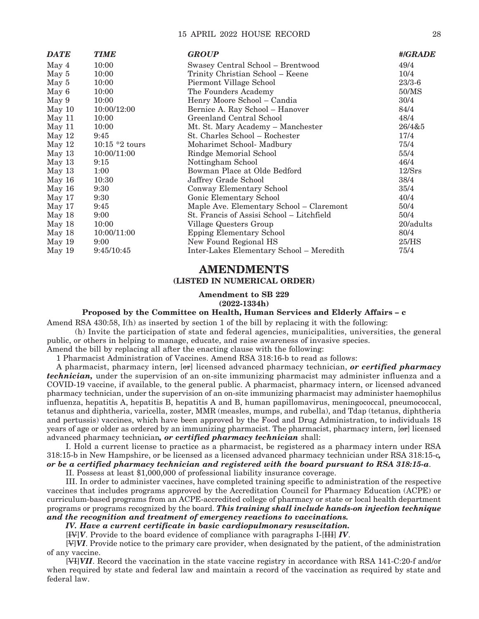#### 15 APRIL 2022 HOUSE RECORD 28

| <b>DATE</b> | <b>TIME</b>     | <b>GROUP</b>                              | #/GRADE    |
|-------------|-----------------|-------------------------------------------|------------|
| May 4       | 10:00           | Swasey Central School – Brentwood         | 49/4       |
| May 5       | 10:00           | Trinity Christian School - Keene          | 10/4       |
| May 5       | 10:00           | Piermont Village School                   | $23/3 - 6$ |
| May 6       | 10:00           | The Founders Academy                      | 50/MS      |
| May 9       | 10:00           | Henry Moore School - Candia               | 30/4       |
| May 10      | 10:00/12:00     | Bernice A. Ray School - Hanover           | 84/4       |
| May 11      | 10:00           | Greenland Central School                  | 48/4       |
| May 11      | 10:00           | Mt. St. Mary Academy - Manchester         | 26/4&5     |
| May 12      | 9:45            | St. Charles School – Rochester            | 17/4       |
| May 12      | $10:15*2$ tours | Moharimet School- Madbury                 | 75/4       |
| May 13      | 10:00/11:00     | Rindge Memorial School                    | 55/4       |
| May $13$    | 9:15            | Nottingham School                         | 46/4       |
| May 13      | 1:00            | Bowman Place at Olde Bedford              | 12/Srs     |
| May 16      | 10:30           | Jaffrey Grade School                      | 38/4       |
| May 16      | 9:30            | Conway Elementary School                  | 35/4       |
| May 17      | 9:30            | Gonic Elementary School                   | 40/4       |
| May 17      | 9:45            | Maple Ave. Elementary School - Claremont  | 50/4       |
| May 18      | 9:00            | St. Francis of Assisi School - Litchfield | 50/4       |
| May 18      | 10:00           | Village Questers Group                    | 20/adults  |
| May 18      | 10:00/11:00     | <b>Epping Elementary School</b>           | 80/4       |
| May 19      | 9:00            | New Found Regional HS                     | 25/HS      |
| May 19      | 9:45/10:45      | Inter-Lakes Elementary School - Meredith  | 75/4       |

#### **AMENDMENTS (LISTED IN NUMERICAL ORDER)**

#### **Amendment to SB 229 (2022-1334h)**

#### **Proposed by the Committee on Health, Human Services and Elderly Affairs – c**

Amend RSA 430:58, I(h) as inserted by section 1 of the bill by replacing it with the following:

 (h) Invite the participation of state and federal agencies, municipalities, universities, the general public, or others in helping to manage, educate, and raise awareness of invasive species.

Amend the bill by replacing all after the enacting clause with the following:

1 Pharmacist Administration of Vaccines. Amend RSA 318:16-b to read as follows:

A pharmacist, pharmacy intern, [or] licensed advanced pharmacy technician, *or certified pharmacy technician,* under the supervision of an on-site immunizing pharmacist may administer influenza and a COVID-19 vaccine, if available, to the general public. A pharmacist, pharmacy intern, or licensed advanced pharmacy technician, under the supervision of an on-site immunizing pharmacist may administer haemophilus influenza, hepatitis A, hepatitis B, hepatitis A and B, human papillomavirus, meningococcal, pneumococcal, tetanus and diphtheria, varicella, zoster, MMR (measles, mumps, and rubella), and Tdap (tetanus, diphtheria and pertussis) vaccines, which have been approved by the Food and Drug Administration, to individuals 18 years of age or older as ordered by an immunizing pharmacist. The pharmacist, pharmacy intern, [or] licensed advanced pharmacy technician*, or certified pharmacy technician* shall:

 I. Hold a current license to practice as a pharmacist, be registered as a pharmacy intern under RSA 318:15-b in New Hampshire, or be licensed as a licensed advanced pharmacy technician under RSA 318:15-c*, or be a certified pharmacy technician and registered with the board pursuant to RSA 318:15-a*.

II. Possess at least \$1,000,000 of professional liability insurance coverage.

 III. In order to administer vaccines, have completed training specific to administration of the respective vaccines that includes programs approved by the Accreditation Council for Pharmacy Education (ACPE) or curriculum-based programs from an ACPE-accredited college of pharmacy or state or local health department programs or programs recognized by the board. *This training shall include hands-on injection technique and the recognition and treatment of emergency reactions to vaccinations.*

*IV. Have a current certificate in basic cardiopulmonary resuscitation.*

[IV]*V*. Provide to the board evidence of compliance with paragraphs I-[III] *IV*.

 [V]*VI*. Provide notice to the primary care provider, when designated by the patient, of the administration of any vaccine.

 [VI]*VII*. Record the vaccination in the state vaccine registry in accordance with RSA 141-C:20-f and/or when required by state and federal law and maintain a record of the vaccination as required by state and federal law.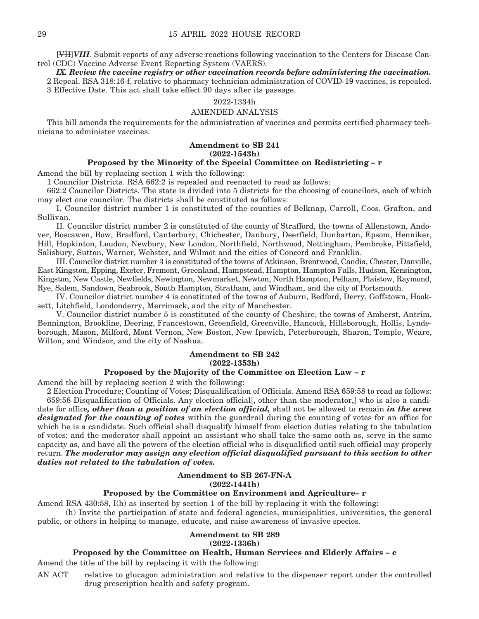[VII]*VIII*. Submit reports of any adverse reactions following vaccination to the Centers for Disease Control (CDC) Vaccine Adverse Event Reporting System (VAERS).

*IX. Review the vaccine registry or other vaccination records before administering the vaccination.*

2 Repeal. RSA 318:16-f, relative to pharmacy technician administration of COVID-19 vaccines, is repealed. 3 Effective Date. This act shall take effect 90 days after its passage.

#### 2022-1334h

#### AMENDED ANALYSIS

This bill amends the requirements for the administration of vaccines and permits certified pharmacy technicians to administer vaccines.

#### **Amendment to SB 241 (2022-1543h)**

#### **Proposed by the Minority of the Special Committee on Redistricting – r**

Amend the bill by replacing section 1 with the following:

1 Councilor Districts. RSA 662:2 is repealed and reenacted to read as follows:

662:2 Councilor Districts. The state is divided into 5 districts for the choosing of councilors, each of which may elect one councilor. The districts shall be constituted as follows:

 I. Councilor district number 1 is constituted of the counties of Belknap, Carroll, Coos, Grafton, and Sullivan.

 II. Councilor district number 2 is constituted of the county of Strafford, the towns of Allenstown, Andover, Boscawen, Bow, Bradford, Canterbury, Chichester, Danbury, Deerfield, Dunbarton, Epsom, Henniker, Hill, Hopkinton, Loudon, Newbury, New London, Northfield, Northwood, Nottingham, Pembroke, Pittsfield, Salisbury, Sutton, Warner, Webster, and Wilmot and the cities of Concord and Franklin.

 III. Councilor district number 3 is constituted of the towns of Atkinson, Brentwood, Candia, Chester, Danville, East Kingston, Epping, Exeter, Fremont, Greenland, Hampstead, Hampton, Hampton Falls, Hudson, Kensington, Kingston, New Castle, Newfields, Newington, Newmarket, Newton, North Hampton, Pelham, Plaistow, Raymond, Rye, Salem, Sandown, Seabrook, South Hampton, Stratham, and Windham, and the city of Portsmouth.

 IV. Councilor district number 4 is constituted of the towns of Auburn, Bedford, Derry, Goffstown, Hooksett, Litchfield, Londonderry, Merrimack, and the city of Manchester.

 V. Councilor district number 5 is constituted of the county of Cheshire, the towns of Amherst, Antrim, Bennington, Brookline, Deering, Francestown, Greenfield, Greenville, Hancock, Hillsborough, Hollis, Lyndeborough, Mason, Milford, Mont Vernon, New Boston, New Ipswich, Peterborough, Sharon, Temple, Weare, Wilton, and Windsor, and the city of Nashua.

#### **Amendment to SB 242 (2022-1353h)**

#### **Proposed by the Majority of the Committee on Election Law – r**

Amend the bill by replacing section 2 with the following:

2 Election Procedure; Counting of Votes; Disqualification of Officials. Amend RSA 659:58 to read as follows: 659:58 Disqualification of Officials. Any election official, other than the moderator, who is also a candidate for office*, other than a position of an election official,* shall not be allowed to remain *in the area designated for the counting of votes* within the guardrail during the counting of votes for an office for which he is a candidate. Such official shall disqualify himself from election duties relating to the tabulation of votes; and the moderator shall appoint an assistant who shall take the same oath as, serve in the same capacity as, and have all the powers of the election official who is disqualified until such official may properly return. *The moderator may assign any election official disqualified pursuant to this section to other duties not related to the tabulation of votes.*

#### **Amendment to SB 267-FN-A (2022-1441h)**

#### **Proposed by the Committee on Environment and Agriculture– r**

Amend RSA 430:58, I(h) as inserted by section 1 of the bill by replacing it with the following: (h) Invite the participation of state and federal agencies, municipalities, universities, the general

public, or others in helping to manage, educate, and raise awareness of invasive species.

#### **Amendment to SB 289**

#### **(2022-1336h)**

#### **Proposed by the Committee on Health, Human Services and Elderly Affairs – c**

Amend the title of the bill by replacing it with the following:

AN ACT relative to glucagon administration and relative to the dispenser report under the controlled drug prescription health and safety program.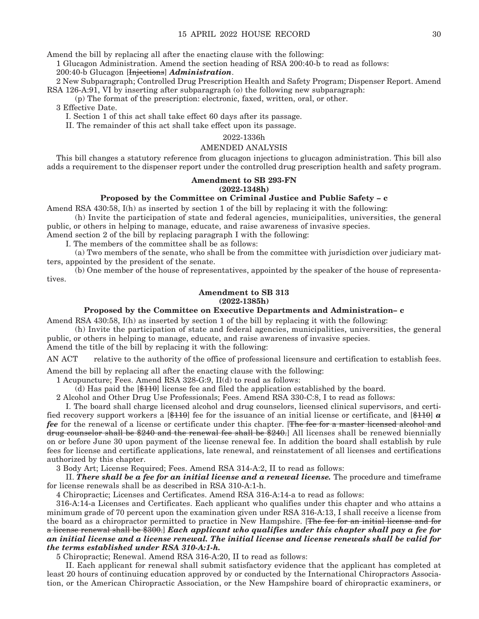Amend the bill by replacing all after the enacting clause with the following:

1 Glucagon Administration. Amend the section heading of RSA 200:40-b to read as follows:

#### 200:40-b Glucagon [Injections] *Administration*.

2 New Subparagraph; Controlled Drug Prescription Health and Safety Program; Dispenser Report. Amend RSA 126-A:91, VI by inserting after subparagraph (o) the following new subparagraph:

(p) The format of the prescription: electronic, faxed, written, oral, or other.

3 Effective Date.

I. Section 1 of this act shall take effect 60 days after its passage.

II. The remainder of this act shall take effect upon its passage.

#### 2022-1336h

#### AMENDED ANALYSIS

This bill changes a statutory reference from glucagon injections to glucagon administration. This bill also adds a requirement to the dispenser report under the controlled drug prescription health and safety program.

#### **Amendment to SB 293-FN (2022-1348h)**

#### **Proposed by the Committee on Criminal Justice and Public Safety – c**

Amend RSA 430:58, I(h) as inserted by section 1 of the bill by replacing it with the following:

 (h) Invite the participation of state and federal agencies, municipalities, universities, the general public, or others in helping to manage, educate, and raise awareness of invasive species.

Amend section 2 of the bill by replacing paragraph I with the following:

I. The members of the committee shall be as follows:

 (a) Two members of the senate, who shall be from the committee with jurisdiction over judiciary matters, appointed by the president of the senate.

 (b) One member of the house of representatives, appointed by the speaker of the house of representatives.

#### **Amendment to SB 313 (2022-1385h)**

#### **Proposed by the Committee on Executive Departments and Administration– c**

Amend RSA 430:58, I(h) as inserted by section 1 of the bill by replacing it with the following:

 (h) Invite the participation of state and federal agencies, municipalities, universities, the general public, or others in helping to manage, educate, and raise awareness of invasive species.

Amend the title of the bill by replacing it with the following:

AN ACT relative to the authority of the office of professional licensure and certification to establish fees.

Amend the bill by replacing all after the enacting clause with the following:

1 Acupuncture; Fees. Amend RSA 328-G:9, II(d) to read as follows:

(d) Has paid the [\$110] license fee and filed the application established by the board.

2 Alcohol and Other Drug Use Professionals; Fees. Amend RSA 330-C:8, I to read as follows:

 I. The board shall charge licensed alcohol and drug counselors, licensed clinical supervisors, and certified recovery support workers a [\$110] fee for the issuance of an initial license or certificate, and [\$110] *a fee* for the renewal of a license or certificate under this chapter. [The fee for a master licensed alcohol and drug counselor shall be \$240 and the renewal fee shall be \$240.] All licenses shall be renewed biennially on or before June 30 upon payment of the license renewal fee. In addition the board shall establish by rule fees for license and certificate applications, late renewal, and reinstatement of all licenses and certifications authorized by this chapter.

3 Body Art; License Required; Fees. Amend RSA 314-A:2, II to read as follows:

 II. *There shall be a fee for an initial license and a renewal license.* The procedure and timeframe for license renewals shall be as described in RSA 310-A:1-h.

4 Chiropractic; Licenses and Certificates. Amend RSA 316-A:14-a to read as follows:

316-A:14-a Licenses and Certificates. Each applicant who qualifies under this chapter and who attains a minimum grade of 70 percent upon the examination given under RSA 316-A:13, I shall receive a license from the board as a chiropractor permitted to practice in New Hampshire. [The fee for an initial license and for a license renewal shall be \$300.] *Each applicant who qualifies under this chapter shall pay a fee for an initial license and a license renewal. The initial license and license renewals shall be valid for the terms established under RSA 310-A:1-h.*

5 Chiropractic; Renewal. Amend RSA 316-A:20, II to read as follows:

II. Each applicant for renewal shall submit satisfactory evidence that the applicant has completed at least 20 hours of continuing education approved by or conducted by the International Chiropractors Association, or the American Chiropractic Association, or the New Hampshire board of chiropractic examiners, or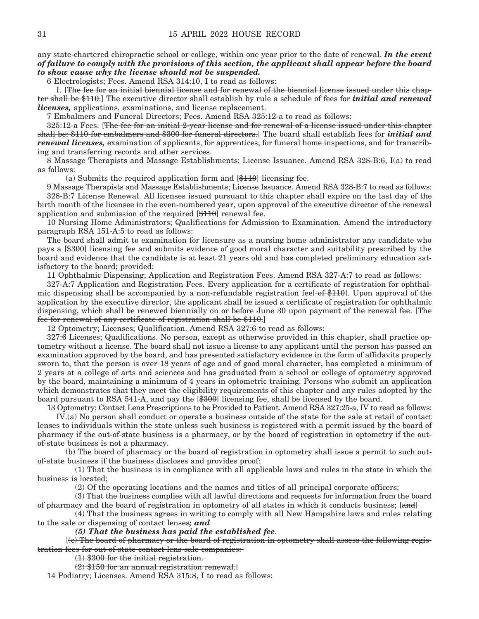any state-chartered chiropractic school or college, within one year prior to the date of renewal. *In the event of failure to comply with the provisions of this section, the applicant shall appear before the board to show cause why the license should not be suspended.*

6 Electrologists; Fees. Amend RSA 314:10, I to read as follows:

I. [The fee for an initial biennial license and for renewal of the biennial license issued under this chapter shall be \$110.] The executive director shall establish by rule a schedule of fees for *initial and renewal licenses,* applications, examinations, and license replacement.

7 Embalmers and Funeral Directors; Fees. Amend RSA 325:12-a to read as follows:

325:12-a Fees. [The fee for an initial 2-year license and for renewal of a license issued under this chapter shall be: \$110 for embalmers and \$300 for funeral directors.] The board shall establish fees for *initial and renewal licenses,* examination of applicants, for apprentices, for funeral home inspections, and for transcribing and transferring records and other services.

8 Massage Therapists and Massage Establishments; License Issuance. Amend RSA 328-B:6, I(a) to read as follows:

 $(a)$  Submits the required application form and  $[\frac{110}{10}]$  licensing fee.

9 Massage Therapists and Massage Establishments; License Issuance. Amend RSA 328-B:7 to read as follows: 328-B:7 License Renewal. All licenses issued pursuant to this chapter shall expire on the last day of the birth month of the licensee in the even-numbered year, upon approval of the executive director of the renewal application and submission of the required  $[\frac{4110}{12}]$  renewal fee.

10 Nursing Home Administrators; Qualifications for Admission to Examination. Amend the introductory paragraph RSA 151-A:5 to read as follows:

The board shall admit to examination for licensure as a nursing home administrator any candidate who pays a [\$300] licensing fee and submits evidence of good moral character and suitability prescribed by the board and evidence that the candidate is at least 21 years old and has completed preliminary education satisfactory to the board; provided:

11 Ophthalmic Dispensing; Application and Registration Fees. Amend RSA 327-A:7 to read as follows:

327-A:7 Application and Registration Fees. Every application for a certificate of registration for ophthalmic dispensing shall be accompanied by a non-refundable registration fee[ $-of $110$ ]. Upon approval of the application by the executive director, the applicant shall be issued a certificate of registration for ophthalmic dispensing, which shall be renewed biennially on or before June 30 upon payment of the renewal fee. [The fee for renewal of any certificate of registration shall be \$110.]

12 Optometry; Licenses; Qualification. Amend RSA 327:6 to read as follows:

327:6 Licenses; Qualifications. No person, except as otherwise provided in this chapter, shall practice optometry without a license. The board shall not issue a license to any applicant until the person has passed an examination approved by the board, and has presented satisfactory evidence in the form of affidavits properly sworn to, that the person is over 18 years of age and of good moral character, has completed a minimum of 2 years at a college of arts and sciences and has graduated from a school or college of optometry approved by the board, maintaining a minimum of 4 years in optometric training. Persons who submit an application which demonstrates that they meet the eligibility requirements of this chapter and any rules adopted by the board pursuant to RSA 541-A, and pay the [\$300] licensing fee, shall be licensed by the board.

13 Optometry; Contact Lens Prescriptions to be Provided to Patient. Amend RSA 327:25-a, IV to read as follows:

 IV.(a) No person shall conduct or operate a business outside of the state for the sale at retail of contact lenses to individuals within the state unless such business is registered with a permit issued by the board of pharmacy if the out-of-state business is a pharmacy, or by the board of registration in optometry if the outof-state business is not a pharmacy.

 (b) The board of pharmacy or the board of registration in optometry shall issue a permit to such outof-state business if the business discloses and provides proof:

 (1) That the business is in compliance with all applicable laws and rules in the state in which the business is located;

(2) Of the operating locations and the names and titles of all principal corporate officers;

 (3) That the business complies with all lawful directions and requests for information from the board of pharmacy and the board of registration in optometry of all states in which it conducts business; [and]

 (4) That the business agrees in writing to comply with all New Hampshire laws and rules relating to the sale or dispensing of contact lenses*; and*

 *(5) That the business has paid the established fee*.

 [(c) The board of pharmacy or the board of registration in optometry shall assess the following registration fees for out-of-state contact lens sale companies:

(1) \$300 for the initial registration.

 $(2)$  \$150 for an annual registration renewal.

14 Podiatry; Licenses. Amend RSA 315:8, I to read as follows: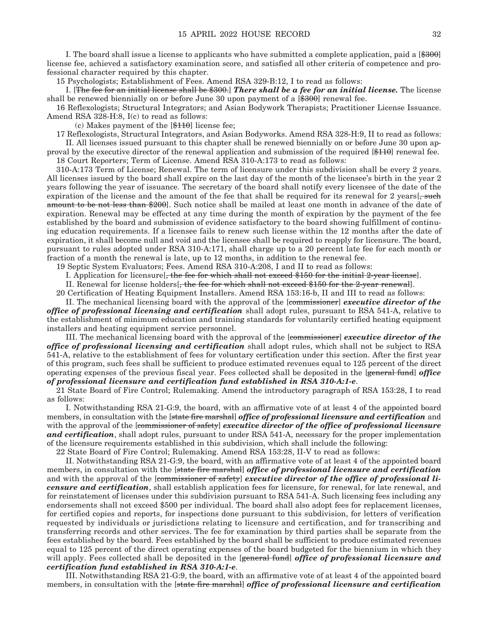I. The board shall issue a license to applicants who have submitted a complete application, paid a [\$300] license fee, achieved a satisfactory examination score, and satisfied all other criteria of competence and professional character required by this chapter.

15 Psychologists; Establishment of Fees. Amend RSA 329-B:12, I to read as follows:

 I. [The fee for an initial license shall be \$300.] *There shall be a fee for an initial license.* The license shall be renewed biennially on or before June 30 upon payment of a  $\left[\frac{4300}{1200}\right]$  renewal fee.

16 Reflexologists; Structural Integrators; and Asian Bodywork Therapists; Practitioner License Issuance. Amend RSA 328-H:8, I(c) to read as follows:

(c) Makes payment of the  $[\frac{110}{10}]$  license fee;

17 Reflexologists, Structural Integrators, and Asian Bodyworks. Amend RSA 328-H:9, II to read as follows: II. All licenses issued pursuant to this chapter shall be renewed biennially on or before June 30 upon ap-

proval by the executive director of the renewal application and submission of the required [\$110] renewal fee. 18 Court Reporters; Term of License. Amend RSA 310-A:173 to read as follows:

310-A:173 Term of License; Renewal. The term of licensure under this subdivision shall be every 2 years. All licenses issued by the board shall expire on the last day of the month of the licensee's birth in the year 2 years following the year of issuance. The secretary of the board shall notify every licensee of the date of the expiration of the license and the amount of the fee that shall be required for its renewal for 2 years.  $\frac{1}{2}$  years  $\frac{1}{2}$  such amount to be not less than \$200]. Such notice shall be mailed at least one month in advance of the date of expiration. Renewal may be effected at any time during the month of expiration by the payment of the fee established by the board and submission of evidence satisfactory to the board showing fulfillment of continuing education requirements. If a licensee fails to renew such license within the 12 months after the date of expiration, it shall become null and void and the licensee shall be required to reapply for licensure. The board, pursuant to rules adopted under RSA 310-A:171, shall charge up to a 20 percent late fee for each month or fraction of a month the renewal is late, up to 12 months, in addition to the renewal fee.

19 Septic System Evaluators; Fees. Amend RSA 310-A:208, I and II to read as follows:

I. Application for licensure[, the fee for which shall not exceed \$150 for the initial 2-year license].

II. Renewal for license holders[, the fee for which shall not exceed \$150 for the 2-year renewal].

20 Certification of Heating Equipment Installers. Amend RSA 153:16-b, II and III to read as follows:

 II. The mechanical licensing board with the approval of the [commissioner] *executive director of the office of professional licensing and certification* shall adopt rules, pursuant to RSA 541-A, relative to the establishment of minimum education and training standards for voluntarily certified heating equipment installers and heating equipment service personnel.

 III. The mechanical licensing board with the approval of the [commissioner] *executive director of the office of professional licensing and certification* shall adopt rules, which shall not be subject to RSA 541-A, relative to the establishment of fees for voluntary certification under this section. After the first year of this program, such fees shall be sufficient to produce estimated revenues equal to 125 percent of the direct operating expenses of the previous fiscal year. Fees collected shall be deposited in the [general fund] *office of professional licensure and certification fund established in RSA 310-A:1-e*.

21 State Board of Fire Control; Rulemaking. Amend the introductory paragraph of RSA 153:28, I to read as follows:

 I. Notwithstanding RSA 21-G:9, the board, with an affirmative vote of at least 4 of the appointed board members, in consultation with the [state fire marshal] *office of professional licensure and certification* and with the approval of the [commissioner of safety] *executive director of the office of professional licensure and certification*, shall adopt rules, pursuant to under RSA 541-A, necessary for the proper implementation of the licensure requirements established in this subdivision, which shall include the following:

22 State Board of Fire Control; Rulemaking. Amend RSA 153:28, II-V to read as follows:

 II. Notwithstanding RSA 21-G:9, the board, with an affirmative vote of at least 4 of the appointed board members, in consultation with the [state fire marshal] *office of professional licensure and certification*  and with the approval of the [commissioner of safety] *executive director of the office of professional licensure and certification*, shall establish application fees for licensure, for renewal, for late renewal, and for reinstatement of licenses under this subdivision pursuant to RSA 541-A. Such licensing fees including any endorsements shall not exceed \$500 per individual. The board shall also adopt fees for replacement licenses, for certified copies and reports, for inspections done pursuant to this subdivision, for letters of verification requested by individuals or jurisdictions relating to licensure and certification, and for transcribing and transferring records and other services. The fee for examination by third parties shall be separate from the fees established by the board. Fees established by the board shall be sufficient to produce estimated revenues equal to 125 percent of the direct operating expenses of the board budgeted for the biennium in which they will apply. Fees collected shall be deposited in the [general fund] *office of professional licensure and certification fund established in RSA 310-A:1-e*.

 III. Notwithstanding RSA 21-G:9, the board, with an affirmative vote of at least 4 of the appointed board members, in consultation with the [state fire marshal] *office of professional licensure and certification*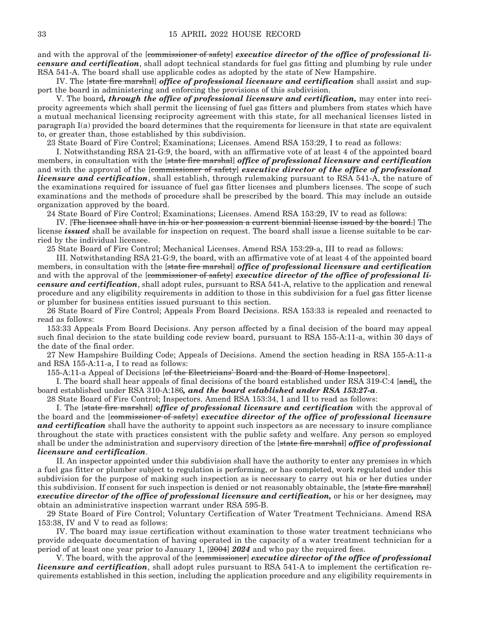and with the approval of the [commissioner of safety] *executive director of the office of professional licensure and certification*, shall adopt technical standards for fuel gas fitting and plumbing by rule under RSA 541-A. The board shall use applicable codes as adopted by the state of New Hampshire.

 IV. The [state fire marshal] *office of professional licensure and certification* shall assist and support the board in administering and enforcing the provisions of this subdivision.

 V. The board*, through the office of professional licensure and certification,* may enter into reciprocity agreements which shall permit the licensing of fuel gas fitters and plumbers from states which have a mutual mechanical licensing reciprocity agreement with this state, for all mechanical licenses listed in paragraph I(a) provided the board determines that the requirements for licensure in that state are equivalent to, or greater than, those established by this subdivision.

23 State Board of Fire Control; Examinations; Licenses. Amend RSA 153:29, I to read as follows:

 I. Notwithstanding RSA 21-G:9, the board, with an affirmative vote of at least 4 of the appointed board members, in consultation with the [state fire marshal] *office of professional licensure and certification*  and with the approval of the [commissioner of safety] *executive director of the office of professional licensure and certification*, shall establish, through rulemaking pursuant to RSA 541-A, the nature of the examinations required for issuance of fuel gas fitter licenses and plumbers licenses. The scope of such examinations and the methods of procedure shall be prescribed by the board. This may include an outside organization approved by the board.

24 State Board of Fire Control; Examinations; Licenses. Amend RSA 153:29, IV to read as follows:

 IV. [The licensee shall have in his or her possession a current biennial license issued by the board.] The license *issued* shall be available for inspection on request. The board shall issue a license suitable to be carried by the individual licensee.

25 State Board of Fire Control; Mechanical Licenses. Amend RSA 153:29-a, III to read as follows:

 III. Notwithstanding RSA 21-G:9, the board, with an affirmative vote of at least 4 of the appointed board members, in consultation with the [state fire marshal] *office of professional licensure and certification*  and with the approval of the [commissioner of safety] *executive director of the office of professional licensure and certification*, shall adopt rules, pursuant to RSA 541-A, relative to the application and renewal procedure and any eligibility requirements in addition to those in this subdivision for a fuel gas fitter license or plumber for business entities issued pursuant to this section.

26 State Board of Fire Control; Appeals From Board Decisions. RSA 153:33 is repealed and reenacted to read as follows:

153:33 Appeals From Board Decisions. Any person affected by a final decision of the board may appeal such final decision to the state building code review board, pursuant to RSA 155-A:11-a, within 30 days of the date of the final order.

27 New Hampshire Building Code; Appeals of Decisions. Amend the section heading in RSA 155-A:11-a and RSA 155-A:11-a, I to read as follows:

155-A:11-a Appeal of Decisions [of the Electricians' Board and the Board of Home Inspectors].

 I. The board shall hear appeals of final decisions of the board established under RSA 319-C:4 [and]*,* the board established under RSA 310-A:186*, and the board established under RSA 153:27-a*.

28 State Board of Fire Control; Inspectors. Amend RSA 153:34, I and II to read as follows:

 I. The [state fire marshal] *office of professional licensure and certification* with the approval of the board and the [commissioner of safety] *executive director of the office of professional licensure and certification* shall have the authority to appoint such inspectors as are necessary to insure compliance throughout the state with practices consistent with the public safety and welfare. Any person so employed shall be under the administration and supervisory direction of the [state fire marshal] *office of professional licensure and certification*.

 II. An inspector appointed under this subdivision shall have the authority to enter any premises in which a fuel gas fitter or plumber subject to regulation is performing, or has completed, work regulated under this subdivision for the purpose of making such inspection as is necessary to carry out his or her duties under this subdivision. If consent for such inspection is denied or not reasonably obtainable, the [state fire marshal] *executive director of the office of professional licensure and certification,* or his or her designee*,* may obtain an administrative inspection warrant under RSA 595-B.

29 State Board of Fire Control; Voluntary Certification of Water Treatment Technicians. Amend RSA 153:38, IV and V to read as follows:

 IV. The board may issue certification without examination to those water treatment technicians who provide adequate documentation of having operated in the capacity of a water treatment technician for a period of at least one year prior to January 1, [2004] *2024* and who pay the required fees.

 V. The board, with the approval of the [commissioner] *executive director of the office of professional licensure and certification*, shall adopt rules pursuant to RSA 541-A to implement the certification requirements established in this section, including the application procedure and any eligibility requirements in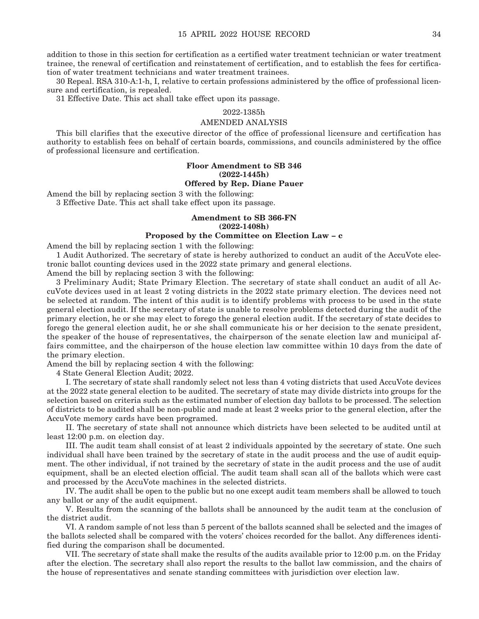addition to those in this section for certification as a certified water treatment technician or water treatment trainee, the renewal of certification and reinstatement of certification, and to establish the fees for certification of water treatment technicians and water treatment trainees.

30 Repeal. RSA 310-A:1-h, I, relative to certain professions administered by the office of professional licensure and certification, is repealed.

31 Effective Date. This act shall take effect upon its passage.

#### 2022-1385h

#### AMENDED ANALYSIS

This bill clarifies that the executive director of the office of professional licensure and certification has authority to establish fees on behalf of certain boards, commissions, and councils administered by the office of professional licensure and certification.

#### **Floor Amendment to SB 346 (2022-1445h)**

#### **Offered by Rep. Diane Pauer**

Amend the bill by replacing section 3 with the following:

3 Effective Date. This act shall take effect upon its passage.

#### **Amendment to SB 366-FN (2022-1408h)**

#### **Proposed by the Committee on Election Law – c**

Amend the bill by replacing section 1 with the following:

1 Audit Authorized. The secretary of state is hereby authorized to conduct an audit of the AccuVote electronic ballot counting devices used in the 2022 state primary and general elections.

Amend the bill by replacing section 3 with the following:

3 Preliminary Audit; State Primary Election. The secretary of state shall conduct an audit of all AccuVote devices used in at least 2 voting districts in the 2022 state primary election. The devices need not be selected at random. The intent of this audit is to identify problems with process to be used in the state general election audit. If the secretary of state is unable to resolve problems detected during the audit of the primary election, he or she may elect to forego the general election audit. If the secretary of state decides to forego the general election audit, he or she shall communicate his or her decision to the senate president, the speaker of the house of representatives, the chairperson of the senate election law and municipal affairs committee, and the chairperson of the house election law committee within 10 days from the date of the primary election.

Amend the bill by replacing section 4 with the following:

4 State General Election Audit; 2022.

 I. The secretary of state shall randomly select not less than 4 voting districts that used AccuVote devices at the 2022 state general election to be audited. The secretary of state may divide districts into groups for the selection based on criteria such as the estimated number of election day ballots to be processed. The selection of districts to be audited shall be non-public and made at least 2 weeks prior to the general election, after the AccuVote memory cards have been programed.

 II. The secretary of state shall not announce which districts have been selected to be audited until at least 12:00 p.m. on election day.

 III. The audit team shall consist of at least 2 individuals appointed by the secretary of state. One such individual shall have been trained by the secretary of state in the audit process and the use of audit equipment. The other individual, if not trained by the secretary of state in the audit process and the use of audit equipment, shall be an elected election official. The audit team shall scan all of the ballots which were cast and processed by the AccuVote machines in the selected districts.

 IV. The audit shall be open to the public but no one except audit team members shall be allowed to touch any ballot or any of the audit equipment.

 V. Results from the scanning of the ballots shall be announced by the audit team at the conclusion of the district audit.

 VI. A random sample of not less than 5 percent of the ballots scanned shall be selected and the images of the ballots selected shall be compared with the voters' choices recorded for the ballot. Any differences identified during the comparison shall be documented.

 VII. The secretary of state shall make the results of the audits available prior to 12:00 p.m. on the Friday after the election. The secretary shall also report the results to the ballot law commission, and the chairs of the house of representatives and senate standing committees with jurisdiction over election law.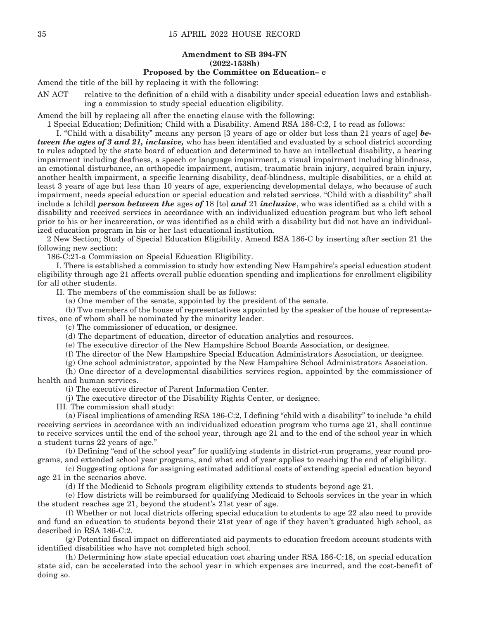#### **Amendment to SB 394-FN (2022-1538h)**

#### **Proposed by the Committee on Education– c**

Amend the title of the bill by replacing it with the following:

AN ACT relative to the definition of a child with a disability under special education laws and establishing a commission to study special education eligibility.

Amend the bill by replacing all after the enacting clause with the following:

1 Special Education; Definition; Child with a Disability. Amend RSA 186-C:2, I to read as follows:

 I. "Child with a disability" means any person [3 years of age or older but less than 21 years of age] *between the ages of 3 and 21, inclusive,* who has been identified and evaluated by a school district according to rules adopted by the state board of education and determined to have an intellectual disability, a hearing impairment including deafness, a speech or language impairment, a visual impairment including blindness, an emotional disturbance, an orthopedic impairment, autism, traumatic brain injury, acquired brain injury, another health impairment, a specific learning disability, deaf-blindness, multiple disabilities, or a child at least 3 years of age but less than 10 years of age, experiencing developmental delays, who because of such impairment, needs special education or special education and related services. "Child with a disability" shall include a [child] *person between the* ages *of* 18 [to] *and* 21 *inclusive*, who was identified as a child with a disability and received services in accordance with an individualized education program but who left school prior to his or her incarceration, or was identified as a child with a disability but did not have an individualized education program in his or her last educational institution.

2 New Section; Study of Special Education Eligibility. Amend RSA 186-C by inserting after section 21 the following new section:

186-C:21-a Commission on Special Education Eligibility.

 I. There is established a commission to study how extending New Hampshire's special education student eligibility through age 21 affects overall public education spending and implications for enrollment eligibility for all other students.

II. The members of the commission shall be as follows:

(a) One member of the senate, appointed by the president of the senate.

 (b) Two members of the house of representatives appointed by the speaker of the house of representatives, one of whom shall be nominated by the minority leader.

(c) The commissioner of education, or designee.

(d) The department of education, director of education analytics and resources.

(e) The executive director of the New Hampshire School Boards Association, or designee.

(f) The director of the New Hampshire Special Education Administrators Association, or designee.

(g) One school administrator, appointed by the New Hampshire School Administrators Association.

 (h) One director of a developmental disabilities services region, appointed by the commissioner of health and human services.

(i) The executive director of Parent Information Center.

(j) The executive director of the Disability Rights Center, or designee.

III. The commission shall study:

 (a) Fiscal implications of amending RSA 186-C:2, I defining "child with a disability" to include "a child receiving services in accordance with an individualized education program who turns age 21, shall continue to receive services until the end of the school year, through age 21 and to the end of the school year in which a student turns 22 years of age."

 (b) Defining "end of the school year" for qualifying students in district-run programs, year round programs, and extended school year programs, and what end of year applies to reaching the end of eligibility.

 (c) Suggesting options for assigning estimated additional costs of extending special education beyond age 21 in the scenarios above.

(d) If the Medicaid to Schools program eligibility extends to students beyond age 21.

 (e) How districts will be reimbursed for qualifying Medicaid to Schools services in the year in which the student reaches age 21, beyond the student's 21st year of age.

 (f) Whether or not local districts offering special education to students to age 22 also need to provide and fund an education to students beyond their 21st year of age if they haven't graduated high school, as described in RSA 186-C:2.

 (g) Potential fiscal impact on differentiated aid payments to education freedom account students with identified disabilities who have not completed high school.

 (h) Determining how state special education cost sharing under RSA 186-C:18, on special education state aid, can be accelerated into the school year in which expenses are incurred, and the cost-benefit of doing so.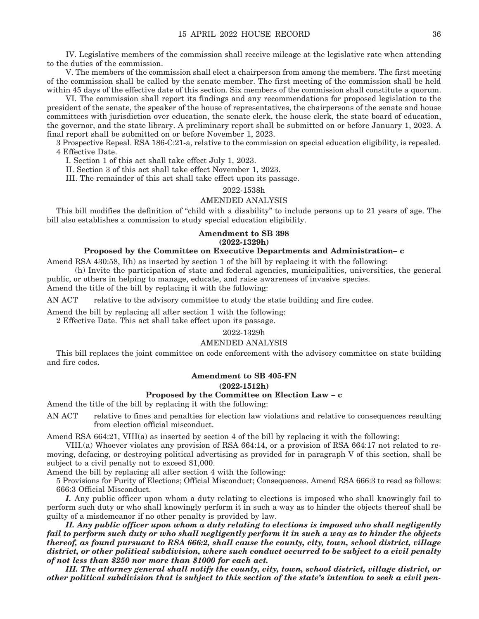IV. Legislative members of the commission shall receive mileage at the legislative rate when attending to the duties of the commission.

 V. The members of the commission shall elect a chairperson from among the members. The first meeting of the commission shall be called by the senate member. The first meeting of the commission shall be held within 45 days of the effective date of this section. Six members of the commission shall constitute a quorum.

 VI. The commission shall report its findings and any recommendations for proposed legislation to the president of the senate, the speaker of the house of representatives, the chairpersons of the senate and house committees with jurisdiction over education, the senate clerk, the house clerk, the state board of education, the governor, and the state library. A preliminary report shall be submitted on or before January 1, 2023. A final report shall be submitted on or before November 1, 2023.

3 Prospective Repeal. RSA 186-C:21-a, relative to the commission on special education eligibility, is repealed. 4 Effective Date.

I. Section 1 of this act shall take effect July 1, 2023.

II. Section 3 of this act shall take effect November 1, 2023.

III. The remainder of this act shall take effect upon its passage.

2022-1538h

#### AMENDED ANALYSIS

This bill modifies the definition of "child with a disability" to include persons up to 21 years of age. The bill also establishes a commission to study special education eligibility.

#### **Amendment to SB 398 (2022-1329h)**

#### **Proposed by the Committee on Executive Departments and Administration– c**

Amend RSA 430:58, I(h) as inserted by section 1 of the bill by replacing it with the following:

 (h) Invite the participation of state and federal agencies, municipalities, universities, the general public, or others in helping to manage, educate, and raise awareness of invasive species.

Amend the title of the bill by replacing it with the following:

AN ACT relative to the advisory committee to study the state building and fire codes.

Amend the bill by replacing all after section 1 with the following:

2 Effective Date. This act shall take effect upon its passage.

#### 2022-1329h

#### AMENDED ANALYSIS

This bill replaces the joint committee on code enforcement with the advisory committee on state building and fire codes.

#### **Amendment to SB 405-FN (2022-1512h)**

#### **Proposed by the Committee on Election Law – c**

Amend the title of the bill by replacing it with the following:

AN ACT relative to fines and penalties for election law violations and relative to consequences resulting from election official misconduct.

Amend RSA 664:21, VIII(a) as inserted by section 4 of the bill by replacing it with the following:

 VIII.(a) Whoever violates any provision of RSA 664:14, or a provision of RSA 664:17 not related to removing, defacing, or destroying political advertising as provided for in paragraph V of this section, shall be subject to a civil penalty not to exceed \$1,000.

Amend the bill by replacing all after section 4 with the following:

5 Provisions for Purity of Elections; Official Misconduct; Consequences. Amend RSA 666:3 to read as follows: 666:3 Official Misconduct.

*I.* Any public officer upon whom a duty relating to elections is imposed who shall knowingly fail to perform such duty or who shall knowingly perform it in such a way as to hinder the objects thereof shall be guilty of a misdemeanor if no other penalty is provided by law.

 *II. Any public officer upon whom a duty relating to elections is imposed who shall negligently fail to perform such duty or who shall negligently perform it in such a way as to hinder the objects thereof, as found pursuant to RSA 666:2, shall cause the county, city, town, school district, village district, or other political subdivision, where such conduct occurred to be subject to a civil penalty of not less than \$250 nor more than \$1000 for each act.*

 *III. The attorney general shall notify the county, city, town, school district, village district, or other political subdivision that is subject to this section of the state's intention to seek a civil pen-*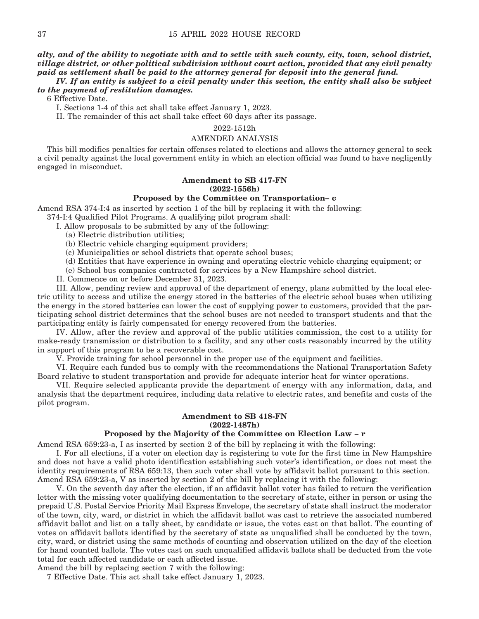#### *alty, and of the ability to negotiate with and to settle with such county, city, town, school district, village district, or other political subdivision without court action, provided that any civil penalty paid as settlement shall be paid to the attorney general for deposit into the general fund.*

#### *IV. If an entity is subject to a civil penalty under this section, the entity shall also be subject to the payment of restitution damages.*

6 Effective Date.

I. Sections 1-4 of this act shall take effect January 1, 2023.

II. The remainder of this act shall take effect 60 days after its passage.

#### 2022-1512h

#### AMENDED ANALYSIS

This bill modifies penalties for certain offenses related to elections and allows the attorney general to seek a civil penalty against the local government entity in which an election official was found to have negligently engaged in misconduct.

#### **Amendment to SB 417-FN (2022-1556h)**

#### **Proposed by the Committee on Transportation– c**

Amend RSA 374-I:4 as inserted by section 1 of the bill by replacing it with the following:

374-I:4 Qualified Pilot Programs. A qualifying pilot program shall:

I. Allow proposals to be submitted by any of the following:

(a) Electric distribution utilities;

- (b) Electric vehicle charging equipment providers;
- (c) Municipalities or school districts that operate school buses;
- (d) Entities that have experience in owning and operating electric vehicle charging equipment; or

(e) School bus companies contracted for services by a New Hampshire school district.

II. Commence on or before December 31, 2023.

 III. Allow, pending review and approval of the department of energy, plans submitted by the local electric utility to access and utilize the energy stored in the batteries of the electric school buses when utilizing the energy in the stored batteries can lower the cost of supplying power to customers, provided that the participating school district determines that the school buses are not needed to transport students and that the participating entity is fairly compensated for energy recovered from the batteries.

 IV. Allow, after the review and approval of the public utilities commission, the cost to a utility for make-ready transmission or distribution to a facility, and any other costs reasonably incurred by the utility in support of this program to be a recoverable cost.

V. Provide training for school personnel in the proper use of the equipment and facilities.

 VI. Require each funded bus to comply with the recommendations the National Transportation Safety Board relative to student transportation and provide for adequate interior heat for winter operations.

 VII. Require selected applicants provide the department of energy with any information, data, and analysis that the department requires, including data relative to electric rates, and benefits and costs of the pilot program.

#### **Amendment to SB 418-FN (2022-1487h)**

#### **Proposed by the Majority of the Committee on Election Law – r**

Amend RSA 659:23-a, I as inserted by section 2 of the bill by replacing it with the following:

 I. For all elections, if a voter on election day is registering to vote for the first time in New Hampshire and does not have a valid photo identification establishing such voter's identification, or does not meet the identity requirements of RSA 659:13, then such voter shall vote by affidavit ballot pursuant to this section. Amend RSA 659:23-a, V as inserted by section 2 of the bill by replacing it with the following:

 V. On the seventh day after the election, if an affidavit ballot voter has failed to return the verification letter with the missing voter qualifying documentation to the secretary of state, either in person or using the prepaid U.S. Postal Service Priority Mail Express Envelope, the secretary of state shall instruct the moderator of the town, city, ward, or district in which the affidavit ballot was cast to retrieve the associated numbered affidavit ballot and list on a tally sheet, by candidate or issue, the votes cast on that ballot. The counting of votes on affidavit ballots identified by the secretary of state as unqualified shall be conducted by the town, city, ward, or district using the same methods of counting and observation utilized on the day of the election for hand counted ballots. The votes cast on such unqualified affidavit ballots shall be deducted from the vote total for each affected candidate or each affected issue.

Amend the bill by replacing section 7 with the following:

7 Effective Date. This act shall take effect January 1, 2023.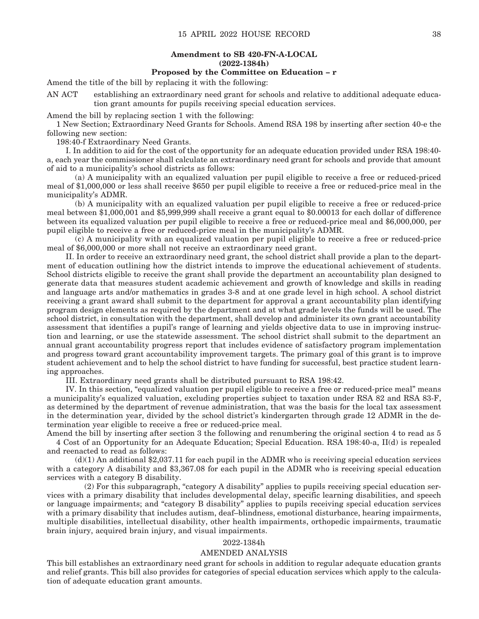#### **Amendment to SB 420-FN-A-LOCAL (2022-1384h)**

#### **Proposed by the Committee on Education – r**

Amend the title of the bill by replacing it with the following:

AN ACT establishing an extraordinary need grant for schools and relative to additional adequate education grant amounts for pupils receiving special education services.

Amend the bill by replacing section 1 with the following:

1 New Section; Extraordinary Need Grants for Schools. Amend RSA 198 by inserting after section 40-e the following new section:

198:40-f Extraordinary Need Grants.

 I. In addition to aid for the cost of the opportunity for an adequate education provided under RSA 198:40 a, each year the commissioner shall calculate an extraordinary need grant for schools and provide that amount of aid to a municipality's school districts as follows:

 (a) A municipality with an equalized valuation per pupil eligible to receive a free or reduced-priced meal of \$1,000,000 or less shall receive \$650 per pupil eligible to receive a free or reduced-price meal in the municipality's ADMR.

 (b) A municipality with an equalized valuation per pupil eligible to receive a free or reduced-price meal between \$1,000,001 and \$5,999,999 shall receive a grant equal to \$0.00013 for each dollar of difference between its equalized valuation per pupil eligible to receive a free or reduced-price meal and \$6,000,000, per pupil eligible to receive a free or reduced-price meal in the municipality's ADMR.

 (c) A municipality with an equalized valuation per pupil eligible to receive a free or reduced-price meal of \$6,000,000 or more shall not receive an extraordinary need grant.

 II. In order to receive an extraordinary need grant, the school district shall provide a plan to the department of education outlining how the district intends to improve the educational achievement of students. School districts eligible to receive the grant shall provide the department an accountability plan designed to generate data that measures student academic achievement and growth of knowledge and skills in reading and language arts and/or mathematics in grades 3-8 and at one grade level in high school. A school district receiving a grant award shall submit to the department for approval a grant accountability plan identifying program design elements as required by the department and at what grade levels the funds will be used. The school district, in consultation with the department, shall develop and administer its own grant accountability assessment that identifies a pupil's range of learning and yields objective data to use in improving instruction and learning, or use the statewide assessment. The school district shall submit to the department an annual grant accountability progress report that includes evidence of satisfactory program implementation and progress toward grant accountability improvement targets. The primary goal of this grant is to improve student achievement and to help the school district to have funding for successful, best practice student learning approaches.

III. Extraordinary need grants shall be distributed pursuant to RSA 198:42.

 IV. In this section, "equalized valuation per pupil eligible to receive a free or reduced-price meal" means a municipality's equalized valuation, excluding properties subject to taxation under RSA 82 and RSA 83-F, as determined by the department of revenue administration, that was the basis for the local tax assessment in the determination year, divided by the school district's kindergarten through grade 12 ADMR in the determination year eligible to receive a free or reduced-price meal.

Amend the bill by inserting after section 3 the following and renumbering the original section 4 to read as 5 4 Cost of an Opportunity for an Adequate Education; Special Education. RSA 198:40-a, II(d) is repealed and reenacted to read as follows:

 $(d)(1)$  An additional \$2,037.11 for each pupil in the ADMR who is receiving special education services with a category A disability and \$3,367.08 for each pupil in the ADMR who is receiving special education services with a category B disability.

 (2) For this subparagraph, "category A disability" applies to pupils receiving special education services with a primary disability that includes developmental delay, specific learning disabilities, and speech or language impairments; and "category B disability" applies to pupils receiving special education services with a primary disability that includes autism, deaf-blindness, emotional disturbance, hearing impairments, multiple disabilities, intellectual disability, other health impairments, orthopedic impairments, traumatic brain injury, acquired brain injury, and visual impairments.

#### 2022-1384h

#### AMENDED ANALYSIS

This bill establishes an extraordinary need grant for schools in addition to regular adequate education grants and relief grants. This bill also provides for categories of special education services which apply to the calculation of adequate education grant amounts.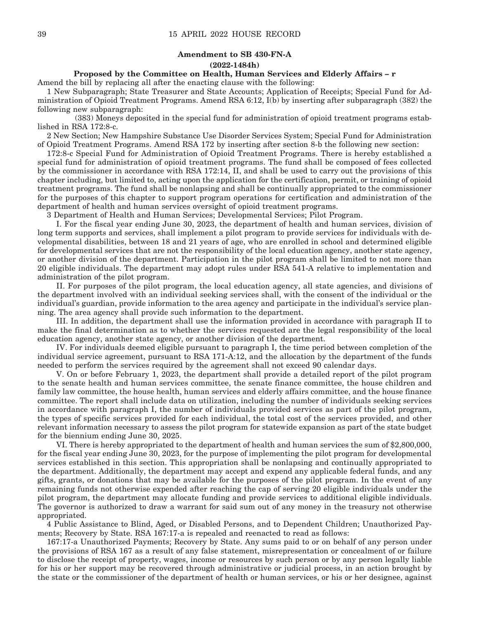#### **Amendment to SB 430-FN-A (2022-1484h)**

**Proposed by the Committee on Health, Human Services and Elderly Affairs – r**

Amend the bill by replacing all after the enacting clause with the following:

1 New Subparagraph; State Treasurer and State Accounts; Application of Receipts; Special Fund for Administration of Opioid Treatment Programs. Amend RSA 6:12, I(b) by inserting after subparagraph (382) the following new subparagraph:

 (383) Moneys deposited in the special fund for administration of opioid treatment programs established in RSA 172:8-c.

2 New Section; New Hampshire Substance Use Disorder Services System; Special Fund for Administration of Opioid Treatment Programs. Amend RSA 172 by inserting after section 8-b the following new section:

172:8-c Special Fund for Administration of Opioid Treatment Programs. There is hereby established a special fund for administration of opioid treatment programs. The fund shall be composed of fees collected by the commissioner in accordance with RSA 172:14, II, and shall be used to carry out the provisions of this chapter including, but limited to, acting upon the application for the certification, permit, or training of opioid treatment programs. The fund shall be nonlapsing and shall be continually appropriated to the commissioner for the purposes of this chapter to support program operations for certification and administration of the department of health and human services oversight of opioid treatment programs.

3 Department of Health and Human Services; Developmental Services; Pilot Program.

 I. For the fiscal year ending June 30, 2023, the department of health and human services, division of long term supports and services, shall implement a pilot program to provide services for individuals with developmental disabilities, between 18 and 21 years of age, who are enrolled in school and determined eligible for developmental services that are not the responsibility of the local education agency, another state agency, or another division of the department. Participation in the pilot program shall be limited to not more than 20 eligible individuals. The department may adopt rules under RSA 541-A relative to implementation and administration of the pilot program.

 II. For purposes of the pilot program, the local education agency, all state agencies, and divisions of the department involved with an individual seeking services shall, with the consent of the individual or the individual's guardian, provide information to the area agency and participate in the individual's service planning. The area agency shall provide such information to the department.

 III. In addition, the department shall use the information provided in accordance with paragraph II to make the final determination as to whether the services requested are the legal responsibility of the local education agency, another state agency, or another division of the department.

 IV. For individuals deemed eligible pursuant to paragraph I, the time period between completion of the individual service agreement, pursuant to RSA 171-A:12, and the allocation by the department of the funds needed to perform the services required by the agreement shall not exceed 90 calendar days.

 V. On or before February 1, 2023, the department shall provide a detailed report of the pilot program to the senate health and human services committee, the senate finance committee, the house children and family law committee, the house health, human services and elderly affairs committee, and the house finance committee. The report shall include data on utilization, including the number of individuals seeking services in accordance with paragraph I, the number of individuals provided services as part of the pilot program, the types of specific services provided for each individual, the total cost of the services provided, and other relevant information necessary to assess the pilot program for statewide expansion as part of the state budget for the biennium ending June 30, 2025.

 VI. There is hereby appropriated to the department of health and human services the sum of \$2,800,000, for the fiscal year ending June 30, 2023, for the purpose of implementing the pilot program for developmental services established in this section. This appropriation shall be nonlapsing and continually appropriated to the department. Additionally, the department may accept and expend any applicable federal funds, and any gifts, grants, or donations that may be available for the purposes of the pilot program. In the event of any remaining funds not otherwise expended after reaching the cap of serving 20 eligible individuals under the pilot program, the department may allocate funding and provide services to additional eligible individuals. The governor is authorized to draw a warrant for said sum out of any money in the treasury not otherwise appropriated.

4 Public Assistance to Blind, Aged, or Disabled Persons, and to Dependent Children; Unauthorized Payments; Recovery by State. RSA 167:17-a is repealed and reenacted to read as follows:

167:17-a Unauthorized Payments; Recovery by State. Any sums paid to or on behalf of any person under the provisions of RSA 167 as a result of any false statement, misrepresentation or concealment of or failure to disclose the receipt of property, wages, income or resources by such person or by any person legally liable for his or her support may be recovered through administrative or judicial process, in an action brought by the state or the commissioner of the department of health or human services, or his or her designee, against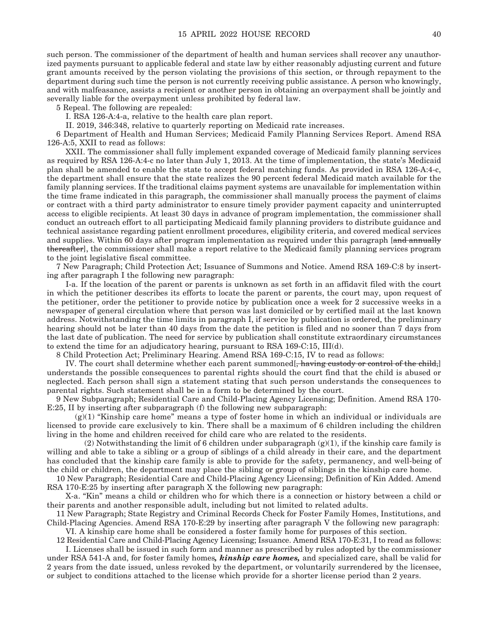such person. The commissioner of the department of health and human services shall recover any unauthorized payments pursuant to applicable federal and state law by either reasonably adjusting current and future grant amounts received by the person violating the provisions of this section, or through repayment to the department during such time the person is not currently receiving public assistance. A person who knowingly, and with malfeasance, assists a recipient or another person in obtaining an overpayment shall be jointly and severally liable for the overpayment unless prohibited by federal law.

5 Repeal. The following are repealed:

I. RSA 126-A:4-a, relative to the health care plan report.

II. 2019, 346:348, relative to quarterly reporting on Medicaid rate increases.

6 Department of Health and Human Services; Medicaid Family Planning Services Report. Amend RSA 126-A:5, XXII to read as follows:

 XXII. The commissioner shall fully implement expanded coverage of Medicaid family planning services as required by RSA 126-A:4-c no later than July 1, 2013. At the time of implementation, the state's Medicaid plan shall be amended to enable the state to accept federal matching funds. As provided in RSA 126-A:4-c, the department shall ensure that the state realizes the 90 percent federal Medicaid match available for the family planning services. If the traditional claims payment systems are unavailable for implementation within the time frame indicated in this paragraph, the commissioner shall manually process the payment of claims or contract with a third party administrator to ensure timely provider payment capacity and uninterrupted access to eligible recipients. At least 30 days in advance of program implementation, the commissioner shall conduct an outreach effort to all participating Medicaid family planning providers to distribute guidance and technical assistance regarding patient enrollment procedures, eligibility criteria, and covered medical services and supplies. Within 60 days after program implementation as required under this paragraph [and annually thereafter], the commissioner shall make a report relative to the Medicaid family planning services program to the joint legislative fiscal committee.

7 New Paragraph; Child Protection Act; Issuance of Summons and Notice. Amend RSA 169-C:8 by inserting after paragraph I the following new paragraph:

 I-a. If the location of the parent or parents is unknown as set forth in an affidavit filed with the court in which the petitioner describes its efforts to locate the parent or parents, the court may, upon request of the petitioner, order the petitioner to provide notice by publication once a week for 2 successive weeks in a newspaper of general circulation where that person was last domiciled or by certified mail at the last known address. Notwithstanding the time limits in paragraph I, if service by publication is ordered, the preliminary hearing should not be later than 40 days from the date the petition is filed and no sooner than 7 days from the last date of publication. The need for service by publication shall constitute extraordinary circumstances to extend the time for an adjudicatory hearing, pursuant to RSA 169-C:15, III(d).

8 Child Protection Act; Preliminary Hearing. Amend RSA 169-C:15, IV to read as follows:

IV. The court shall determine whether each parent summoned. having custody or control of the child, understands the possible consequences to parental rights should the court find that the child is abused or neglected. Each person shall sign a statement stating that such person understands the consequences to parental rights. Such statement shall be in a form to be determined by the court.

9 New Subparagraph; Residential Care and Child-Placing Agency Licensing; Definition. Amend RSA 170- E:25, II by inserting after subparagraph (f) the following new subparagraph:

 (g)(1) "Kinship care home" means a type of foster home in which an individual or individuals are licensed to provide care exclusively to kin. There shall be a maximum of 6 children including the children living in the home and children received for child care who are related to the residents.

 $(2)$  Notwithstanding the limit of 6 children under subparagraph  $(g)(1)$ , if the kinship care family is willing and able to take a sibling or a group of siblings of a child already in their care, and the department has concluded that the kinship care family is able to provide for the safety, permanency, and well-being of the child or children, the department may place the sibling or group of siblings in the kinship care home.

10 New Paragraph; Residential Care and Child-Placing Agency Licensing; Definition of Kin Added. Amend RSA 170-E:25 by inserting after paragraph X the following new paragraph:

 X-a. "Kin" means a child or children who for which there is a connection or history between a child or their parents and another responsible adult, including but not limited to related adults.

11 New Paragraph; State Registry and Criminal Records Check for Foster Family Homes, Institutions, and Child-Placing Agencies. Amend RSA 170-E:29 by inserting after paragraph V the following new paragraph:

 VI. A kinship care home shall be considered a foster family home for purposes of this section. 12 Residential Care and Child-Placing Agency Licensing; Issuance. Amend RSA 170-E:31, I to read as follows:

 I. Licenses shall be issued in such form and manner as prescribed by rules adopted by the commissioner under RSA 541-A and, for foster family homes*, kinship care homes,* and specialized care, shall be valid for 2 years from the date issued, unless revoked by the department, or voluntarily surrendered by the licensee, or subject to conditions attached to the license which provide for a shorter license period than 2 years.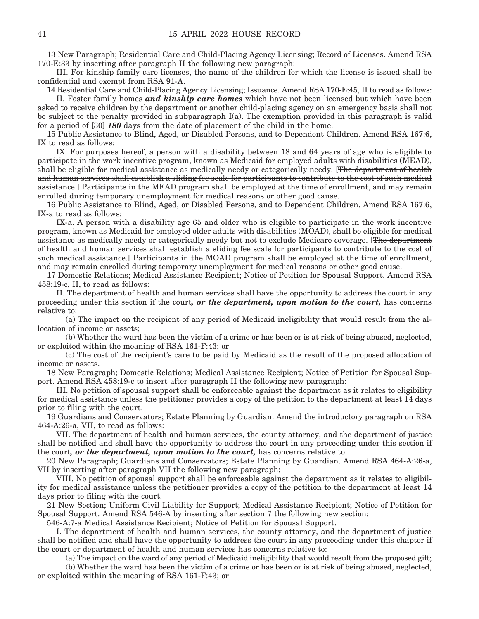13 New Paragraph; Residential Care and Child-Placing Agency Licensing; Record of Licenses. Amend RSA 170-E:33 by inserting after paragraph II the following new paragraph:

 III. For kinship family care licenses, the name of the children for which the license is issued shall be confidential and exempt from RSA 91-A.

14 Residential Care and Child-Placing Agency Licensing; Issuance. Amend RSA 170-E:45, II to read as follows:

 II. Foster family homes *and kinship care homes* which have not been licensed but which have been asked to receive children by the department or another child-placing agency on an emergency basis shall not be subject to the penalty provided in subparagraph  $I(a)$ . The exemption provided in this paragraph is valid for a period of [30] *180* days from the date of placement of the child in the home.

15 Public Assistance to Blind, Aged, or Disabled Persons, and to Dependent Children. Amend RSA 167:6, IX to read as follows:

 IX. For purposes hereof, a person with a disability between 18 and 64 years of age who is eligible to participate in the work incentive program, known as Medicaid for employed adults with disabilities (MEAD), shall be eligible for medical assistance as medically needy or categorically needy. [The department of health and human services shall establish a sliding fee scale for participants to contribute to the cost of such medical assistance.] Participants in the MEAD program shall be employed at the time of enrollment, and may remain enrolled during temporary unemployment for medical reasons or other good cause.

16 Public Assistance to Blind, Aged, or Disabled Persons, and to Dependent Children. Amend RSA 167:6, IX-a to read as follows:

 IX-a. A person with a disability age 65 and older who is eligible to participate in the work incentive program, known as Medicaid for employed older adults with disabilities (MOAD), shall be eligible for medical assistance as medically needy or categorically needy but not to exclude Medicare coverage. [The department of health and human services shall establish a sliding fee scale for participants to contribute to the cost of such medical assistance.] Participants in the MOAD program shall be employed at the time of enrollment, and may remain enrolled during temporary unemployment for medical reasons or other good cause.

17 Domestic Relations; Medical Assistance Recipient; Notice of Petition for Spousal Support. Amend RSA 458:19-c, II, to read as follows:

 II. The department of health and human services shall have the opportunity to address the court in any proceeding under this section if the court*, or the department, upon motion to the court,* has concerns relative to:

 (a) The impact on the recipient of any period of Medicaid ineligibility that would result from the allocation of income or assets;

 (b) Whether the ward has been the victim of a crime or has been or is at risk of being abused, neglected, or exploited within the meaning of RSA 161-F:43; or

 (c) The cost of the recipient's care to be paid by Medicaid as the result of the proposed allocation of income or assets.

18 New Paragraph; Domestic Relations; Medical Assistance Recipient; Notice of Petition for Spousal Support. Amend RSA 458:19-c to insert after paragraph II the following new paragraph:

 III. No petition of spousal support shall be enforceable against the department as it relates to eligibility for medical assistance unless the petitioner provides a copy of the petition to the department at least 14 days prior to filing with the court.

19 Guardians and Conservators; Estate Planning by Guardian. Amend the introductory paragraph on RSA 464-A:26-a, VII, to read as follows:

 VII. The department of health and human services, the county attorney, and the department of justice shall be notified and shall have the opportunity to address the court in any proceeding under this section if the court*, or the department, upon motion to the court,* has concerns relative to:

20 New Paragraph; Guardians and Conservators; Estate Planning by Guardian. Amend RSA 464-A:26-a, VII by inserting after paragraph VII the following new paragraph:

 VIII. No petition of spousal support shall be enforceable against the department as it relates to eligibility for medical assistance unless the petitioner provides a copy of the petition to the department at least 14 days prior to filing with the court.

21 New Section; Uniform Civil Liability for Support; Medical Assistance Recipient; Notice of Petition for Spousal Support. Amend RSA 546-A by inserting after section 7 the following new section:

546-A:7-a Medical Assistance Recipient; Notice of Petition for Spousal Support.

 I. The department of health and human services, the county attorney, and the department of justice shall be notified and shall have the opportunity to address the court in any proceeding under this chapter if the court or department of health and human services has concerns relative to:

(a) The impact on the ward of any period of Medicaid ineligibility that would result from the proposed gift;

 (b) Whether the ward has been the victim of a crime or has been or is at risk of being abused, neglected, or exploited within the meaning of RSA 161-F:43; or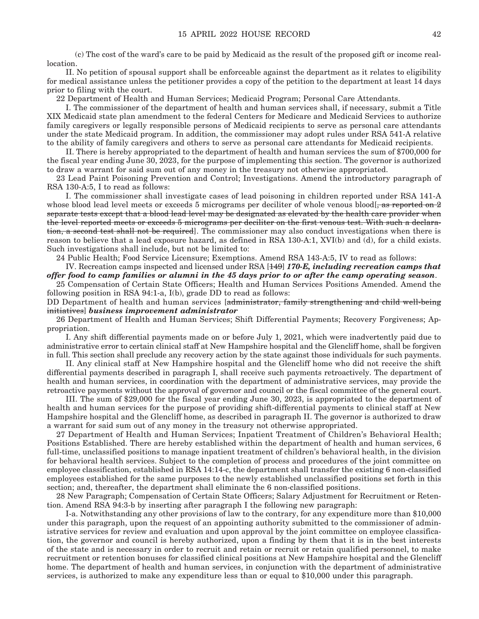(c) The cost of the ward's care to be paid by Medicaid as the result of the proposed gift or income reallocation.

 II. No petition of spousal support shall be enforceable against the department as it relates to eligibility for medical assistance unless the petitioner provides a copy of the petition to the department at least 14 days prior to filing with the court.

22 Department of Health and Human Services; Medicaid Program; Personal Care Attendants.

 I. The commissioner of the department of health and human services shall, if necessary, submit a Title XIX Medicaid state plan amendment to the federal Centers for Medicare and Medicaid Services to authorize family caregivers or legally responsible persons of Medicaid recipients to serve as personal care attendants under the state Medicaid program. In addition, the commissioner may adopt rules under RSA 541-A relative to the ability of family caregivers and others to serve as personal care attendants for Medicaid recipients.

 II. There is hereby appropriated to the department of health and human services the sum of \$700,000 for the fiscal year ending June 30, 2023, for the purpose of implementing this section. The governor is authorized to draw a warrant for said sum out of any money in the treasury not otherwise appropriated.

23 Lead Paint Poisoning Prevention and Control; Investigations. Amend the introductory paragraph of RSA 130-A:5, I to read as follows:

 I. The commissioner shall investigate cases of lead poisoning in children reported under RSA 141-A whose blood lead level meets or exceeds 5 micrograms per deciliter of whole venous blood[ $\frac{1}{2}$  as reported on 2 separate tests except that a blood lead level may be designated as elevated by the health care provider when the level reported meets or exceeds 5 micrograms per deciliter on the first venous test. With such a declaration, a second test shall not be required. The commissioner may also conduct investigations when there is reason to believe that a lead exposure hazard, as defined in RSA 130-A:1, XVI(b) and (d), for a child exists. Such investigations shall include, but not be limited to:

24 Public Health; Food Service Licensure; Exemptions. Amend RSA 143-A:5, IV to read as follows:

 IV. Recreation camps inspected and licensed under RSA [149] *170-E, including recreation camps that offer food to camp families or alumni in the 45 days prior to or after the camp operating season*.

25 Compensation of Certain State Officers; Health and Human Services Positions Amended. Amend the following position in RSA 94:1-a, I(b), grade DD to read as follows:

DD Department of health and human services [administrator, family strengthening and child well-being initiatives] *business improvement administrator*

26 Department of Health and Human Services; Shift Differential Payments; Recovery Forgiveness; Appropriation.

 I. Any shift differential payments made on or before July 1, 2021, which were inadvertently paid due to administrative error to certain clinical staff at New Hampshire hospital and the Glencliff home, shall be forgiven in full. This section shall preclude any recovery action by the state against those individuals for such payments.

 II. Any clinical staff at New Hampshire hospital and the Glencliff home who did not receive the shift differential payments described in paragraph I, shall receive such payments retroactively. The department of health and human services, in coordination with the department of administrative services, may provide the retroactive payments without the approval of governor and council or the fiscal committee of the general court.

 III. The sum of \$29,000 for the fiscal year ending June 30, 2023, is appropriated to the department of health and human services for the purpose of providing shift-differential payments to clinical staff at New Hampshire hospital and the Glencliff home, as described in paragraph II. The governor is authorized to draw a warrant for said sum out of any money in the treasury not otherwise appropriated.

27 Department of Health and Human Services; Inpatient Treatment of Children's Behavioral Health; Positions Established. There are hereby established within the department of health and human services, 6 full-time, unclassified positions to manage inpatient treatment of children's behavioral health, in the division for behavioral health services. Subject to the completion of process and procedures of the joint committee on employee classification, established in RSA 14:14-c, the department shall transfer the existing 6 non-classified employees established for the same purposes to the newly established unclassified positions set forth in this section; and, thereafter, the department shall eliminate the 6 non-classified positions.

28 New Paragraph; Compensation of Certain State Officers; Salary Adjustment for Recruitment or Retention. Amend RSA 94:3-b by inserting after paragraph I the following new paragraph:

 I-a. Notwithstanding any other provisions of law to the contrary, for any expenditure more than \$10,000 under this paragraph, upon the request of an appointing authority submitted to the commissioner of administrative services for review and evaluation and upon approval by the joint committee on employee classification, the governor and council is hereby authorized, upon a finding by them that it is in the best interests of the state and is necessary in order to recruit and retain or recruit or retain qualified personnel, to make recruitment or retention bonuses for classified clinical positions at New Hampshire hospital and the Glencliff home. The department of health and human services, in conjunction with the department of administrative services, is authorized to make any expenditure less than or equal to \$10,000 under this paragraph.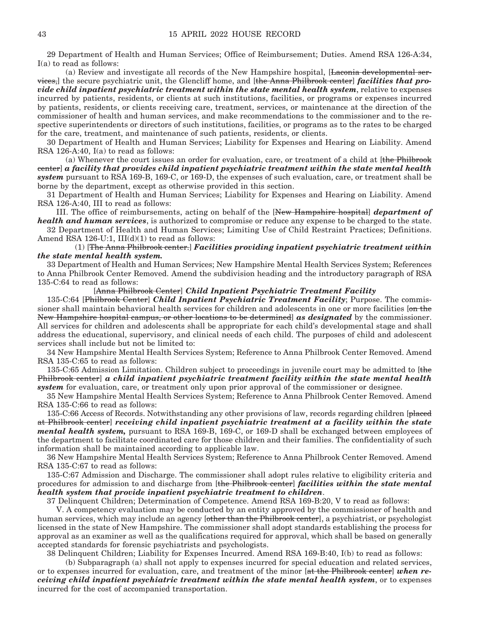29 Department of Health and Human Services; Office of Reimbursement; Duties. Amend RSA 126-A:34, I(a) to read as follows:

 (a) Review and investigate all records of the New Hampshire hospital, [Laconia developmental services,] the secure psychiatric unit, the Glencliff home, and [the Anna Philbrook center] *facilities that provide child inpatient psychiatric treatment within the state mental health system*, relative to expenses incurred by patients, residents, or clients at such institutions, facilities, or programs or expenses incurred by patients, residents, or clients receiving care, treatment, services, or maintenance at the direction of the commissioner of health and human services, and make recommendations to the commissioner and to the respective superintendents or directors of such institutions, facilities, or programs as to the rates to be charged for the care, treatment, and maintenance of such patients, residents, or clients.

30 Department of Health and Human Services; Liability for Expenses and Hearing on Liability. Amend RSA 126-A:40, I(a) to read as follows:

 (a) Whenever the court issues an order for evaluation, care, or treatment of a child at [the Philbrook center] *a facility that provides child inpatient psychiatric treatment within the state mental health system* pursuant to RSA 169-B, 169-C, or 169-D, the expenses of such evaluation, care, or treatment shall be borne by the department, except as otherwise provided in this section.

31 Department of Health and Human Services; Liability for Expenses and Hearing on Liability. Amend RSA 126-A:40, III to read as follows:

 III. The office of reimbursements, acting on behalf of the [New Hampshire hospital] *department of health and human services*, is authorized to compromise or reduce any expense to be charged to the state.

32 Department of Health and Human Services; Limiting Use of Child Restraint Practices; Definitions. Amend RSA 126-U:1,  $III(d)(1)$  to read as follows:

#### (1) [The Anna Philbrook center.] *Facilities providing inpatient psychiatric treatment within the state mental health system.*

33 Department of Health and Human Services; New Hampshire Mental Health Services System; References to Anna Philbrook Center Removed. Amend the subdivision heading and the introductory paragraph of RSA 135-C:64 to read as follows:

#### [Anna Philbrook Center] *Child Inpatient Psychiatric Treatment Facility*

135-C:64 [Philbrook Center] *Child Inpatient Psychiatric Treatment Facility*; Purpose. The commissioner shall maintain behavioral health services for children and adolescents in one or more facilities [on the New Hampshire hospital campus, or other locations to be determined] *as designated* by the commissioner. All services for children and adolescents shall be appropriate for each child's developmental stage and shall address the educational, supervisory, and clinical needs of each child. The purposes of child and adolescent services shall include but not be limited to:

34 New Hampshire Mental Health Services System; Reference to Anna Philbrook Center Removed. Amend RSA 135-C:65 to read as follows:

135-C:65 Admission Limitation. Children subject to proceedings in juvenile court may be admitted to [the Philbrook center] *a child inpatient psychiatric treatment facility within the state mental health system* for evaluation, care, or treatment only upon prior approval of the commissioner or designee.

35 New Hampshire Mental Health Services System; Reference to Anna Philbrook Center Removed. Amend RSA 135-C:66 to read as follows:

135-C:66 Access of Records. Notwithstanding any other provisions of law, records regarding children [placed] at Philbrook center] *receiving child inpatient psychiatric treatment at a facility within the state mental health system,* pursuant to RSA 169-B, 169-C, or 169-D shall be exchanged between employees of the department to facilitate coordinated care for those children and their families. The confidentiality of such information shall be maintained according to applicable law.

36 New Hampshire Mental Health Services System; Reference to Anna Philbrook Center Removed. Amend RSA 135-C:67 to read as follows:

135-C:67 Admission and Discharge. The commissioner shall adopt rules relative to eligibility criteria and procedures for admission to and discharge from [the Philbrook center] *facilities within the state mental health system that provide inpatient psychiatric treatment to children*.

37 Delinquent Children; Determination of Competence. Amend RSA 169-B:20, V to read as follows:

 V. A competency evaluation may be conducted by an entity approved by the commissioner of health and human services, which may include an agency [other than the Philbrook center], a psychiatrist, or psychologist licensed in the state of New Hampshire. The commissioner shall adopt standards establishing the process for approval as an examiner as well as the qualifications required for approval, which shall be based on generally accepted standards for forensic psychiatrists and psychologists.

38 Delinquent Children; Liability for Expenses Incurred. Amend RSA 169-B:40, I(b) to read as follows:

 (b) Subparagraph (a) shall not apply to expenses incurred for special education and related services, or to expenses incurred for evaluation, care, and treatment of the minor [at the Philbrook center] *when receiving child inpatient psychiatric treatment within the state mental health system*, or to expenses incurred for the cost of accompanied transportation.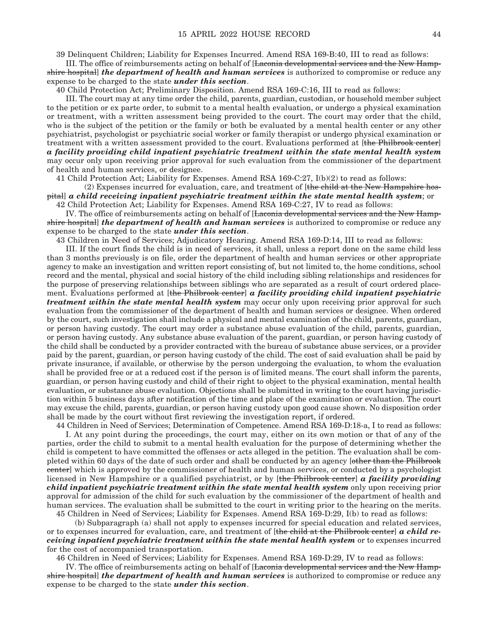39 Delinquent Children; Liability for Expenses Incurred. Amend RSA 169-B:40, III to read as follows:

 III. The office of reimbursements acting on behalf of [Laconia developmental services and the New Hampshire hospital] *the department of health and human services* is authorized to compromise or reduce any expense to be charged to the state *under this section*.

40 Child Protection Act; Preliminary Disposition. Amend RSA 169-C:16, III to read as follows:

 III. The court may at any time order the child, parents, guardian, custodian, or household member subject to the petition or ex parte order, to submit to a mental health evaluation, or undergo a physical examination or treatment, with a written assessment being provided to the court. The court may order that the child, who is the subject of the petition or the family or both be evaluated by a mental health center or any other psychiatrist, psychologist or psychiatric social worker or family therapist or undergo physical examination or treatment with a written assessment provided to the court. Evaluations performed at [the Philbrook center] *a facility providing child inpatient psychiatric treatment within the state mental health system* may occur only upon receiving prior approval for such evaluation from the commissioner of the department of health and human services, or designee.

41 Child Protection Act; Liability for Expenses. Amend RSA 169-C:27, I(b)(2) to read as follows:

 $(2)$  Expenses incurred for evaluation, care, and treatment of  $[the child at the New Hampshire host$ pital] *a child receiving inpatient psychiatric treatment within the state mental health system*; or 42 Child Protection Act; Liability for Expenses. Amend RSA 169-C:27, IV to read as follows:

IV. The office of reimbursements acting on behalf of [Laconia developmental services and the New Hamp-

shire hospital] *the department of health and human services* is authorized to compromise or reduce any expense to be charged to the state *under this section*.

43 Children in Need of Services; Adjudicatory Hearing. Amend RSA 169-D:14, III to read as follows:

 III. If the court finds the child is in need of services, it shall, unless a report done on the same child less than 3 months previously is on file, order the department of health and human services or other appropriate agency to make an investigation and written report consisting of, but not limited to, the home conditions, school record and the mental, physical and social history of the child including sibling relationships and residences for the purpose of preserving relationships between siblings who are separated as a result of court ordered placement. Evaluations performed at [the Philbrook center] *a facility providing child inpatient psychiatric treatment within the state mental health system* may occur only upon receiving prior approval for such evaluation from the commissioner of the department of health and human services or designee. When ordered by the court, such investigation shall include a physical and mental examination of the child, parents, guardian, or person having custody. The court may order a substance abuse evaluation of the child, parents, guardian, or person having custody. Any substance abuse evaluation of the parent, guardian, or person having custody of the child shall be conducted by a provider contracted with the bureau of substance abuse services, or a provider paid by the parent, guardian, or person having custody of the child. The cost of said evaluation shall be paid by private insurance, if available, or otherwise by the person undergoing the evaluation, to whom the evaluation shall be provided free or at a reduced cost if the person is of limited means. The court shall inform the parents, guardian, or person having custody and child of their right to object to the physical examination, mental health evaluation, or substance abuse evaluation. Objections shall be submitted in writing to the court having jurisdiction within 5 business days after notification of the time and place of the examination or evaluation. The court may excuse the child, parents, guardian, or person having custody upon good cause shown. No disposition order shall be made by the court without first reviewing the investigation report, if ordered.

44 Children in Need of Services; Determination of Competence. Amend RSA 169-D:18-a, I to read as follows: I. At any point during the proceedings, the court may, either on its own motion or that of any of the

parties, order the child to submit to a mental health evaluation for the purpose of determining whether the child is competent to have committed the offenses or acts alleged in the petition. The evaluation shall be completed within 60 days of the date of such order and shall be conducted by an agency [other than the Philbrook center] which is approved by the commissioner of health and human services, or conducted by a psychologist licensed in New Hampshire or a qualified psychiatrist, or by [the Philbrook center] *a facility providing child inpatient psychiatric treatment within the state mental health system* only upon receiving prior approval for admission of the child for such evaluation by the commissioner of the department of health and human services. The evaluation shall be submitted to the court in writing prior to the hearing on the merits. 45 Children in Need of Services; Liability for Expenses. Amend RSA 169-D:29, I(b) to read as follows:

(b) Subparagraph (a) shall not apply to expenses incurred for special education and related services,

or to expenses incurred for evaluation, care, and treatment of [the child at the Philbrook center] *a child receiving inpatient psychiatric treatment within the state mental health system or to expenses incurred* for the cost of accompanied transportation.

46 Children in Need of Services; Liability for Expenses. Amend RSA 169-D:29, IV to read as follows:

IV. The office of reimbursements acting on behalf of [Laconia developmental services and the New Hampshire hospital] *the department of health and human services* is authorized to compromise or reduce any expense to be charged to the state *under this section*.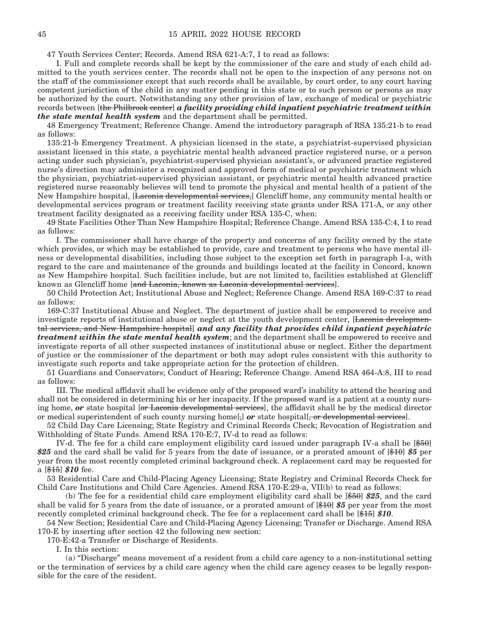47 Youth Services Center; Records. Amend RSA 621-A:7, I to read as follows:

 I. Full and complete records shall be kept by the commissioner of the care and study of each child admitted to the youth services center. The records shall not be open to the inspection of any persons not on the staff of the commissioner except that such records shall be available, by court order, to any court having competent jurisdiction of the child in any matter pending in this state or to such person or persons as may be authorized by the court. Notwithstanding any other provision of law, exchange of medical or psychiatric records between [the Philbrook center] *a facility providing child inpatient psychiatric treatment within the state mental health system* and the department shall be permitted.

48 Emergency Treatment; Reference Change. Amend the introductory paragraph of RSA 135:21-b to read as follows:

135:21-b Emergency Treatment. A physician licensed in the state, a psychiatrist-supervised physician assistant licensed in this state, a psychiatric mental health advanced practice registered nurse, or a person acting under such physician's, psychiatrist-supervised physician assistant's, or advanced practice registered nurse's direction may administer a recognized and approved form of medical or psychiatric treatment which the physician, psychiatrist-supervised physician assistant, or psychiatric mental health advanced practice registered nurse reasonably believes will tend to promote the physical and mental health of a patient of the New Hampshire hospital, [Laconia developmental services,] Glencliff home, any community mental health or developmental services program or treatment facility receiving state grants under RSA 171-A, or any other treatment facility designated as a receiving facility under RSA 135-C, when:

49 State Facilities Other Than New Hampshire Hospital; Reference Change. Amend RSA 135-C:4, I to read as follows:

 I. The commissioner shall have charge of the property and concerns of any facility owned by the state which provides, or which may be established to provide, care and treatment to persons who have mental illness or developmental disabilities, including those subject to the exception set forth in paragraph I-a, with regard to the care and maintenance of the grounds and buildings located at the facility in Concord, known as New Hampshire hospital. Such facilities include, but are not limited to, facilities established at Glencliff known as Glencliff home [and Laconia, known as Laconia developmental services].

50 Child Protection Act; Institutional Abuse and Neglect; Reference Change. Amend RSA 169-C:37 to read as follows:

169-C:37 Institutional Abuse and Neglect. The department of justice shall be empowered to receive and investigate reports of institutional abuse or neglect at the youth development center, [Laconia developmental services, and New Hampshire hospital] *and any facility that provides child inpatient psychiatric treatment within the state mental health system*; and the department shall be empowered to receive and investigate reports of all other suspected instances of institutional abuse or neglect. Either the department of justice or the commissioner of the department or both may adopt rules consistent with this authority to investigate such reports and take appropriate action for the protection of children.

51 Guardians and Conservators; Conduct of Hearing; Reference Change. Amend RSA 464-A:8, III to read as follows:

 III. The medical affidavit shall be evidence only of the proposed ward's inability to attend the hearing and shall not be considered in determining his or her incapacity. If the proposed ward is a patient at a county nursing home, *or* state hospital [or Laconia developmental services], the affidavit shall be by the medical director or medical superintendent of such county nursing home[,] or state hospital[, or developmental services].

52 Child Day Care Licensing; State Registry and Criminal Records Check; Revocation of Registration and Withholding of State Funds. Amend RSA 170-E:7, IV-d to read as follows:

 IV-d. The fee for a child care employment eligibility card issued under paragraph IV-a shall be [\$50] *\$25* and the card shall be valid for 5 years from the date of issuance, or a prorated amount of [\$10] *\$5* per year from the most recently completed criminal background check. A replacement card may be requested for a [\$15] *\$10* fee.

53 Residential Care and Child-Placing Agency Licensing; State Registry and Criminal Records Check for Child Care Institutions and Child Care Agencies. Amend RSA 170-E:29-a, VII(b) to read as follows:

 (b) The fee for a residential child care employment eligibility card shall be [\$50] *\$25*, and the card shall be valid for 5 years from the date of issuance, or a prorated amount of [\$10] *\$5* per year from the most recently completed criminal background check. The fee for a replacement card shall be [\$15] *\$10*.

54 New Section; Residential Care and Child-Placing Agency Licensing; Transfer or Discharge. Amend RSA 170-E by inserting after section 42 the following new section:

170-E:42-a Transfer or Discharge of Residents.

I. In this section:

 (a) "Discharge" means movement of a resident from a child care agency to a non-institutional setting or the termination of services by a child care agency when the child care agency ceases to be legally responsible for the care of the resident.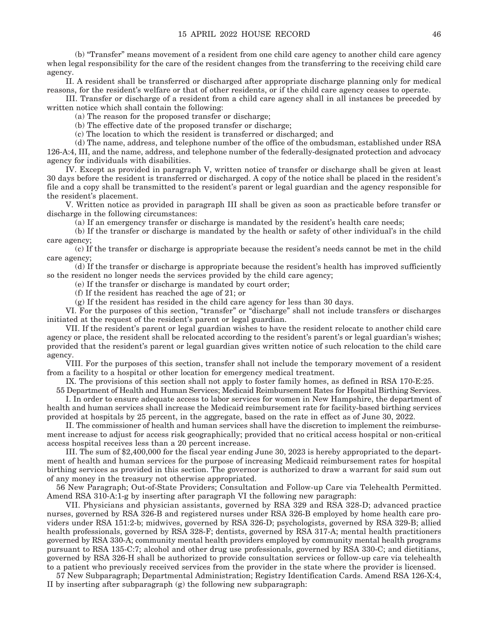(b) "Transfer" means movement of a resident from one child care agency to another child care agency when legal responsibility for the care of the resident changes from the transferring to the receiving child care agency.

 II. A resident shall be transferred or discharged after appropriate discharge planning only for medical reasons, for the resident's welfare or that of other residents, or if the child care agency ceases to operate.

 III. Transfer or discharge of a resident from a child care agency shall in all instances be preceded by written notice which shall contain the following:

(a) The reason for the proposed transfer or discharge;

(b) The effective date of the proposed transfer or discharge;

(c) The location to which the resident is transferred or discharged; and

 (d) The name, address, and telephone number of the office of the ombudsman, established under RSA 126-A:4, III, and the name, address, and telephone number of the federally-designated protection and advocacy agency for individuals with disabilities.

 IV. Except as provided in paragraph V, written notice of transfer or discharge shall be given at least 30 days before the resident is transferred or discharged. A copy of the notice shall be placed in the resident's file and a copy shall be transmitted to the resident's parent or legal guardian and the agency responsible for the resident's placement.

 V. Written notice as provided in paragraph III shall be given as soon as practicable before transfer or discharge in the following circumstances:

(a) If an emergency transfer or discharge is mandated by the resident's health care needs;

 (b) If the transfer or discharge is mandated by the health or safety of other individual's in the child care agency;

 (c) If the transfer or discharge is appropriate because the resident's needs cannot be met in the child care agency;

 (d) If the transfer or discharge is appropriate because the resident's health has improved sufficiently so the resident no longer needs the services provided by the child care agency;

(e) If the transfer or discharge is mandated by court order;

(f) If the resident has reached the age of 21; or

(g) If the resident has resided in the child care agency for less than 30 days.

 VI. For the purposes of this section, "transfer" or "discharge" shall not include transfers or discharges initiated at the request of the resident's parent or legal guardian.

 VII. If the resident's parent or legal guardian wishes to have the resident relocate to another child care agency or place, the resident shall be relocated according to the resident's parent's or legal guardian's wishes; provided that the resident's parent or legal guardian gives written notice of such relocation to the child care agency.

 VIII. For the purposes of this section, transfer shall not include the temporary movement of a resident from a facility to a hospital or other location for emergency medical treatment.

IX. The provisions of this section shall not apply to foster family homes, as defined in RSA 170-E:25.

55 Department of Health and Human Services; Medicaid Reimbursement Rates for Hospital Birthing Services. I. In order to ensure adequate access to labor services for women in New Hampshire, the department of

health and human services shall increase the Medicaid reimbursement rate for facility-based birthing services provided at hospitals by 25 percent, in the aggregate, based on the rate in effect as of June 30, 2022.

 II. The commissioner of health and human services shall have the discretion to implement the reimbursement increase to adjust for access risk geographically; provided that no critical access hospital or non-critical access hospital receives less than a 20 percent increase.

 III. The sum of \$2,400,000 for the fiscal year ending June 30, 2023 is hereby appropriated to the department of health and human services for the purpose of increasing Medicaid reimbursement rates for hospital birthing services as provided in this section. The governor is authorized to draw a warrant for said sum out of any money in the treasury not otherwise appropriated.

56 New Paragraph; Out-of-State Providers; Consultation and Follow-up Care via Telehealth Permitted. Amend RSA 310-A:1-g by inserting after paragraph VI the following new paragraph:

 VII. Physicians and physician assistants, governed by RSA 329 and RSA 328-D; advanced practice nurses, governed by RSA 326-B and registered nurses under RSA 326-B employed by home health care providers under RSA 151:2-b; midwives, governed by RSA 326-D; psychologists, governed by RSA 329-B; allied health professionals, governed by RSA 328-F; dentists, governed by RSA 317-A; mental health practitioners governed by RSA 330-A; community mental health providers employed by community mental health programs pursuant to RSA 135-C:7; alcohol and other drug use professionals, governed by RSA 330-C; and dietitians, governed by RSA 326-H shall be authorized to provide consultation services or follow-up care via telehealth to a patient who previously received services from the provider in the state where the provider is licensed.

57 New Subparagraph; Departmental Administration; Registry Identification Cards. Amend RSA 126-X:4, II by inserting after subparagraph (g) the following new subparagraph: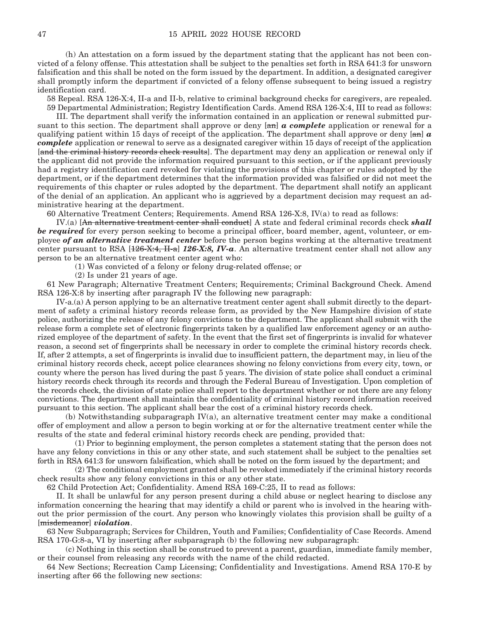(h) An attestation on a form issued by the department stating that the applicant has not been convicted of a felony offense. This attestation shall be subject to the penalties set forth in RSA 641:3 for unsworn falsification and this shall be noted on the form issued by the department. In addition, a designated caregiver shall promptly inform the department if convicted of a felony offense subsequent to being issued a registry identification card.

58 Repeal. RSA 126-X:4, II-a and II-b, relative to criminal background checks for caregivers, are repealed. 59 Departmental Administration; Registry Identification Cards. Amend RSA 126-X:4, III to read as follows:

 III. The department shall verify the information contained in an application or renewal submitted pursuant to this section. The department shall approve or deny [an] *a complete* application or renewal for a qualifying patient within 15 days of receipt of the application. The department shall approve or deny [an] *a complete* application or renewal to serve as a designated caregiver within 15 days of receipt of the application [and the criminal history records check results]. The department may deny an application or renewal only if the applicant did not provide the information required pursuant to this section, or if the applicant previously had a registry identification card revoked for violating the provisions of this chapter or rules adopted by the department, or if the department determines that the information provided was falsified or did not meet the requirements of this chapter or rules adopted by the department. The department shall notify an applicant of the denial of an application. An applicant who is aggrieved by a department decision may request an administrative hearing at the department.

60 Alternative Treatment Centers; Requirements. Amend RSA 126-X:8, IV(a) to read as follows:

 IV.(a) [An alternative treatment center shall conduct] A state and federal criminal records check *shall be required* for every person seeking to become a principal officer, board member, agent, volunteer, or employee *of an alternative treatment center* before the person begins working at the alternative treatment center pursuant to RSA [126-X:4, II-a] *126-X:8, IV-a*. An alternative treatment center shall not allow any person to be an alternative treatment center agent who:

(1) Was convicted of a felony or felony drug-related offense; or

(2) Is under 21 years of age.

61 New Paragraph; Alternative Treatment Centers; Requirements; Criminal Background Check. Amend RSA 126-X:8 by inserting after paragraph IV the following new paragraph:

 IV-a.(a) A person applying to be an alternative treatment center agent shall submit directly to the department of safety a criminal history records release form, as provided by the New Hampshire division of state police, authorizing the release of any felony convictions to the department. The applicant shall submit with the release form a complete set of electronic fingerprints taken by a qualified law enforcement agency or an authorized employee of the department of safety. In the event that the first set of fingerprints is invalid for whatever reason, a second set of fingerprints shall be necessary in order to complete the criminal history records check. If, after 2 attempts, a set of fingerprints is invalid due to insufficient pattern, the department may, in lieu of the criminal history records check, accept police clearances showing no felony convictions from every city, town, or county where the person has lived during the past 5 years. The division of state police shall conduct a criminal history records check through its records and through the Federal Bureau of Investigation. Upon completion of the records check, the division of state police shall report to the department whether or not there are any felony convictions. The department shall maintain the confidentiality of criminal history record information received pursuant to this section. The applicant shall bear the cost of a criminal history records check.

 (b) Notwithstanding subparagraph IV(a), an alternative treatment center may make a conditional offer of employment and allow a person to begin working at or for the alternative treatment center while the results of the state and federal criminal history records check are pending, provided that:

 (1) Prior to beginning employment, the person completes a statement stating that the person does not have any felony convictions in this or any other state, and such statement shall be subject to the penalties set forth in RSA 641:3 for unsworn falsification, which shall be noted on the form issued by the department; and

 (2) The conditional employment granted shall be revoked immediately if the criminal history records check results show any felony convictions in this or any other state.

62 Child Protection Act; Confidentiality. Amend RSA 169-C:25, II to read as follows:

 II. It shall be unlawful for any person present during a child abuse or neglect hearing to disclose any information concerning the hearing that may identify a child or parent who is involved in the hearing without the prior permission of the court. Any person who knowingly violates this provision shall be guilty of a [misdemeanor] *violation*.

63 New Subparagraph; Services for Children, Youth and Families; Confidentiality of Case Records. Amend RSA 170-G:8-a, VI by inserting after subparagraph (b) the following new subparagraph:

 (c) Nothing in this section shall be construed to prevent a parent, guardian, immediate family member, or their counsel from releasing any records with the name of the child redacted.

64 New Sections; Recreation Camp Licensing; Confidentiality and Investigations. Amend RSA 170-E by inserting after 66 the following new sections: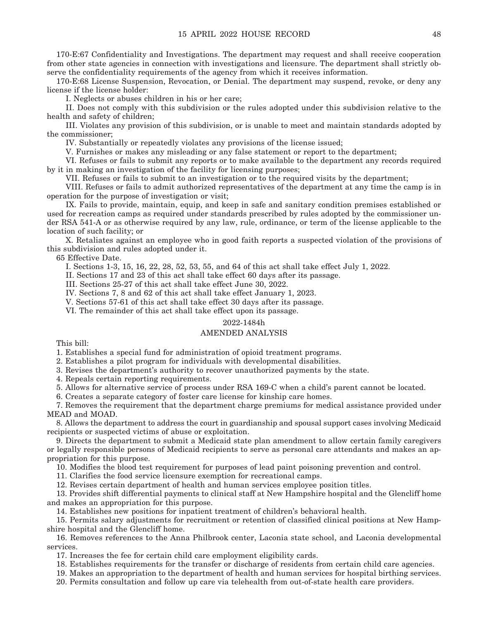170-E:67 Confidentiality and Investigations. The department may request and shall receive cooperation from other state agencies in connection with investigations and licensure. The department shall strictly observe the confidentiality requirements of the agency from which it receives information.

170-E:68 License Suspension, Revocation, or Denial. The department may suspend, revoke, or deny any license if the license holder:

I. Neglects or abuses children in his or her care;

 II. Does not comply with this subdivision or the rules adopted under this subdivision relative to the health and safety of children;

 III. Violates any provision of this subdivision, or is unable to meet and maintain standards adopted by the commissioner;

IV. Substantially or repeatedly violates any provisions of the license issued;

V. Furnishes or makes any misleading or any false statement or report to the department;

 VI. Refuses or fails to submit any reports or to make available to the department any records required by it in making an investigation of the facility for licensing purposes;

VII. Refuses or fails to submit to an investigation or to the required visits by the department;

 VIII. Refuses or fails to admit authorized representatives of the department at any time the camp is in operation for the purpose of investigation or visit;

 IX. Fails to provide, maintain, equip, and keep in safe and sanitary condition premises established or used for recreation camps as required under standards prescribed by rules adopted by the commissioner under RSA 541-A or as otherwise required by any law, rule, ordinance, or term of the license applicable to the location of such facility; or

 X. Retaliates against an employee who in good faith reports a suspected violation of the provisions of this subdivision and rules adopted under it.

65 Effective Date.

I. Sections 1-3, 15, 16, 22, 28, 52, 53, 55, and 64 of this act shall take effect July 1, 2022.

II. Sections 17 and 23 of this act shall take effect 60 days after its passage.

III. Sections 25-27 of this act shall take effect June 30, 2022.

IV. Sections 7, 8 and 62 of this act shall take effect January 1, 2023.

V. Sections 57-61 of this act shall take effect 30 days after its passage.

VI. The remainder of this act shall take effect upon its passage.

#### 2022-1484h

#### AMENDED ANALYSIS

This bill:

1. Establishes a special fund for administration of opioid treatment programs.

2. Establishes a pilot program for individuals with developmental disabilities.

3. Revises the department's authority to recover unauthorized payments by the state.

4. Repeals certain reporting requirements.

5. Allows for alternative service of process under RSA 169-C when a child's parent cannot be located.

6. Creates a separate category of foster care license for kinship care homes.

7. Removes the requirement that the department charge premiums for medical assistance provided under MEAD and MOAD.

8. Allows the department to address the court in guardianship and spousal support cases involving Medicaid recipients or suspected victims of abuse or exploitation.

9. Directs the department to submit a Medicaid state plan amendment to allow certain family caregivers or legally responsible persons of Medicaid recipients to serve as personal care attendants and makes an appropriation for this purpose.

10. Modifies the blood test requirement for purposes of lead paint poisoning prevention and control.

11. Clarifies the food service licensure exemption for recreational camps.

12. Revises certain department of health and human services employee position titles.

13. Provides shift differential payments to clinical staff at New Hampshire hospital and the Glencliff home and makes an appropriation for this purpose.

14. Establishes new positions for inpatient treatment of children's behavioral health.

15. Permits salary adjustments for recruitment or retention of classified clinical positions at New Hampshire hospital and the Glencliff home.

16. Removes references to the Anna Philbrook center, Laconia state school, and Laconia developmental services.

17. Increases the fee for certain child care employment eligibility cards.

18. Establishes requirements for the transfer or discharge of residents from certain child care agencies.

19. Makes an appropriation to the department of health and human services for hospital birthing services.

20. Permits consultation and follow up care via telehealth from out-of-state health care providers.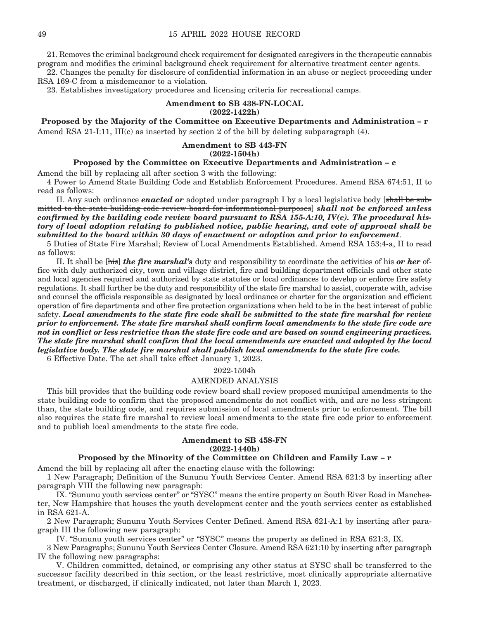21. Removes the criminal background check requirement for designated caregivers in the therapeutic cannabis program and modifies the criminal background check requirement for alternative treatment center agents.

22. Changes the penalty for disclosure of confidential information in an abuse or neglect proceeding under RSA 169-C from a misdemeanor to a violation.

23. Establishes investigatory procedures and licensing criteria for recreational camps.

#### **Amendment to SB 438-FN-LOCAL (2022-1422h)**

**Proposed by the Majority of the Committee on Executive Departments and Administration – r** Amend RSA 21-I:11, III(c) as inserted by section 2 of the bill by deleting subparagraph  $(4)$ .

#### **Amendment to SB 443-FN (2022-1504h)**

#### **Proposed by the Committee on Executive Departments and Administration – c**

Amend the bill by replacing all after section 3 with the following:

4 Power to Amend State Building Code and Establish Enforcement Procedures. Amend RSA 674:51, II to read as follows:

 II. Any such ordinance *enacted or* adopted under paragraph I by a local legislative body [shall be submitted to the state building code review board for informational purposes] *shall not be enforced unless confirmed by the building code review board pursuant to RSA 155-A:10, IV(c). The procedural history of local adoption relating to published notice, public hearing, and vote of approval shall be submitted to the board within 30 days of enactment or adoption and prior to enforcement*.

5 Duties of State Fire Marshal; Review of Local Amendments Established. Amend RSA 153:4-a, II to read as follows:

 II. It shall be [his] *the fire marshal's* duty and responsibility to coordinate the activities of his *or her* office with duly authorized city, town and village district, fire and building department officials and other state and local agencies required and authorized by state statutes or local ordinances to develop or enforce fire safety regulations. It shall further be the duty and responsibility of the state fire marshal to assist, cooperate with, advise and counsel the officials responsible as designated by local ordinance or charter for the organization and efficient operation of fire departments and other fire protection organizations when held to be in the best interest of public safety. *Local amendments to the state fire code shall be submitted to the state fire marshal for review prior to enforcement. The state fire marshal shall confirm local amendments to the state fire code are not in conflict or less restrictive than the state fire code and are based on sound engineering practices. The state fire marshal shall confirm that the local amendments are enacted and adopted by the local legislative body. The state fire marshal shall publish local amendments to the state fire code.* 

6 Effective Date. The act shall take effect January 1, 2023.

#### 2022-1504h

#### AMENDED ANALYSIS

This bill provides that the building code review board shall review proposed municipal amendments to the state building code to confirm that the proposed amendments do not conflict with, and are no less stringent than, the state building code, and requires submission of local amendments prior to enforcement. The bill also requires the state fire marshal to review local amendments to the state fire code prior to enforcement and to publish local amendments to the state fire code.

#### **Amendment to SB 458-FN (2022-1440h)**

#### **Proposed by the Minority of the Committee on Children and Family Law – r**

Amend the bill by replacing all after the enacting clause with the following:

1 New Paragraph; Definition of the Sununu Youth Services Center. Amend RSA 621:3 by inserting after paragraph VIII the following new paragraph:

 IX. "Sununu youth services center" or "SYSC" means the entire property on South River Road in Manchester, New Hampshire that houses the youth development center and the youth services center as established in RSA 621-A.

2 New Paragraph; Sununu Youth Services Center Defined. Amend RSA 621-A:1 by inserting after paragraph III the following new paragraph:

IV. "Sununu youth services center" or "SYSC" means the property as defined in RSA 621:3, IX.

3 New Paragraphs; Sununu Youth Services Center Closure. Amend RSA 621:10 by inserting after paragraph IV the following new paragraphs:

 V. Children committed, detained, or comprising any other status at SYSC shall be transferred to the successor facility described in this section, or the least restrictive, most clinically appropriate alternative treatment, or discharged, if clinically indicated, not later than March 1, 2023.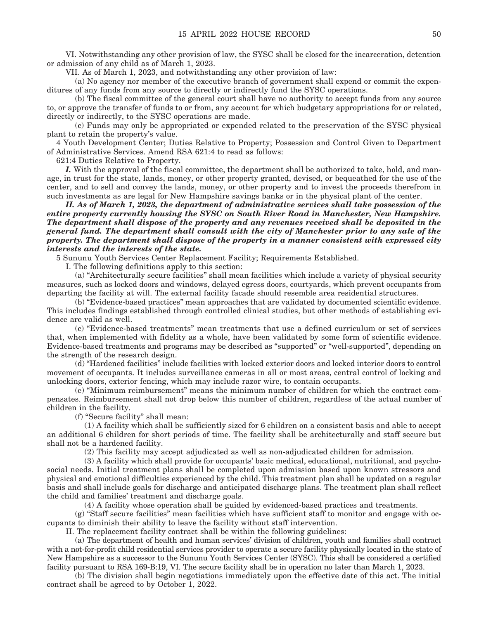VI. Notwithstanding any other provision of law, the SYSC shall be closed for the incarceration, detention or admission of any child as of March 1, 2023.

VII. As of March 1, 2023, and notwithstanding any other provision of law:

 (a) No agency nor member of the executive branch of government shall expend or commit the expenditures of any funds from any source to directly or indirectly fund the SYSC operations.

 (b) The fiscal committee of the general court shall have no authority to accept funds from any source to, or approve the transfer of funds to or from, any account for which budgetary appropriations for or related, directly or indirectly, to the SYSC operations are made.

 (c) Funds may only be appropriated or expended related to the preservation of the SYSC physical plant to retain the property's value.

4 Youth Development Center; Duties Relative to Property; Possession and Control Given to Department of Administrative Services. Amend RSA 621:4 to read as follows:

621:4 Duties Relative to Property.

*I.* With the approval of the fiscal committee, the department shall be authorized to take, hold, and manage, in trust for the state, lands, money, or other property granted, devised, or bequeathed for the use of the center, and to sell and convey the lands, money, or other property and to invest the proceeds therefrom in such investments as are legal for New Hampshire savings banks or in the physical plant of the center.

 *II. As of March 1, 2023, the department of administrative services shall take possession of the entire property currently housing the SYSC on South River Road in Manchester, New Hampshire. The department shall dispose of the property and any revenues received shall be deposited in the general fund. The department shall consult with the city of Manchester prior to any sale of the property. The department shall dispose of the property in a manner consistent with expressed city interests and the interests of the state.* 

5 Sununu Youth Services Center Replacement Facility; Requirements Established.

I. The following definitions apply to this section:

 (a) "Architecturally secure facilities" shall mean facilities which include a variety of physical security measures, such as locked doors and windows, delayed egress doors, courtyards, which prevent occupants from departing the facility at will. The external facility facade should resemble area residential structures.

 (b) "Evidence-based practices" mean approaches that are validated by documented scientific evidence. This includes findings established through controlled clinical studies, but other methods of establishing evidence are valid as well.

 (c) "Evidence-based treatments" mean treatments that use a defined curriculum or set of services that, when implemented with fidelity as a whole, have been validated by some form of scientific evidence. Evidence-based treatments and programs may be described as "supported" or "well-supported", depending on the strength of the research design.

 (d) "Hardened facilities" include facilities with locked exterior doors and locked interior doors to control movement of occupants. It includes surveillance cameras in all or most areas, central control of locking and unlocking doors, exterior fencing, which may include razor wire, to contain occupants.

 (e) "Minimum reimbursement" means the minimum number of children for which the contract compensates. Reimbursement shall not drop below this number of children, regardless of the actual number of children in the facility.

(f) "Secure facility" shall mean:

 (1) A facility which shall be sufficiently sized for 6 children on a consistent basis and able to accept an additional 6 children for short periods of time. The facility shall be architecturally and staff secure but shall not be a hardened facility.

(2) This facility may accept adjudicated as well as non-adjudicated children for admission.

 (3) A facility which shall provide for occupants' basic medical, educational, nutritional, and psychosocial needs. Initial treatment plans shall be completed upon admission based upon known stressors and physical and emotional difficulties experienced by the child. This treatment plan shall be updated on a regular basis and shall include goals for discharge and anticipated discharge plans. The treatment plan shall reflect the child and families' treatment and discharge goals.

(4) A facility whose operation shall be guided by evidenced-based practices and treatments.

 (g) "Staff secure facilities" mean facilities which have sufficient staff to monitor and engage with occupants to diminish their ability to leave the facility without staff intervention.

II. The replacement facility contract shall be within the following guidelines:

 (a) The department of health and human services' division of children, youth and families shall contract with a not-for-profit child residential services provider to operate a secure facility physically located in the state of New Hampshire as a successor to the Sununu Youth Services Center (SYSC). This shall be considered a certified facility pursuant to RSA 169-B:19, VI. The secure facility shall be in operation no later than March 1, 2023.

 (b) The division shall begin negotiations immediately upon the effective date of this act. The initial contract shall be agreed to by October 1, 2022.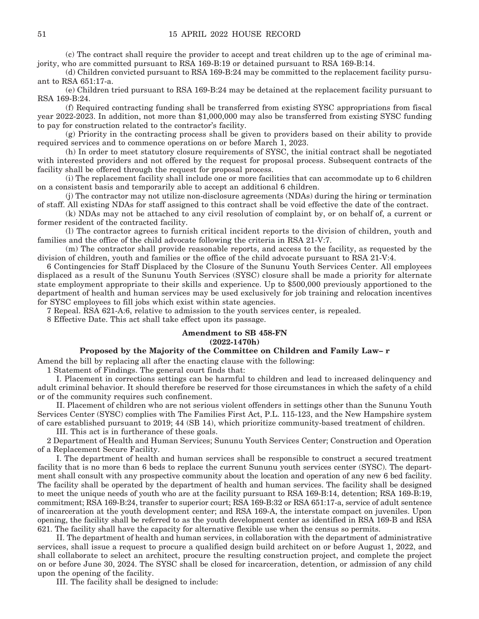(c) The contract shall require the provider to accept and treat children up to the age of criminal majority, who are committed pursuant to RSA 169-B:19 or detained pursuant to RSA 169-B:14.

 (d) Children convicted pursuant to RSA 169-B:24 may be committed to the replacement facility pursuant to RSA 651:17-a.

 (e) Children tried pursuant to RSA 169-B:24 may be detained at the replacement facility pursuant to RSA 169-B:24.

 (f) Required contracting funding shall be transferred from existing SYSC appropriations from fiscal year 2022-2023. In addition, not more than \$1,000,000 may also be transferred from existing SYSC funding to pay for construction related to the contractor's facility.

 (g) Priority in the contracting process shall be given to providers based on their ability to provide required services and to commence operations on or before March 1, 2023.

 (h) In order to meet statutory closure requirements of SYSC, the initial contract shall be negotiated with interested providers and not offered by the request for proposal process. Subsequent contracts of the facility shall be offered through the request for proposal process.

 (i) The replacement facility shall include one or more facilities that can accommodate up to 6 children on a consistent basis and temporarily able to accept an additional 6 children.

 (j) The contractor may not utilize non-disclosure agreements (NDAs) during the hiring or termination of staff. All existing NDAs for staff assigned to this contract shall be void effective the date of the contract.

 (k) NDAs may not be attached to any civil resolution of complaint by, or on behalf of, a current or former resident of the contracted facility.

 (l) The contractor agrees to furnish critical incident reports to the division of children, youth and families and the office of the child advocate following the criteria in RSA 21-V:7.

 (m) The contractor shall provide reasonable reports, and access to the facility, as requested by the division of children, youth and families or the office of the child advocate pursuant to RSA 21-V:4.

6 Contingencies for Staff Displaced by the Closure of the Sununu Youth Services Center. All employees displaced as a result of the Sununu Youth Services (SYSC) closure shall be made a priority for alternate state employment appropriate to their skills and experience. Up to \$500,000 previously apportioned to the department of health and human services may be used exclusively for job training and relocation incentives for SYSC employees to fill jobs which exist within state agencies.

7 Repeal. RSA 621-A:6, relative to admission to the youth services center, is repealed.

8 Effective Date. This act shall take effect upon its passage.

#### **Amendment to SB 458-FN (2022-1470h)**

#### **Proposed by the Majority of the Committee on Children and Family Law– r**

Amend the bill by replacing all after the enacting clause with the following:

1 Statement of Findings. The general court finds that:

 I. Placement in corrections settings can be harmful to children and lead to increased delinquency and adult criminal behavior. It should therefore be reserved for those circumstances in which the safety of a child or of the community requires such confinement.

 II. Placement of children who are not serious violent offenders in settings other than the Sununu Youth Services Center (SYSC) complies with The Families First Act, P.L. 115-123, and the New Hampshire system of care established pursuant to 2019; 44 (SB 14), which prioritize community-based treatment of children.

III. This act is in furtherance of these goals.

2 Department of Health and Human Services; Sununu Youth Services Center; Construction and Operation of a Replacement Secure Facility.

 I. The department of health and human services shall be responsible to construct a secured treatment facility that is no more than 6 beds to replace the current Sununu youth services center (SYSC). The department shall consult with any prospective community about the location and operation of any new 6 bed facility. The facility shall be operated by the department of health and human services. The facility shall be designed to meet the unique needs of youth who are at the facility pursuant to RSA 169-B:14, detention; RSA 169-B:19, commitment; RSA 169-B:24, transfer to superior court; RSA 169-B:32 or RSA 651:17-a, service of adult sentence of incarceration at the youth development center; and RSA 169-A, the interstate compact on juveniles. Upon opening, the facility shall be referred to as the youth development center as identified in RSA 169-B and RSA 621. The facility shall have the capacity for alternative flexible use when the census so permits.

 II. The department of health and human services, in collaboration with the department of administrative services, shall issue a request to procure a qualified design build architect on or before August 1, 2022, and shall collaborate to select an architect, procure the resulting construction project, and complete the project on or before June 30, 2024. The SYSC shall be closed for incarceration, detention, or admission of any child upon the opening of the facility.

III. The facility shall be designed to include: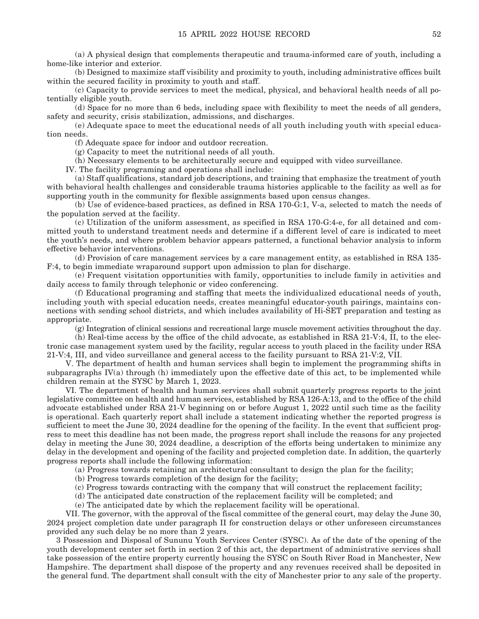(a) A physical design that complements therapeutic and trauma-informed care of youth, including a home-like interior and exterior.

 (b) Designed to maximize staff visibility and proximity to youth, including administrative offices built within the secured facility in proximity to youth and staff.

 (c) Capacity to provide services to meet the medical, physical, and behavioral health needs of all potentially eligible youth.

 (d) Space for no more than 6 beds, including space with flexibility to meet the needs of all genders, safety and security, crisis stabilization, admissions, and discharges.

 (e) Adequate space to meet the educational needs of all youth including youth with special education needs.

(f) Adequate space for indoor and outdoor recreation.

(g) Capacity to meet the nutritional needs of all youth.

(h) Necessary elements to be architecturally secure and equipped with video surveillance.

IV. The facility programing and operations shall include:

 (a) Staff qualifications, standard job descriptions, and training that emphasize the treatment of youth with behavioral health challenges and considerable trauma histories applicable to the facility as well as for supporting youth in the community for flexible assignments based upon census changes.

 (b) Use of evidence-based practices, as defined in RSA 170-G:1, V-a, selected to match the needs of the population served at the facility.

 (c) Utilization of the uniform assessment, as specified in RSA 170-G:4-e, for all detained and committed youth to understand treatment needs and determine if a different level of care is indicated to meet the youth's needs, and where problem behavior appears patterned, a functional behavior analysis to inform effective behavior interventions.

 (d) Provision of care management services by a care management entity, as established in RSA 135- F:4, to begin immediate wraparound support upon admission to plan for discharge.

 (e) Frequent visitation opportunities with family, opportunities to include family in activities and daily access to family through telephonic or video conferencing.

 (f) Educational programing and staffing that meets the individualized educational needs of youth, including youth with special education needs, creates meaningful educator-youth pairings, maintains connections with sending school districts, and which includes availability of Hi-SET preparation and testing as appropriate.

(g) Integration of clinical sessions and recreational large muscle movement activities throughout the day.

 (h) Real-time access by the office of the child advocate, as established in RSA 21-V:4, II, to the electronic case management system used by the facility, regular access to youth placed in the facility under RSA 21-V:4, III, and video surveillance and general access to the facility pursuant to RSA 21-V:2, VII.

 V. The department of health and human services shall begin to implement the programming shifts in subparagraphs IV(a) through (h) immediately upon the effective date of this act, to be implemented while children remain at the SYSC by March 1, 2023.

 VI. The department of health and human services shall submit quarterly progress reports to the joint legislative committee on health and human services, established by RSA 126-A:13, and to the office of the child advocate established under RSA 21-V beginning on or before August 1, 2022 until such time as the facility is operational. Each quarterly report shall include a statement indicating whether the reported progress is sufficient to meet the June 30, 2024 deadline for the opening of the facility. In the event that sufficient progress to meet this deadline has not been made, the progress report shall include the reasons for any projected delay in meeting the June 30, 2024 deadline, a description of the efforts being undertaken to minimize any delay in the development and opening of the facility and projected completion date. In addition, the quarterly progress reports shall include the following information:

(a) Progress towards retaining an architectural consultant to design the plan for the facility;

(b) Progress towards completion of the design for the facility;

(c) Progress towards contracting with the company that will construct the replacement facility;

(d) The anticipated date construction of the replacement facility will be completed; and

(e) The anticipated date by which the replacement facility will be operational.

 VII. The governor, with the approval of the fiscal committee of the general court, may delay the June 30, 2024 project completion date under paragraph II for construction delays or other unforeseen circumstances provided any such delay be no more than 2 years.

3 Possession and Disposal of Sununu Youth Services Center (SYSC). As of the date of the opening of the youth development center set forth in section 2 of this act, the department of administrative services shall take possession of the entire property currently housing the SYSC on South River Road in Manchester, New Hampshire. The department shall dispose of the property and any revenues received shall be deposited in the general fund. The department shall consult with the city of Manchester prior to any sale of the property.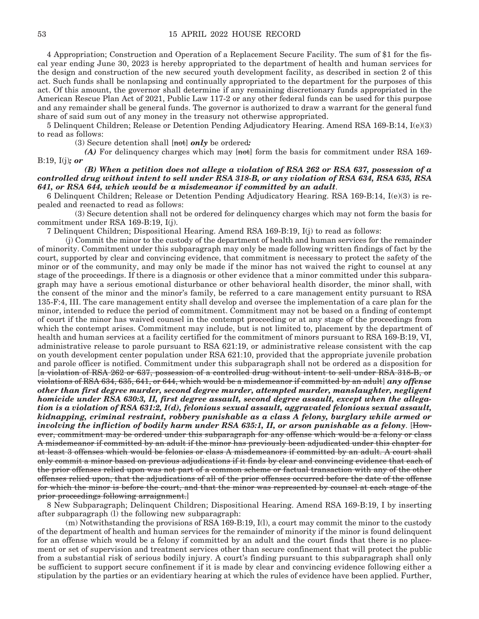4 Appropriation; Construction and Operation of a Replacement Secure Facility. The sum of \$1 for the fiscal year ending June 30, 2023 is hereby appropriated to the department of health and human services for the design and construction of the new secured youth development facility, as described in section 2 of this act. Such funds shall be nonlapsing and continually appropriated to the department for the purposes of this act. Of this amount, the governor shall determine if any remaining discretionary funds appropriated in the American Rescue Plan Act of 2021, Public Law 117-2 or any other federal funds can be used for this purpose and any remainder shall be general funds. The governor is authorized to draw a warrant for the general fund share of said sum out of any money in the treasury not otherwise appropriated.

5 Delinquent Children; Release or Detention Pending Adjudicatory Hearing. Amend RSA 169-B:14, I(e)(3) to read as follows:

(3) Secure detention shall [not] *only* be ordered*:*

 *(A)* For delinquency charges which may [not] form the basis for commitment under RSA 169- B:19, I(j)*; or*

#### *(B) When a petition does not allege a violation of RSA 262 or RSA 637, possession of a controlled drug without intent to sell under RSA 318-B, or any violation of RSA 634, RSA 635, RSA 641, or RSA 644, which would be a misdemeanor if committed by an adult*.

6 Delinquent Children; Release or Detention Pending Adjudicatory Hearing. RSA 169-B:14, I(e)(3) is repealed and reenacted to read as follows:

 (3) Secure detention shall not be ordered for delinquency charges which may not form the basis for commitment under RSA 169-B:19, I(j).

7 Delinquent Children; Dispositional Hearing. Amend RSA 169-B:19, I(j) to read as follows:

 (j) Commit the minor to the custody of the department of health and human services for the remainder of minority. Commitment under this subparagraph may only be made following written findings of fact by the court, supported by clear and convincing evidence, that commitment is necessary to protect the safety of the minor or of the community, and may only be made if the minor has not waived the right to counsel at any stage of the proceedings. If there is a diagnosis or other evidence that a minor committed under this subparagraph may have a serious emotional disturbance or other behavioral health disorder, the minor shall, with the consent of the minor and the minor's family, be referred to a care management entity pursuant to RSA 135-F:4, III. The care management entity shall develop and oversee the implementation of a care plan for the minor, intended to reduce the period of commitment. Commitment may not be based on a finding of contempt of court if the minor has waived counsel in the contempt proceeding or at any stage of the proceedings from which the contempt arises. Commitment may include, but is not limited to, placement by the department of health and human services at a facility certified for the commitment of minors pursuant to RSA 169-B:19, VI, administrative release to parole pursuant to RSA 621:19, or administrative release consistent with the cap on youth development center population under RSA 621:10, provided that the appropriate juvenile probation and parole officer is notified. Commitment under this subparagraph shall not be ordered as a disposition for [a violation of RSA 262 or 637, possession of a controlled drug without intent to sell under RSA 318-B, or violations of RSA 634, 635, 641, or 644, which would be a misdemeanor if committed by an adult] *any offense other than first degree murder, second degree murder, attempted murder, manslaughter, negligent homicide under RSA 630:3, II, first degree assault, second degree assault, except when the allegation is a violation of RSA 631:2, I(d), felonious sexual assault, aggravated felonious sexual assault, kidnapping, criminal restraint, robbery punishable as a class A felony, burglary while armed or involving the infliction of bodily harm under RSA 635:1, II, or arson punishable as a felony*. [However, commitment may be ordered under this subparagraph for any offense which would be a felony or class A misdemeanor if committed by an adult if the minor has previously been adjudicated under this chapter for at least 3 offenses which would be felonies or class A misdemeanors if committed by an adult. A court shall only commit a minor based on previous adjudications if it finds by clear and convincing evidence that each of the prior offenses relied upon was not part of a common scheme or factual transaction with any of the other offenses relied upon, that the adjudications of all of the prior offenses occurred before the date of the offense for which the minor is before the court, and that the minor was represented by counsel at each stage of the prior proceedings following arraignment.]

8 New Subparagraph; Delinquent Children; Dispositional Hearing. Amend RSA 169-B:19, I by inserting after subparagraph (l) the following new subparagraph:

 (m) Notwithstanding the provisions of RSA 169-B:19, I(l), a court may commit the minor to the custody of the department of health and human services for the remainder of minority if the minor is found delinquent for an offense which would be a felony if committed by an adult and the court finds that there is no placement or set of supervision and treatment services other than secure confinement that will protect the public from a substantial risk of serious bodily injury. A court's finding pursuant to this subparagraph shall only be sufficient to support secure confinement if it is made by clear and convincing evidence following either a stipulation by the parties or an evidentiary hearing at which the rules of evidence have been applied. Further,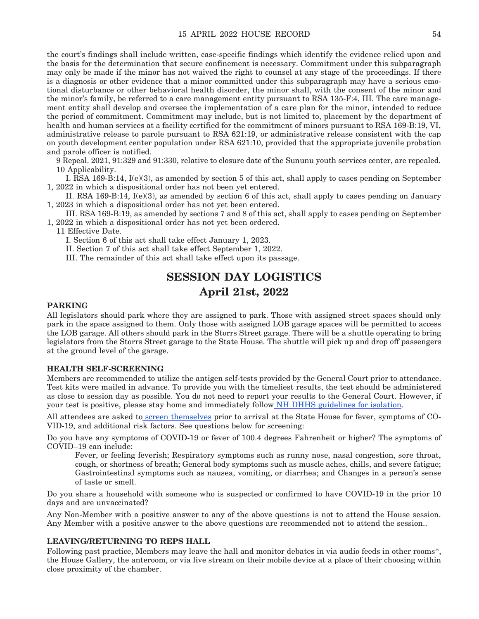the court's findings shall include written, case-specific findings which identify the evidence relied upon and the basis for the determination that secure confinement is necessary. Commitment under this subparagraph may only be made if the minor has not waived the right to counsel at any stage of the proceedings. If there is a diagnosis or other evidence that a minor committed under this subparagraph may have a serious emotional disturbance or other behavioral health disorder, the minor shall, with the consent of the minor and the minor's family, be referred to a care management entity pursuant to RSA 135-F:4, III. The care management entity shall develop and oversee the implementation of a care plan for the minor, intended to reduce the period of commitment. Commitment may include, but is not limited to, placement by the department of health and human services at a facility certified for the commitment of minors pursuant to RSA 169-B:19, VI, administrative release to parole pursuant to RSA 621:19, or administrative release consistent with the cap on youth development center population under RSA 621:10, provided that the appropriate juvenile probation and parole officer is notified.

9 Repeal. 2021, 91:329 and 91:330, relative to closure date of the Sununu youth services center, are repealed. 10 Applicability.

 I. RSA 169-B:14, I(e)(3), as amended by section 5 of this act, shall apply to cases pending on September 1, 2022 in which a dispositional order has not been yet entered.

 II. RSA 169-B:14, I(e)(3), as amended by section 6 of this act, shall apply to cases pending on January 1, 2023 in which a dispositional order has not yet been entered.

 III. RSA 169-B:19, as amended by sections 7 and 8 of this act, shall apply to cases pending on September 1, 2022 in which a dispositional order has not yet been ordered.

11 Effective Date.

I. Section 6 of this act shall take effect January 1, 2023.

II. Section 7 of this act shall take effect September 1, 2022.

III. The remainder of this act shall take effect upon its passage.

### **SESSION DAY LOGISTICS April 21st, 2022**

#### **PARKING**

All legislators should park where they are assigned to park. Those with assigned street spaces should only park in the space assigned to them. Only those with assigned LOB garage spaces will be permitted to access the LOB garage. All others should park in the Storrs Street garage. There will be a shuttle operating to bring legislators from the Storrs Street garage to the State House. The shuttle will pick up and drop off passengers at the ground level of the garage.

#### **HEALTH SELF-SCREENING**

Members are recommended to utilize the antigen self-tests provided by the General Court prior to attendance. Test kits were mailed in advance. To provide you with the timeliest results, the test should be administered as close to session day as possible. You do not need to report your results to the General Court. However, if your test is positive, please stay home and immediately follow [NH DHHS guidelines for isolation](https://www.covid19.nh.gov/sites/g/files/ehbemt481/files/inline-documents/sonh/isolation-and-quarantine-recommendations_0.pdf).

All attendees are asked to [screen themselves](https://www.cdc.gov/coronavirus/2019-ncov/symptoms-testing/symptoms.html) prior to arrival at the State House for fever, symptoms of CO-VID-19, and additional risk factors. See questions below for screening:

Do you have any symptoms of COVID-19 or fever of 100.4 degrees Fahrenheit or higher? The symptoms of COVID–19 can include:

Fever, or feeling feverish; Respiratory symptoms such as runny nose, nasal congestion, sore throat, cough, or shortness of breath; General body symptoms such as muscle aches, chills, and severe fatigue; Gastrointestinal symptoms such as nausea, vomiting, or diarrhea; and Changes in a person's sense of taste or smell.

Do you share a household with someone who is suspected or confirmed to have COVID-19 in the prior 10 days and are unvaccinated?

Any Non-Member with a positive answer to any of the above questions is not to attend the House session. Any Member with a positive answer to the above questions are recommended not to attend the session..

#### **LEAVING/RETURNING TO REPS HALL**

Following past practice, Members may leave the hall and monitor debates in via audio feeds in other rooms\*, the House Gallery, the anteroom, or via live stream on their mobile device at a place of their choosing within close proximity of the chamber.